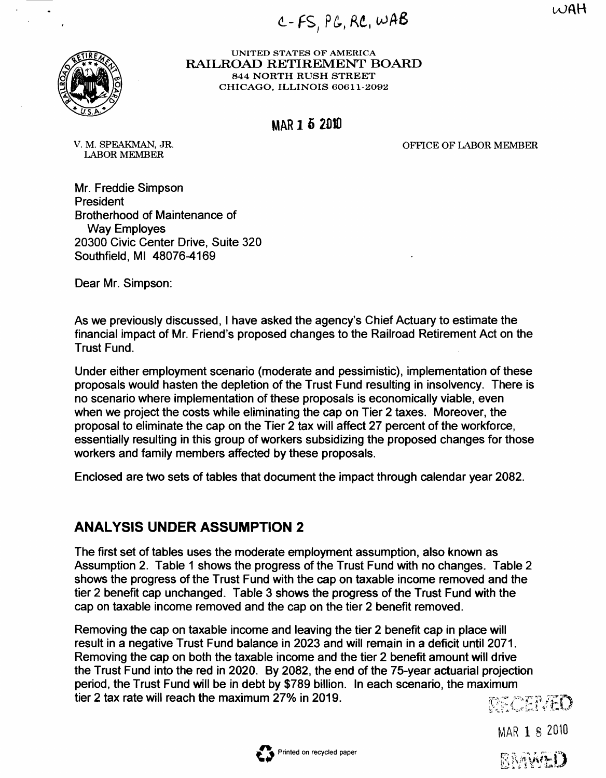$W$ AH

L- **FS** PG, RC, **<sup>I</sup>**



**UNITED STATES OF AMERICA RAILROAD RETIREMENT BOARD 844 NORTH RUSH STREET CHICAGO. ILLINOIS 6061 1-2092** 

### **MAR 1 6 2010**

OFFICE OF LABOR MEMBER

V. M. SPEAKMAN, JR. LABOR MEMBER

Mr. Freddie Simpson President Brotherhood of Maintenance of Way Employes 20300 Civic Center Drive, Suite 320 Southfield, MI 48076-4169

Dear Mr. Simpson:

As we previously discussed, I have asked the agency's Chief Actuary to estimate the financial impact of Mr. Friend's proposed changes to the Railroad Retirement Act on the Trust Fund.

Under either employment scenario (moderate and pessimistic), implementation of these proposals would hasten the depletion of the Trust Fund resulting in insolvency. There is no scenario where implementation of these proposals is economically viable, even when we project the costs while eliminating the cap on Tier 2 taxes. Moreover, the proposal to eliminate the cap on the Tier 2 tax will affect 27 percent of the workforce, essentially resulting in this group of workers subsidizing the proposed changes for those workers and family members affected by these proposals.

Enclosed are two sets of tables that document the impact through calendar year 2082.

## **ANALYSIS UNDER ASSUMPTION 2**

The first set of tables uses the moderate employment assumption, also known as Assumption 2. Table 1 shows the progress of the Trust Fund with no changes. Table 2 shows the progress of the Trust Fund with the cap on taxable income removed and the tier 2 benefit cap unchanged. Table 3 shows the progress of the Trust Fund with the cap on taxable income removed and the cap on the tier 2 benefit removed.

Removing the cap on taxable income and leaving the tier 2 benefit cap in place will result in a negative Trust Fund balance in 2023 and will remain in a deficit until 2071. Removing the cap on both the taxable income and the tier 2 benefit amount will drive the Trust Fund into the red in 2020. By 2082, the end of the 75-year actuarial projection period, the Trust Fund will be in debt by \$789 billion. In each scenario, the maximum tier 2 tax rate will reach the maximum 27% in 2019.

DECENHO

MAR **1** 8 2010

RAAWHI)

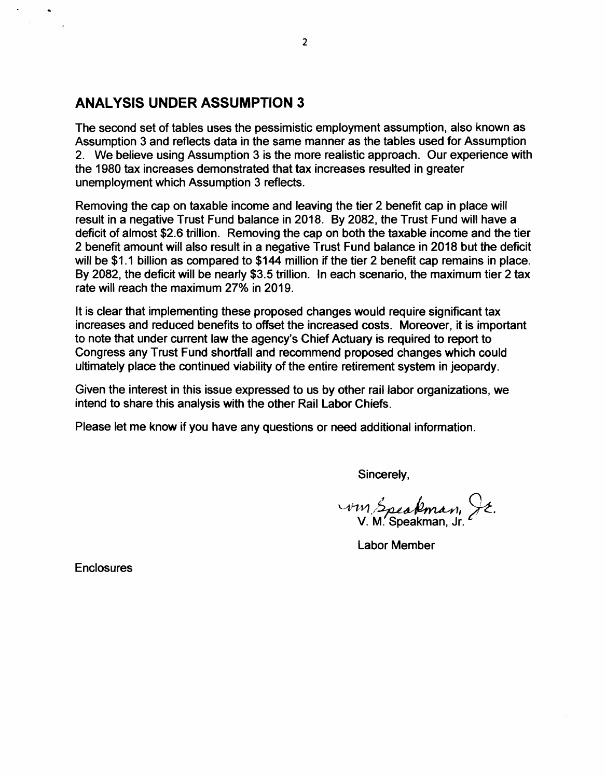## **ANALYSIS UNDER ASSUMPTION 3**

The second set of tables uses the pessimistic employment assumption, also known as Assumption 3 and reflects data in the same manner as the tables used for Assumption 2. We believe using Assumption 3 is the more realistic approach. Our experience with the 1980 tax increases demonstrated that tax increases resulted in greater unemployment which Assumption 3 reflects.

Removing the cap on taxable income and leaving the tier 2 benefit cap in place will result in a negative Trust Fund balance in 2018. By 2082, the Trust Fund will have a deficit of almost \$2.6 trillion. Removing the cap on both the taxable income and the tier 2 benefit amount will also result in a negative Trust Fund balance in 2018 but the deficit will be \$1.1 billion as compared to \$144 million if the tier 2 benefit cap remains in place. By 2082, the deficit will be nearly \$3.5 trillion. In each scenario, the maximum tier 2 tax rate will reach the maximum 27% in 2019.

It is clear that implementing these proposed changes would require significant tax increases and reduced benefits to offset the increased costs. Moreover, it is important to note that under current law the agency's Chief Actuary is required to report to Congress any Trust Fund shortfall and recommend proposed changes which could ultimately place the continued viability of the entire retirement system in jeopardy.

Given the interest in this issue expressed to us by other rail labor organizations, we intend to share this analysis with the other Rail Labor Chiefs.

Please let me know if you have any questions or need additional information.

Sincerely,

um Speakman, JE.<br>V. M. Speakman, Jr.

Labor Member

**Enclosures**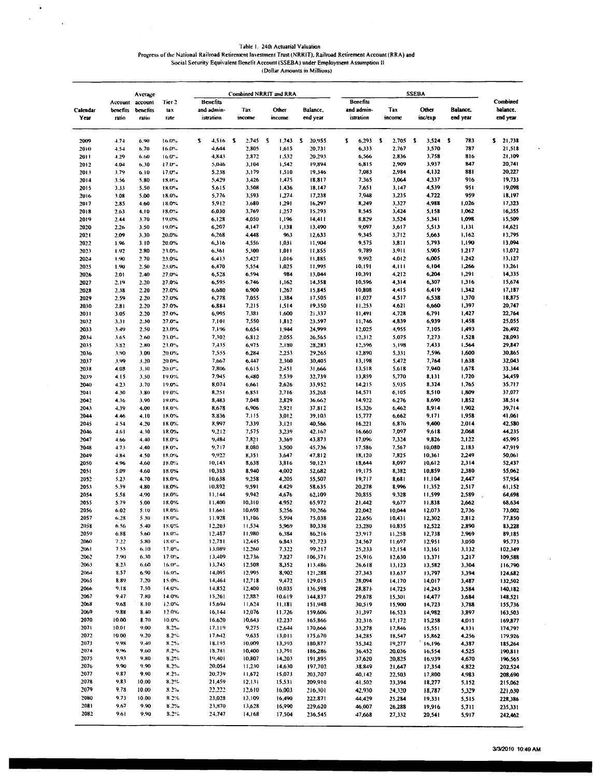Table 1. 24th Actuarial Valuation

Progress of the National Railroad Retirement Investment Trust (NRRIT), Railroad Retirement Account (RRA) and<br>Social Security Equivalent Benelit Account (SSEBA) under Employment Assumption II<br>Dollar Amounts in Millions)

 $\langle \rangle$  $\frac{1}{2}$ 

 $\sim$   $\sim$ 

|                  |                   | Average           |                   | Combined NRRIT and RRA  |                  |                       |    |                  |    |                      |    |                         |    |                  |    |                  |   |                      |                      |
|------------------|-------------------|-------------------|-------------------|-------------------------|------------------|-----------------------|----|------------------|----|----------------------|----|-------------------------|----|------------------|----|------------------|---|----------------------|----------------------|
|                  | Account           | account           | Tier <sub>2</sub> | <b>Benefits</b>         |                  |                       |    |                  |    |                      |    | <b>Benefits</b>         |    |                  |    |                  |   |                      | Combined             |
| Calendar<br>Year | benefits<br>ratio | benefits<br>ratio | tax<br>rate       | and admin-<br>istration |                  | Tax<br>income         |    | Other<br>income  |    | Balance,<br>end year |    | and admin-<br>istration |    | Tax<br>income    |    | Other<br>inc/exp |   | Balance,<br>end year | balance.<br>end year |
| 2009             | 4.74              | 6.90              | 16.0%             | s                       | 4,516            | $\mathbf{r}$<br>2,745 | -S | 1,743            | -S | 20,955               | s. | 6,293                   | -5 | 2,705            | -5 | 3,524            | s | 783                  | 21,738<br>\$.        |
| 2010             | 4.54              | 6.70              | 16.0%             |                         | 4,644            | 2,805                 |    | 1.615            |    | 20,731               |    | 6,333                   |    | 2,767            |    | 3,570            |   | 787                  | 21,518               |
| 2011             | 4.29              | 6.00              | $16.0^{\circ}$ .  |                         | 4,843<br>5.046   | 2.872<br>3,104        |    | 1.532<br>1,542   |    | 20,293<br>19,894     |    | 6,566<br>6,815          |    | 2,836<br>2,909   |    | 3,758<br>3,937   |   | 816<br>847           | 21,109<br>20,741     |
| 2012<br>2013     | 4.04<br>3.79      | 6.30<br>6.10      | 17.0%<br>17.0%    |                         | 5.238            | 3,179                 |    | 1,510            |    | 19,346               |    | 7,083                   |    | 2,984            |    | 4,132            |   | 881                  | 20,227               |
| 2014             | 3.56              | 5.80              | 18.0%             |                         | 5,429            | 3,426                 |    | 1,475            |    | 18,817               |    | 7,365                   |    | 3,064            |    | 4,337            |   | 916                  | 19,733               |
| 2015             | 3.33              | 5.50              | 18.0%             |                         | 5,615            | 3,508                 |    | 1.436            |    | 18,147               |    | 7,651                   |    | 3,147            |    | 4,539            |   | 951                  | 19,098               |
| 2016             | 3.08              | 5.00              | 18.0%             |                         | 5,776            | 3,593                 |    | 1,274            |    | 17,238               |    | 7,948                   |    | 3,235            |    | 4,722            |   | 959                  | 18,197               |
| 2017             | 2.85              | 4.60              | 18.0%             |                         | 5,912            | 3,680                 |    | 1,291            |    | 16,297               |    | 8,249                   |    | 3,327            |    | 4,988            |   | 1,026                | 17,323               |
| 2018<br>2019     | 2.63<br>2.44      | 4.10<br>3.70      | 18,0%<br>19.0%    |                         | 6,030<br>6,128   | 3,769<br>4,050        |    | 1,257<br>1,196   |    | 15,293<br>14,411     |    | 8,545<br>8,829          |    | 3,424<br>3,524   |    | 5,158<br>5.341   |   | 1,062<br>1,098       | 16,355<br>15,509     |
| 2020             | 2.26              | 3.50              | 19.0%             |                         | 6,207            | 4,147                 |    | 1,138            |    | 13,490               |    | 9,097                   |    | 3,617            |    | 5,513            |   | 1,131                | 14,621               |
| 2021             | 2.09              | 3.30              | 20.0%             |                         | 6,268            | 4,448                 |    | 963              |    | 12,633               |    | 9,345                   |    | 3,712            |    | 5,663            |   | 1,162                | 13,795               |
| 2022             | 1.96              | 3.10              | 20.0%             |                         | 6,316            | 4,556                 |    | 1,031            |    | 11,904               |    | 9,575                   |    | 3,811            |    | 5,793            |   | 1,190                | 13,094               |
| 2023             | 1.92              | 2.80              | 23.0%             |                         | 6,361            | 5,300                 |    | 1,011            |    | 11,855               |    | 9,789                   |    | 3,911            |    | 5,905            |   | 1,217                | 13,072               |
| 2024             | 1.90              | 2.70              | 23.0%             |                         | 6.413            | 5,427                 |    | 1,016            |    | 11,885               |    | 9,992                   |    | 4.012            |    | 6,005            |   | 1,242                | 13,127               |
| 2025<br>2026     | 1.90<br>2.01      | 2.50<br>2.40      | 23.0%<br>27.0%    |                         | 6,470<br>6,528   | 5,554<br>6.594        |    | 1,025<br>984     |    | 11,995<br>13,044     |    | 10,191<br>10,391        |    | 4,111<br>4,212   |    | 6,104<br>6,204   |   | 1,266<br>1,291       | 13,261<br>14,335     |
| 2027             | 2.19              | 2.20              | 27.0%             |                         | 6,595            | 6,746                 |    | 1,162            |    | 14,358               |    | 10,596                  |    | 4,314            |    | 6,307            |   | 1,316                | 15,674               |
| 2028             | 2.38              | 2.20              | 27.0%             |                         | 6,680            | 6,900                 |    | 1,267            |    | 15,845               |    | 10,808                  |    | 4.415            |    | 6,419            |   | 1,342                | 17,187               |
| 2029             | 2.59              | 2.20              | 27.0%             |                         | 6,778            | 7,055                 |    | 1,384            |    | 17,505               |    | 11,027                  |    | 4,517            |    | 6,538            |   | 1,370                | 18,875               |
| 2030             | 2.81              | 2.20              | 27.0%             |                         | 6,884            | 7,215                 |    | 1,514            |    | 19,350               |    | 11,253                  |    | 4,621            |    | 6,660            |   | 1,397                | 20,747               |
| 2031             | 3.05              | 2.20              | 27.0%             |                         | 6,995            | 7,381                 |    | 1,600            |    | 21,337               |    | 11,491                  |    | 4,728            |    | 6,791            |   | 1,427                | 22,764               |
| 2032<br>2033     | 3.31<br>3.49      | 2.30<br>2.50      | 27.0%<br>23.0%    |                         | 7,101<br>7,1%    | 7,550<br>6,654        |    | 1,812<br>1,944   |    | 23,597<br>24,999     |    | 11,746<br>12,025        |    | 4,839<br>4,955   |    | 6,939<br>7,105   |   | 1,458<br>1,493       | 25,055<br>26,492     |
| 2034             | 3.65              | 2.60              | 23.0%             |                         | 7.302            | 6,812                 |    | 2.055            |    | 26,565               |    | 12,312                  |    | 5,075            |    | 7,273            |   | 1,528                | 28,093               |
| 2035             | 3.82              | 2.80              | 23.0%             |                         | 7,435            | 6,975                 |    | 2,130            |    | 28,283               |    | 12,596                  |    | 5,198            |    | 7,433            |   | 1.564                | 29,847               |
| 2036             | 3.90              | 3.00              | 20.0%             |                         | 7,555            | 6,284                 |    | 2,253            |    | 29,265               |    | 12,890                  |    | 5,331            |    | 7,596            |   | 1,600                | 30,865               |
| 2037             | 3.99              | 3.20              | 20.0%             |                         | 7,667            | 6,447                 |    | 2,360            |    | 30,405               |    | 13,198                  |    | 5,472            |    | 7,764            |   | 1,638                | 32,043               |
| 2038             | 4.08              | 3.30              | 20.0%             |                         | 7,806            | 6,615                 |    | 2,451            |    | 31,666               |    | 13,518                  |    | 5.618            |    | 7,940            |   | 1,678                | 33,344               |
| 2039             | 4.15              | 3.50              | 19.0%             |                         | 7,945            | 6,480                 |    | 2,539            |    | 32,739               |    | 13,859                  |    | 5,770            |    | 8,131            |   | 1,720                | 34,459               |
| 2040             | 4.23              | 3.70              | 19.0%             |                         | 8,074<br>8,251   | 6,661                 |    | 2,626<br>2,716   |    | 33,952<br>35,268     |    | 14,215<br>14,571        |    | 5,935<br>6,105   |    | 8,324<br>8,510   |   | 1,765<br>1,809       | 35,717<br>37,077     |
| 2041<br>2042     | 4.30<br>4.36      | 3.80<br>3.90      | 19.0%<br>19.0%    |                         | 8,483            | 6,851<br>7,048        |    | 2,829            |    | 36,662               |    | 14,922                  |    | 6,276            |    | 8,690            |   | 1,852                | 38,514               |
| 2043             | 4.39              | 4.00              | 18.0%             |                         | 8,678            | 6,906                 |    | 2,921            |    | 37,812               |    | 15.326                  |    | 6,462            |    | 8,914            |   | 1,902                | 39,714               |
| 2044             | 4.46              | 4.10              | 18.0%             |                         | 3,836            | 7.115                 |    | 3,012            |    | 39,103               |    | 15,777                  |    | 6,662            |    | 9,171            |   | 1,958                | 41,061               |
| 2045             | 4.54              | 4,20              | 18.0%             |                         | 8,997            | 7,339                 |    | 3,121            |    | 40,566               |    | 16.221                  |    | 6,876            |    | 9,400            |   | 2,014                | 42,580               |
| 2046             | 4.61              | 4.30              | 18.0%             |                         | 9,212            | 7,575                 |    | 3,239            |    | 42,167               |    | 16.660                  |    | 7,097            |    | 9,618            |   | 2,068                | 44,235               |
| 2047             | 4.66              | 4.40              | 18.0%             |                         | 9,484            | 7,821                 |    | 3,369            |    | 43,873               |    | 17,096                  |    | 7,324            |    | 9,826            |   | 2,122                | 45,995               |
| 2048<br>2049     | 4.73<br>4.84      | 4.40<br>4.50      | 18.0%<br>18.0%    |                         | 9,717<br>9,922   | 8,080<br>8,351        |    | 3,500<br>3,647   |    | 45,736<br>47,812     |    | 17,586<br>18,120        |    | 7,567<br>7,825   |    | 10,080<br>10,361 |   | 2,183<br>2,249       | 47,919<br>50,061     |
| 2050             | 4.96              | 4.60              | 18.0%             |                         | 10,143           | 8,638                 |    | 3,816            |    | 50,123               |    | 18,644                  |    | 8,097            |    | 10,612           |   | 2,314                | 52,437               |
| 2051             | 5.09              | 4.60              | 18.0%             |                         | 10,383           | 8,940                 |    | 4,002            |    | 52,682               |    | 19,175                  |    | 8,382            |    | 10,859           |   | 2,380                | 55,062               |
| 2052             | 5.23              | 4.70              | 18.0%             |                         | 10,638           | 9,258                 |    | 4,205            |    | 55,507               |    | 19,717                  |    | 8,681            |    | 11,104           |   | 2,447                | 57,954               |
| 2053             | 5.39              | 4.80              | 18.0%             |                         | 10,892           | 9,591                 |    | 4,429            |    | 58.635               |    | 20,278                  |    | 8,996            |    | 11,352           |   | 2,517                | 61,152               |
| 2054             | 5.58              | 4.90              | 18.0%             |                         | 11,144           | 9,942                 |    | 4,676            |    | 62,109               |    | 20,855                  |    | 9,328            |    | 11,599           |   | 2,589                | 64,698               |
| 2055<br>2056     | 5.79<br>6.02      | 5.00<br>5.10      | 18.0%<br>18.0%    |                         | 11,400<br>11.661 | 10,310<br>10,698      |    | 4,952<br>5,256   |    | 65,972<br>70,266     |    | 21,442<br>22,042        |    | 9,677<br>10,044  |    | 11,838<br>12,073 |   | 2,662<br>2,736       | 68,634<br>73,002     |
| 2057             | 6.28              | 5.30              | 18.0%             |                         | 11.928           | 11,106                |    | 5,594            |    | 75,038               |    | 22,656                  |    | 10,431           |    | 12,302           |   | 2,812                | 77,850               |
| 2058             | 6.56              | 5.40              | 18.0%             |                         | 12,203           | 11,534                |    | 5,969            |    | 80,338               |    | 23,280                  |    | 10,835           |    | 12,522           |   | 2,890                | 83,228               |
| 2059             | 6.88              | 5.60              | 18.0%             |                         | 12,487           | 11.980                |    | 6,384            |    | 86,216               |    | 23,917                  |    | 11,258           |    | 12,738           |   | 2,969                | 89,185               |
| 2060             | 7.22              | 5.80              | 18.0%             |                         | 12,731           | 12,445                |    | 6,843            |    | 92,723               |    | 24,567                  |    | 11,697           |    | 12,951           |   | 3,050                | 95,773               |
| 2061             | 7.55              | 6,10              | 17.0%             |                         | 13,089           | 12.260                |    | 7.322            |    | 99,217               |    | 25,233                  |    | 12,154           |    | 13,161           |   | 3,132                | 102,349              |
| 2062<br>2063     | 7.90<br>8.23      | 6.30<br>6.60      | 17.0%<br>$16.0\%$ |                         | 13,409<br>13,745 | 12,736<br>12,508      |    | 7,827<br>8,352   |    | 106,371              |    | 25,916<br>26,618        |    | 12,630           |    | 13,371           |   | 3,217                | 109,588              |
| 2064             | 8.57              | 6.90              | 16.0%             |                         | 14,095           | 12,995                |    | 8,902            |    | 113,486<br>121,288   |    | 27,343                  |    | 13,123<br>13,637 |    | 13.582<br>13,797 |   | 3,304<br>3,394       | 116,790<br>124,682   |
| 2065             | 8.89              | 7.20              | 15.0%             |                         | 14,464           | 12,718                |    | 9,472            |    | 129.015              |    | 28,094                  |    | 14,170           |    | 14,017           |   | 3,487                | 132,502              |
| 2066             | 9.18              | 7.50              | 14.0%             |                         | 14,852           | 12,400                |    | 10,035           |    | 136,598              |    | 28,871                  |    | 14,725           |    | 14,243           |   | 3,584                | 140,182              |
| 2067             | 9.47              | 7.80              | 14.0%             |                         | 15,261           | 12,882                |    | 10.619           |    | 144,837              |    | 29,678                  |    | 15,301           |    | 14,477           |   | 3,684                | 148,521              |
| 2068             | 9.63              | 8.10              | 12.0%             |                         | 15,694           | 11,624                |    | 11.181           |    | 151,948              |    | 30,519                  |    | 15,900           |    | 14,723           |   | 3,788                | 155,736              |
| 2069             | 9.88              | 8.40              | 12.0%             |                         | 16,144           | 12,076                |    | 11.726           |    | 159,606              |    | 31,397                  |    | 16,523           |    | 14,982           |   | 3,897                | 163,503              |
| 2070<br>2071     | 10.00<br>10.01    | 8.70<br>9.00      | 10.0%<br>8.2%     |                         | 16.620<br>17.119 | 10,643<br>9,275       |    | 12.237<br>12,644 |    | 165,866              |    | 32,316                  |    | 17,172           |    | 15,258           |   | 4,011                | 169,877              |
| 2072             | 10.00             | 9.20              | $8.2\%$           |                         | 17,642           | 9,635                 |    | 13,011           |    | 170,666<br>175,670   |    | 33,278<br>34,285        |    | 17,846<br>18,547 |    | 15,551<br>15,862 |   | 4,131<br>4,256       | 174,797<br>179,926   |
| 2073             | 9.98              | 9.40              | 8.2%              |                         | 18.195           | 10,009                |    | 13,393           |    | 180,877              |    | 35,342                  |    | 19,277           |    | 16,196           |   | 4,387                | 185,264              |
| 2074             | 9,96              | 9.60              | 8.2%              |                         | 18,781           | 10,400                |    | 13,791           |    | 186,286              |    | 36.452                  |    | 20,036           |    | 16,554           |   | 4,525                | 190,811              |
| 2075             | 9,93              | 9.80              | 8.2%              |                         | 19,401           | 10,807                |    | 14,203           |    | 191,895              |    | 37,620                  |    | 20,825           |    | 16,939           |   | 4,670                | 196,565              |
| 2076             | 9.90              | 9,90              | 8.2%              |                         | 20,054           | 11,230                |    | 14,630           |    | 197,702              |    | 38,849                  |    | 21,647           |    | 17,354           |   | 4,822                | 202,524              |
| 2077<br>2078     | 9,87<br>9,83      | 9.90<br>10.00     | 8.2%<br>8.2%      |                         | 20,739<br>21,459 | 11,672                |    | 15,073           |    | 203,707              |    | 40,142                  |    | 22,503           |    | 17,800           |   | 4,983                | 208,690              |
| 2079             | 9.78              | 10.00             | $8.2\%$           |                         | 22.222           | 12,131<br>12,610      |    | 15,531<br>16,003 |    | 209,910<br>216,301   |    | 41,502<br>42,930        |    | 23,394<br>24,320 |    | 18,277<br>18,787 |   | 5,152<br>5,329       | 215,062<br>221,630   |
| 2080             | 9.73              | 10.00             | 8.2%              |                         | 23,028           | 13,109                |    | 16,490           |    | 222,871              |    | 44,429                  |    | 25,284           |    | 19,331           |   | 5,515                | 228,386              |
| 2081             | 9.67              | 9.90              | 8.2%              |                         | 23,870           | 13,628                |    | 16,990           |    | 229,620              |    | 46,007                  |    | 26,288           |    | 19,916           |   | 5,711                | 235,331              |
| 2082             | 9.61              | 9.90              | $3.2\%$           |                         | 24,747           | 14,168                |    | 17,504           |    | 236,545              |    | 47,668                  |    | 27,332           |    | 20,541           |   | 5,917                | 242,462              |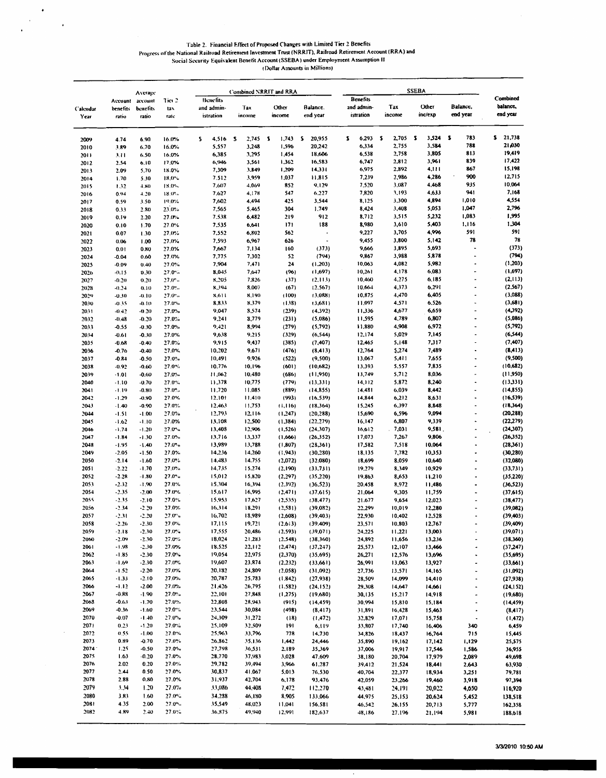$\mathcal{A}^{\mathcal{A}}$ 

# Table 2. Financial Effect of Proposed Changes with Limited Tier 2 Benefits<br>Progress of the National Railroad Retirement Investment Trust (NRRIT), Railroad Retirement Account (RRA) and<br>Social Security Equivalent Benefit Acc

|                         |                    | Average            |                           | Combined NRRIT and RRA |                         |   |                  |   |                     |   |                        |    |                         |   |                  |   |                  |   |                                                      |                        |
|-------------------------|--------------------|--------------------|---------------------------|------------------------|-------------------------|---|------------------|---|---------------------|---|------------------------|----|-------------------------|---|------------------|---|------------------|---|------------------------------------------------------|------------------------|
|                         | Account            | account            | Tier <sub>2</sub>         |                        | <b>Benefits</b>         |   |                  |   |                     |   |                        |    | <b>Benefits</b>         |   |                  |   |                  |   |                                                      | Combined               |
| <b>Calendar</b><br>Year | benefits<br>ratio  | beactits<br>ratio  | tax<br>rate               |                        | and admin-<br>istration |   | Tax<br>income    |   | Other<br>mcome      |   | Balance.<br>end year   |    | and admin-<br>istration |   | Tax<br>income    |   | Other<br>inc/exp |   | Balance,<br>end year                                 | balance,<br>end year   |
|                         |                    |                    |                           | s                      | 4,516                   | s | 2,745            | s | 1,743               | s | 20,955                 | z. | 6.293                   | s | 2,705            | 5 | 3,524            | s | 783                                                  | s<br>21,738            |
| 2009<br>2010            | 4.74<br>3.89       | 6.90<br>6.70       | 16.0%<br>16.0%            |                        | 5,557                   |   | 3,248            |   | 1,596               |   | 20,242                 |    | 6,334                   |   | 2,755            |   | 3,584            |   | 788                                                  | 21,030                 |
| 2011                    | 3.11               | 6.50               | 16.0%                     |                        | 6,385                   |   | 3,295            |   | 1,454               |   | 18,606                 |    | 6,538                   |   | 2,758            |   | 3,805            |   | 813                                                  | 19,419                 |
| 2012                    | 2.54               | 6.10               | 17.0%                     |                        | 6,946                   |   | 3,561            |   | 1,362               |   | 16,583                 |    | 6,747                   |   | 2,812            |   | 3,961            |   | 839                                                  | 17,422                 |
| 2013                    | 2.09               | 5.70               | 18.0%                     |                        | 7,309                   |   | 3,849            |   | 1,209               |   | 14.331                 |    | 6,975                   |   | 2,892            |   | 4,111            |   | 867                                                  | 15,198                 |
| 2014                    | 1.70               | 5.30               | 18.0%<br>18.0%            |                        | 7.512<br>7,607          |   | 3,959<br>4,069   |   | 1,037<br>852        |   | 11,815<br>9,129        |    | 7,239<br>7,520          |   | 2,986<br>3.087   |   | 4,286<br>4,468   |   | 900<br>935                                           | 12,715<br>10,064       |
| 2015<br>2016            | 1.32<br>0.94       | 4.80<br>4.20       | 18.0%                     |                        | 7.627                   |   | 4,178            |   | 547                 |   | 6,227                  |    | 7,820                   |   | 3,193            |   | 4,633            |   | 941                                                  | 7,168                  |
| 2017                    | 0.59               | 3.50               | 19.0%                     |                        | 7,602                   |   | 4,494            |   | 425                 |   | 3,544                  |    | 8,125                   |   | 3,300            |   | 4,894            |   | 1,010                                                | 4,554                  |
| 2018                    | 0.33               | 2.80               | 23.0%                     |                        | 7,565                   |   | 5,465            |   | 304                 |   | 1,749                  |    | 8,424                   |   | 3,408            |   | 5,053            |   | 1,047                                                | 2,796                  |
| 2019                    | 0.19               | 2.20               | 27.0%                     |                        | 7.538                   |   | 6,482            |   | 219                 |   | 912                    |    | 8,712                   |   | 3,515            |   | 5,232            |   | 1,083                                                | 1,995<br>1,304         |
| 2020<br>2021            | 0.10<br>0.07       | 1.70               | 27.0%<br>27.0%            |                        | 7,535<br>7,552          |   | 6,641<br>6,802   |   | 171<br>562          |   | 188                    |    | 8,980<br>9,227          |   | 3,610<br>3,705   |   | 5,403<br>4,996   |   | 1,116<br>591                                         | 591                    |
| 2022                    | 0.06               | 1.30<br>1.00       | 27.0%                     |                        | 7,593                   |   | 6,967            |   | 626                 |   |                        |    | 9,455                   |   | 3,800            |   | 5,142            |   | 78                                                   | 78                     |
| 2023                    | 0.01               | 0.80               | 27.0%                     |                        | 7,667                   |   | 7,134            |   | 160                 |   | (373)                  |    | 9,666                   |   | 3,895            |   | 5,693            |   |                                                      | (373)                  |
| 2024                    | $-0.04$            | 0.60               | 27.0%                     |                        | 7,775                   |   | 7,302            |   | 52                  |   | (794)                  |    | 9,867                   |   | 3,988            |   | 5,878            |   | $\blacksquare$                                       | (794)                  |
| 2025                    | -0.09              | 0.40               | 27.0%                     |                        | 7,904                   |   | 7,471            |   | 24                  |   | (1,203)                |    | 10,063                  |   | 4,082            |   | 5,982            |   | $\ddot{\phantom{0}}$                                 | (1, 203)               |
| 2026                    | $-0.15$            | 0.30               | 27.0%<br>$27.0^{\circ}$ . |                        | 8,045<br>8,205          |   | 7,647<br>7,826   |   | (96)<br>(37)        |   | (1,697)<br>(2,113)     |    | 10,261<br>10,460        |   | 4,178<br>4.275   |   | 6,083<br>6.185   |   | ÷,                                                   | (1,697)<br>(2, 113)    |
| 2027<br>2028            | $-0.20$<br>$-0.24$ | 0,20<br>0.10       | 27.0%                     |                        | 8,394                   |   | 8.007            |   | (67)                |   | (2.567)                |    | 10,664                  |   | 4,373            |   | 6,291            |   | $\overline{a}$                                       | (2, 567)               |
| 2029                    | $-0.30$            | $-0.10$            | 27.0%                     |                        | 8,611                   |   | 8,190            |   | (100)               |   | (3.088)                |    | 10,875                  |   | 4,470            |   | 6,405            |   | $\overline{a}$                                       | (3,088)                |
| 2030                    | -0.35              | $-0.10$            | 27.0%                     |                        | 8,833                   |   | 8.379            |   | (138)               |   | (3,681)                |    | 11,097                  |   | 4,571            |   | 6,526            |   | i.                                                   | (3,681)                |
| 2031                    | $-0.42$            | $-0.20$            | 27.0%                     |                        | 9,047                   |   | 8,574            |   | (239)               |   | (4.392)                |    | 11,336                  |   | 4,677            |   | 6,659            |   |                                                      | (4, 392)               |
| 2032                    | $-0.48$            | $-0.20$            | 27.0%                     |                        | 9,241                   |   | 8,779            |   | (231)               |   | (5,086)                |    | 11,595                  |   | 4,789<br>4,908   |   | 6,807<br>6,972   |   | $\overline{a}$                                       | (5,086)<br>(5,792)     |
| 2033<br>2034            | -0.55<br>$-0.61$   | $-0.30$<br>$-0.30$ | 27.0%<br>27.0%            |                        | 9,421<br>9,638          |   | 8,994<br>9,215   |   | (279)<br>(329)      |   | (5,792)<br>(6, 544)    |    | 11,880<br>12.174        |   | 5,029            |   | 7,145            |   |                                                      | (6, 544)               |
| 2035                    | $-0.68$            | $-0.40$            | 27.0%                     |                        | 9,915                   |   | 9,437            |   | (385)               |   | (7, 407)               |    | 12,465                  |   | 5,148            |   | 7,317            |   | Ĭ.                                                   | (7, 407)               |
| 2036                    | -0.76              | $-0.40$            | 27.0%                     |                        | 10,202                  |   | 9,671            |   | (476)               |   | (8, 413)               |    | 12,764                  |   | 5,274            |   | 7,489            |   | ٠                                                    | (8, 413)               |
| 2037                    | $-0.84$            | $-0.50$            | 27.0%                     |                        | 10,491                  |   | 9,926            |   | (522)               |   | (9,500)                |    | 13,067                  |   | 5,411            |   | 7.655            |   | ٠                                                    | (9,500)                |
| 2038                    | $-0.92$            | $-0.60$            | 27.0%                     |                        | 10,776                  |   | 10,196           |   | (601)               |   | (10,682)               |    | 13,393                  |   | 5.557            |   | 7,835            |   | ٠                                                    | (10,682)               |
| 2039                    | $-1.01$            | $-0.60$<br>$-0.70$ | 27.0%<br>27.0%            |                        | 11,062<br>11,378        |   | 10,480<br>10,775 |   | (686)<br>(779)      |   | (11,950)<br>(13, 331)  |    | 13,749<br>14,112        |   | 5,712<br>5,872   |   | 8.036<br>8,240   |   | ä,                                                   | (11,950)<br>(13,331)   |
| 2040<br>2041            | $-1.10$<br>$-1.19$ | $-0.80$            | 27.0%                     |                        | 11.720                  |   | 11,085           |   | (889)               |   | (14, 855)              |    | 14,481                  |   | 6,039            |   | 8,442            |   | $\overline{a}$                                       | (14, 855)              |
| 2042                    | $-1.29$            | $-0.90$            | 27.0 <sup>w</sup>         |                        | 12.101                  |   | 11,410           |   | (993)               |   | (16, 539)              |    | 14,844                  |   | 6,212            |   | 8,631            |   |                                                      | (16, 539)              |
| 2043                    | $-1.40$            | $-0.90$            | 27.0%                     |                        | 12.463                  |   | 11,753           |   | (1, 116)            |   | (18,364)               |    | 15,245                  |   | 6,397            |   | 8,848            |   | Ĭ.                                                   | (18,364)               |
| 2044                    | $-1.51$            | $-1.00$            | 27.0%                     |                        | 12,793                  |   | 12,116           |   | (1,247)             |   | (20, 288)              |    | 15,690                  |   | 6,596            |   | 9,094            |   | $\overline{a}$                                       | (20, 288)              |
| 2045                    | $-1.62$            | $-1.10$            | 27.0%                     |                        | 13,108                  |   | 12,500<br>12,906 |   | (1,384)             |   | (22, 279)              |    | 16,147                  |   | 6,807            |   | 9,339<br>9,581.  |   | $\ddot{\phantom{1}}$<br>٠                            | (22, 279)              |
| 2046<br>2047            | $-1.74$<br>-1.84   | $-1.20$<br>$-1.30$ | 27.0%<br>27.0%            |                        | 13,408<br>13,716        |   | 13,337           |   | (1, 526)<br>(1,666) |   | (24, 307)<br>(26, 352) |    | 16,612<br>17,073        |   | .7,031<br>7,267  |   | 9,806            |   | ٠                                                    | (24, 307)<br>(26,352)  |
| 2048                    | -1.95              | $-1.40$            | 27.0%                     |                        | 13,989                  |   | 13,788           |   | (1, 807)            |   | (28,361)               |    | 17,582                  |   | 7,518            |   | 10.064           |   |                                                      | (28,361)               |
| 2049                    | $-2.05$            | $-1.50$            | 27.0%                     |                        | 14,236                  |   | 14,260           |   | (1, 943)            |   | (30, 280)              |    | 18,135                  |   | 7,782            |   | 10,353           |   | ٠                                                    | (30, 280)              |
| 2050                    | $-2.14$            | $-1.60$            | 27.0%                     |                        | 14.483                  |   | 14.755           |   | (2,072)             |   | (32.080)               |    | 18,699                  |   | 8,059            |   | 10,640           |   | $\ddot{\phantom{0}}$                                 | (32,080)               |
| 2051                    | $-2.22$            | $-1.70$            | 27,0%                     |                        | 14,735                  |   | 15,274           |   | (2,190)             |   | (33,731)               |    | 19,279                  |   | 8.349            |   | 10,929           |   |                                                      | (33,731)               |
| 2052<br>2053            | $-2.28$<br>$-2.32$ | $-1.80$<br>$-1.90$ | $27.0$ $%$<br>27.0%       |                        | 15,012<br>15,304        |   | 15,820<br>16,394 |   | (2, 297)<br>(2,392) |   | (35.220)<br>(36, 523)  |    | 19,863<br>20.458        |   | 8,653<br>8,972   |   | 11,210<br>11,486 |   | ٠<br>$\cdot$                                         | (35, 220)<br>(36, 523) |
| 2054                    | -2.35              | $-2.00$            | 27.0%                     |                        | 15,617                  |   | 16,995           |   | (2,471)             |   | (37, 615)              |    | 21,064                  |   | 9,305            |   | 11,759           |   | $\ddot{\phantom{0}}$                                 | (37, 615)              |
| 2055                    | -2.35              | $-2.10$            | 27.0%                     |                        | 15,953                  |   | 17,627           |   | (2, 535)            |   | (38, 477)              |    | 21.677                  |   | 9,654            |   | 12,023           |   | $\overline{a}$                                       | (38, 477)              |
| 2056                    | $-2.34$            | $-2.20$            | 27.0%                     |                        | 16,314                  |   | 18,291           |   | (2, 581)            |   | (39,082)               |    | 22,299                  |   | 10,019           |   | 12,280           |   | $\blacksquare$                                       | (39,082)               |
| 2057                    | -2.31              | $-2.20$            | 27.0%                     |                        | 16,702                  |   | 18,989           |   | (2,608)             |   | (39, 403)              |    | 22,930                  |   | 10,402           |   | 12,528           |   |                                                      | (39, 403)              |
| 2058<br>2059            | $-2.26$<br>$-2.18$ | $-2.30$<br>$-2.30$ | 27.0%<br>27.0%            |                        | 17,115<br>17.555        |   | 19,721<br>20,486 |   | (2.613)<br>(2, 593) |   | (39, 409)<br>(39,071)  |    | 23,571<br>24,225        |   | 10,803<br>11,221 |   | 12,767<br>13,003 |   |                                                      | (39,409)<br>(39,071)   |
| 2060                    | $-2.09$            | $-2.30$            | 27.0%                     |                        | 18,024                  |   | 21,283           |   | (2.548)             |   | (38, 360)              |    | 24,892                  |   | 11,656           |   | 13,236           |   | $\overline{\phantom{a}}$<br>$\overline{\phantom{a}}$ | (38,360)               |
| 2061                    | -1.98              | $-2.30$            | 27.0%                     |                        | 18.525                  |   | 22,112           |   | (2, 474)            |   | (37.247)               |    | 25,573                  |   | 12,107           |   | 13,466           |   | ÷                                                    | (37,247)               |
| 2062                    | $-1.85$            | $-2.30$            | 27.0%                     |                        | 19,054                  |   | 22.975           |   | (2,370)             |   | (35,695)               |    | 26,271                  |   | 12,576           |   | 13.696           |   | $\overline{\phantom{a}}$                             | (35,695)               |
| 2063                    | $-1.69$            | $-2.30$            | 27.0%                     |                        | 19,607                  |   | 23,874           |   | (2, 232)            |   | (33,661)               |    | 26,991                  |   | 13,063           |   | 13,927           |   | $\cdot$                                              | (33,661)               |
| 2064                    | -1.52              | $-2.20$            | 27.0%                     |                        | 20,182                  |   | 24,809           |   | (2,058)             |   | (31,092)               |    | 27,736                  |   | 13.571           |   | 14,165           |   | ÷                                                    | (31,092)               |
| 2065<br>2066            | $-1.33$<br>$-1.12$ | $-2.10$<br>$-2.00$ | 27.0%<br>27.0%            |                        | 20,787<br>21.426        |   | 25,783<br>26,795 |   | (1.842)<br>(1.582)  |   | (27.938)<br>(24, 152)  |    | 28,509<br>29,308        |   | 14,099<br>14,647 |   | 14,410<br>14,66  |   | $\ddot{\phantom{0}}$<br>$\overline{\phantom{a}}$     | (27, 938)<br>(24, 152) |
| 2067                    | $-0.88$            | $-1.90$            | 27.0%                     |                        | 22,101                  |   | 27,848           |   | (1, 275)            |   | (19,680)               |    | 30,135                  |   | 15,217           |   | 14,918           |   | $\cdot$                                              | (19,680)               |
| 2063                    | $-0.63$            | $-1.70$            | 27.0%                     |                        | 22,808                  |   | 28,943           |   | (915)               |   | (14, 459)              |    | 30,994                  |   | 15,810           |   | 15,184           |   | $\hat{\phantom{a}}$                                  | (14, 459)              |
| 2069                    | $-0.36$            | $-1.60$            | 27.0%                     |                        | 23,544                  |   | 30,084           |   | (498)               |   | (8, 417)               |    | 31,891                  |   | 16,428           |   | 15,463           |   | $\bullet$                                            | (8, 417)               |
| 2070                    | $-0.07$            | $-1.40$            | 27.0%                     |                        | 24,309                  |   | 31,272           |   | (18)                |   | (1, 472)               |    | 32,829                  |   | 17,071           |   | 15,758           |   | $\overline{\phantom{a}}$                             | (1, 472)               |
| 2071<br>2072            | 0.23<br>0.55       | $-1.20$<br>$-1.00$ | 27.0%<br>27.0%            |                        | 25,109<br>25.963        |   | 32,509<br>33,796 |   | 191<br>778          |   | 6,119                  |    | 33,807                  |   | 17,740           |   | 16,406           |   | 340                                                  | 6,459<br>15,445        |
| 2073                    | 0.89               | $-0.70$            | 27.0%                     |                        | 26,862                  |   | 35,136           |   | 1,442               |   | 14,730<br>24,446       |    | 34,826<br>35,890        |   | 18,437<br>19,162 |   | 16,764<br>17,142 |   | 715<br>1,129                                         | 25,575                 |
| 2074                    | 1.25               | $-0.50$            | 27.0%                     |                        | 27,798                  |   | 36,531           |   | 2,189               |   | 35,369                 |    | 37,006                  |   | 19,917           |   | 17,546           |   | 1,586                                                | 36,955                 |
| 2075                    | 1.63               | $-0.20$            | 27.0%                     |                        | 28,770                  |   | 37,983           |   | 3,028               |   | 47,609                 |    | 38,180                  |   | 20,704           |   | 17,979           |   | 2,089                                                | 49,698                 |
| 2076                    | 2.02               | 0.20               | 27.0%                     |                        | 29,782                  |   | 39,494           |   | 3,966               |   | 61,287                 |    | 39,412                  |   | 21,524           |   | 18,441           |   | 2,643                                                | 63,930                 |
| 2077                    | 2.44               | 0.50               | 27.0%                     |                        | 30,837                  |   | 41,067           |   | 5.013               |   | 76.530                 |    | 40,704                  |   | 22,377           |   | 18,934           |   | 3,251                                                | 79,781                 |
| 2078<br>2079            | 2.88               | 0.80<br>1.20       | 27.0%                     |                        | 31,937                  |   | 42,704           |   | 6,178               |   | 93,476                 |    | 42,059                  |   | 23,266           |   | 19,460           |   | 3,918                                                | 97,394                 |
| 2080                    | 3.34<br>3.83       | 1.60               | 27.0%<br>27.0%            |                        | 33,086<br>34,288        |   | 44,408<br>46,180 |   | 7,472<br>8,905      |   | 112,270<br>133,066     |    | 43,481<br>44,975        |   | 24,191<br>25,153 |   | 20,022<br>20,624 |   | 4,650<br>5,452                                       | 116,920<br>138,518     |
| 2081                    | 4.35               | 2.00               | 27.0%                     |                        | 35,549                  |   | 48,023           |   | 11,041              |   | 156.581                |    | 46,542                  |   | 26.155           |   | 20,713           |   | 5,777                                                | 162,358                |
| 2082                    | 4.89               | 2.40               | 27.0%                     |                        | 36,875                  |   | 49,940           |   | 12,991              |   | 182,637                |    | 48,186                  |   | 27.196           |   | 21.194           |   | 5,981                                                | 188,618                |
|                         |                    |                    |                           |                        |                         |   |                  |   |                     |   |                        |    |                         |   |                  |   |                  |   |                                                      |                        |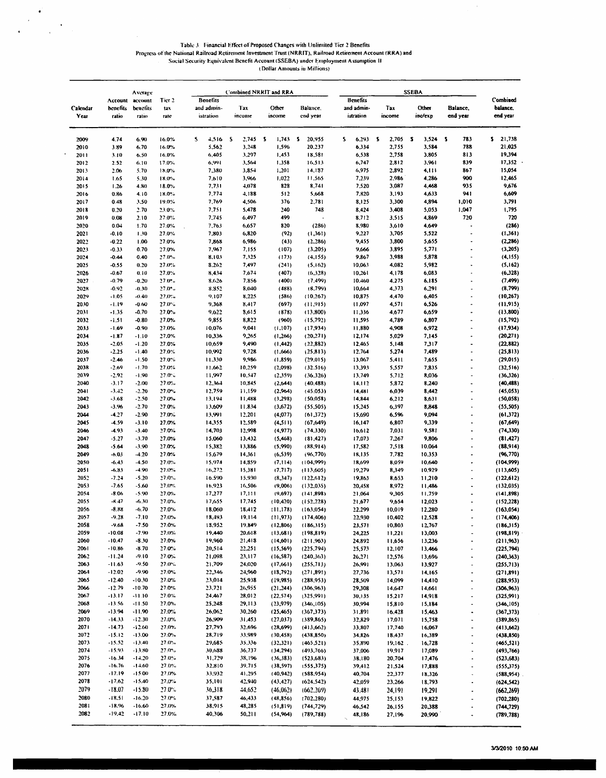Table 3. Financial Effect of Proposed Changes with Unlimited Tier 2 Benefits<br>Progress of the National Railroad Retirement Investment Trust (NRRIT), Railroad Retirement Account (RRA) and<br>Social Security Equivalent Benefit A

|              |                      | Average                     |                          |                        |                  | Combined NRRIT and RRA |                          |                        |                  |                  |                          |                          |
|--------------|----------------------|-----------------------------|--------------------------|------------------------|------------------|------------------------|--------------------------|------------------------|------------------|------------------|--------------------------|--------------------------|
| Calendar     | benefits             | Account account<br>benefits | Tier <sub>2</sub><br>tax | Benefits<br>and admin- | Tax              | Other                  | Balance,                 | Benefits<br>and admin- | Tax              | Other            | Balance,                 | Combined<br>balance.     |
| Year         | ratio                | ratio                       | rate                     | istration              | income           | income                 | end year                 | istration              | income           | inc/exp          | end year                 | end year                 |
| 2009         | 4.74                 | 6.90                        | 16.0%                    | s.<br>4,516            | s<br>2,745       | S<br>1,743             | s.<br>20,955             | s<br>6,293             | s<br>2,705       | s<br>3,524       | -5<br>783                | \$21,738                 |
| 2010         | 3.89                 | 6.70                        | 16.0%                    | 5,562                  | 3,248            | 1,596                  | 20,237                   | 6,334                  | 2,755            | 3,584            | 788                      | 21,025                   |
| 2011         | 3.10                 | 6.50                        | 16.0%                    | 6,405                  | 3,297            | 1,453                  | 18,581                   | 6,538                  | 2,758            | 3,805            | 813                      | 19,394                   |
| 2012         | 2.52                 | 6.10                        | 17.0%                    | 6,991                  | 3,564            | 1,358                  | 16,513                   | 6,747                  | 2,812            | 3,961            | 839                      | 17,352                   |
| 2013         | 2.06                 | 5.70                        | 18.0%                    | 7,380                  | 3,854            | 1,201                  | 14,187                   | 6,975                  | 2,892<br>2,986   | 4,111<br>4.286   | 867                      | 15,054<br>12,465         |
| 2014<br>2015 | 1.65<br>1.26         | 5.30<br>4.80                | 18.0%<br>18.0%           | 7.610<br>7,731         | 3,966<br>4,078   | 1.022<br>828           | 11,565<br>8,741          | 7,239<br>7,520         | 3,087            | 4,468            | 900<br>935               | 9,676                    |
| 2016         | 0.86                 | 4.10                        | 18.0%                    | 7,774                  | 4.188            | 512                    | 5,668                    | 7,820                  | 3,193            | 4,633            | 941                      | 6,609                    |
| 2017         | 0.48                 | 3.50                        | 19.0%                    | 7,769                  | 4,506            | 376                    | 2,781                    | 8,125                  | 3,300            | 4,894            | 1,010                    | 3,791                    |
| 2018         | 0.20                 | 2.70                        | 23.0%                    | 7,751                  | 5,478            | 240                    | 748                      | 8,424                  | 3,408            | 5,053            | 1,047                    | 1,795                    |
| 2019         | 0.08                 | 2.10                        | 27.0%                    | 7.745                  | 6,497            | 499                    |                          | 8,712                  | 3,515            | 4,869            | 720                      | 720                      |
| 2020         | 0.01                 | 1.70                        | 27.0%                    | 7,763                  | 6,657            | 320                    | (286)                    | 8,980                  | 3,610            | 4,649            |                          | (286)                    |
| 2021         | -0.10                | 1.30                        | 27.0%                    | 7,803                  | 6,820            | (92)                   | (1,361)                  | 9,227                  | 3,705            | 5,522            |                          | (1,361)                  |
| 2022         | $-0.22$              | 1.00                        | 27.0%                    | 7,868                  | 6,986            | (43)                   | (2, 286)                 | 9,455                  | 3,800            | 5,655            | $\overline{a}$           | (2,286)                  |
| 2023         | $-0.33$              | 0.70                        | 27.0%                    | 7,967                  | 7,155            | (107)                  | (3.205)                  | 9,666                  | 3,895            | 5,771            |                          | (3,205)                  |
| 2024         | $-0.44$              | 0.40                        | 27.0%                    | 8,103                  | 7,325            | (173)                  | (4,155)                  | 9.867                  | 3,988            | 5,878            |                          | (4, 155)                 |
| 2025         | $-0.55$              | 0.20                        | 27.0%                    | 8,262                  | 7,497            | (241)                  | (5,162)                  | 10,063                 | 4,082            | 5,982            | $\ddot{\phantom{0}}$     | (5,162)                  |
| 2026         | $-0.67$              | 0.10                        | 27.0%                    | 8,434                  | 7,674            | (407)                  | (6,328)                  | 10,261                 | 4,178            | 6,083            |                          | (6,328)                  |
| 2027<br>2028 | $-0.79$<br>$-0.92$   | $-0.20$<br>$-0.30$          | 27.0%<br>27.0%           | 8.626<br>8,852         | 7,856<br>8,040   | (400)<br>(488)         | (7.499)<br>(8,799)       | 10,460<br>10,664       | 4,275<br>4,373   | 6,185<br>6,291   |                          | (7,499)<br>(8,799)       |
| 2029         | $-1.05$              | $-0.40$                     | 27.0%                    | 9,107                  | 8,225            | (586)                  | (10, 267)                | 10,875                 | 4,470            | 6,405            |                          | (10, 267)                |
| 2030         | -1.19                | $-0.60$                     | 27.0%                    | 9,368                  | 8,417            | (697)                  | (11, 915)                | 11.097                 | 4,571            | 6,526            |                          | (11.915)                 |
| 2031         | -1.35                | $-0.70$                     | 27.0%                    | 9,622                  | 8,615            | (878)                  | (13,800)                 | 11,336                 | 4,677            | 6,659            | $\overline{a}$           | (13,800)                 |
| 2032         | $-1.51$              | $-0.80$                     | 27.0%                    | 9,855                  | 8,822            | (960)                  | (15,792)                 | 11,595                 | 4,789            | 6,807            |                          | (15,792)                 |
| 2033         | $-1.69$              | $-0.90$                     | 27.0%                    | 10,076                 | 9,041            | (1.107)                | (17,934)                 | 11,830                 | 4,908            | 6,972            |                          | (17, 934)                |
| 2034         | $-1.87$              | $-1.10$                     | 27.0%                    | 10.336                 | 9,265            | (1, 266)               | (20, 271)                | 12,174                 | 5,029            | 7,145            | ٠                        | (20,271)                 |
| 2035         | $-2.05$              | $-1.20$                     | 27.0%                    | 10,659                 | 9,490            | (1, 442)               | (22,882)                 | 12,465                 | 5,148            | 7317             |                          | (22, 882)                |
| 2036         | $-2.25$              | $-1.40$                     | 27.0%                    | 10,992                 | 9,728            | (1,666)                | (25, 813)                | 12.764                 | 5,274            | 7,489            |                          | (25, 813)                |
| 2037         | $-2.46$              | $-1.50$                     | 27.0%                    | 11,330                 | 9,986            | (1,859)                | (29,015)                 | 13,067                 | 5,411            | 7,655            | ٠                        | (29,015)                 |
| 2038         | $-2.69$              | $-1.70$                     | 27.0%                    | 11.662                 | 10,259           | (2.098)                | (32.516)                 | 13,393                 | 5,557            | 7,835            |                          | (32, 516)                |
| 2039         | $-2.92$              | $-1.90$                     | 27.0%                    | 11,997                 | 10,547           | (2,359)                | (36, 326)                | 13,749                 | 5,712            | 8,036            |                          | (36,326)                 |
| 2040         | $-3.17$              | $-2.00$                     | 27.0%                    | 12,364                 | 10.845           | (2,644)                | (40, 488)                | 14,112                 | 5,872            | 8,240            |                          | (40, 488)                |
| 2041         | $-3.42$              | $-2.20$                     | 27.0%                    | 12,759                 | 11,159           | (2,964)                | (45.053)                 | 14,481                 | 6,039            | 8,442            |                          | (45,053)                 |
| 2042         | $-3.68$              | $-2.50$                     | 27.0%                    | 13,194                 | 11,488           | (3,298)                | (50, 058)                | 14,844                 | 6,212            | 8,631            |                          | (50,058)                 |
| 2043<br>2044 | $-3.96$<br>$-4.27$   | $-2.70$<br>$-2.90$          | 27.0%<br>27.0%           | 13,609<br>13,991       | 11.834<br>12,201 | (3,672)<br>(4,077)     | (55, 505)<br>(61, 372)   | 15,245<br>15,690       | 6,397<br>6,596   | 8,848<br>9,094   |                          | (55, 505)<br>(61,372)    |
| 2045         | $-4.59$              | $-3.10$                     | 27.0%                    | 14,355                 | 12,589           | (4, 511)               | (67, 649)                | 16,147                 | 6,807            | 9,339            |                          | (67, 649)                |
| 2046         | $-4.93$              | $-3.40$                     | 27.0%                    | 14,703                 | 12,998           | (4,977)                | (74.330)                 | 16,612                 | 7,031            | 9,581            |                          | (74,330)                 |
| 2047         | $-5.27$              | $-3.70$                     | 27.0%                    | 15.060                 | 13,432           | (5, 468)               | (81, 427)                | 17,073                 | 7,267            | 9,806            |                          | (81, 427)                |
| 2048         | $-5.64$              | $-3.90$                     | 27.0%                    | 15,382                 | 13,886           | (5,990)                | (88,914)                 | 17,582                 | 7,518            | 10.064           |                          | (88,914)                 |
| 2049         | $-6.03$              | $-4.20$                     | 27.0%                    | 15.679                 | 14,361           | (6, 539)               | (96, 770)                | 18,135                 | 7,782            | 10,353           |                          | (96, 770)                |
| 2050         | $-6.43$              | $-4.50$                     | 27.0%                    | 15,974                 | 14,359           | (7.114)                | (104,999)                | 18,699                 | 8,059            | 10,640           |                          | (104,999)                |
| 2051         | -6.83                | $-4.90$                     | 27.0%                    | 16,272                 | 15,381           | (7.717)                | (113,605)                | 19,279                 | 8,349            | 10,929           |                          | (113,605)                |
| 2052         | $-7.24$              | $-5.20$                     | 27.0%                    | 16.590                 | 15,930           | (8, 347)               | (122.612)                | 19,863                 | 8,653            | 11,210           |                          | (122, 612)               |
| 2053         | $-7.65$              | $-5.60$                     | 27.0%                    | 16,923                 | 16,506           | (9,006)                | (132,035)                | 20,458                 | 8,972            | 11,486           |                          | (132,035)                |
| 2054         | $-8.06$              | -5.90                       | 27.0%                    | 17,277                 | 17,111           | (9,697)                | (141, 898)               | 21,064                 | 9,305            | 11,759           |                          | (141,898)                |
| 2055         | $-8.47$              | $-6.30$                     | 27.0%                    | 17,655                 | 17,745           | (10, 420)              | (152, 228)               | 21,677                 | 9,654            | 12,023           |                          | (152, 228)               |
| 2056         | -8.88                | $-6.70$                     | 27.0%                    | 18,060                 | 18.412           | (11, 178)              | (163,054)                | 22,299                 | 10,019           | 12,280           |                          | (163, 054)               |
| 2057         | $-9.28$              | $-7.10$                     | 27.0%                    | 18,493                 | 19,114           | (11, 973)              | (174, 406)               | 22,930                 | 10,402           | 12,528           |                          | (174, 406)               |
| 2058<br>2059 | -9.68<br>$-10.08$    | $-7.50$                     | 27.0%                    | 18,952<br>19,440       | 19,849           | (12, 806)              | (186,315)                | 23,571                 | 10,803           | 12,767           |                          | (186,315)                |
| 2060         | $-10.47$             | $-7.90$<br>$-8.30$          | 27.0%<br>27.0%           | 19,960                 | 20.618<br>21,418 | (13,681)               | (198, 819)               | 24,225                 | 11,221           | 13,003           |                          | (198, 819)<br>(211,963)  |
| 2061         | $-10.86$             | $-8.70$                     | 27.0%                    | 20,514                 | 22,251           | (14,601)<br>(15, 569)  | (211,963)<br>(225, 794)  | 24,892<br>25,573       | 11,656<br>12,107 | 13,236<br>13,466 | $\overline{a}$           | (225, 794)               |
| 2062         | $-11.24$             | $-9.10$                     | 27.0%                    | 21,098                 | 23,117           | (16, 587)              | (240, 363)               | 26,271                 | 12,576           | 13,696           | ٠                        | (240, 363)               |
| 2063         | $-11.63$             | $-9.50$                     | 27.0%                    | 21,709                 | 24,020           | (17,661)               | (255,713)                | 26,991                 | 13,063           | 13,927           |                          | (255,713)                |
| 2064         | $-12.02$             | $-9.90$                     | 27.0%                    | 22,346                 | 24,960           | (13,792)               | (271, 891)               | 27,736                 | 13,571           | 14,165           | $\ddot{\phantom{0}}$     | (271,891)                |
| 2065         | $-12.40$             | $-10.30$                    | 27.0%                    | 23,014                 | 25,938           | (19,985)               | (288, 953)               | 28,509                 | 14,099           | 14,410           | ÷,                       | (288,953)                |
| 2066         | $-12.79$             | $-10.70$                    | 27.0%                    | 23,721                 | 26,955           | (21, 244)              | (306, 963)               | 29,308                 | 14,647           | 14,661           | ÷                        | (306, 963)               |
| 2067         | $-13.17$             | $-11.10$                    | 27.0%                    | 24,467                 | 28,012           | (22, 574)              | (325,991)                | 30,135                 | 15,217           | 14,918           | $\overline{\phantom{a}}$ | (325,991)                |
| 2068         | $-13.56$             | $-11.50$                    | 27.0%                    | 25,248                 | 29,113           | (23, 979)              | (346, 105)               | 30,994                 | 15,810           | 15,184           | $\overline{a}$           | (346, 105)               |
| 2069         | $-13.94$             | $-11.90$                    | 27.0%                    | 26,062                 | 30,260           | (25, 465)              | (367,373)                | 31,891                 | 16,428           | 15,463           |                          | (367,373)                |
| 2070         | $-14.33$             | $-12.30$                    | 27.0%                    | 26,909                 | 31,453           | (27.037)               | (389, 865)               | 32,829                 | 17,071           | 15,758           | $\ddot{\phantom{0}}$     | (389, 865)               |
| 2071         | $-14.73$             | $-12.60$                    | 27.0%                    | 27,793                 | 32,696           | (28,699)               | (413, 662)               | 33,807                 | 17,740           | 16,067           |                          | (413,662)                |
| 2072         | $-15.12$             | -13.00                      | 27.0%                    | 28,719                 | 33,989           | (30, 458)              | (438, 850)               | 34,826                 | 18,437           | 16,389           | ٠                        | (438, 850)               |
| 2073         | $-15.52$             | $-13.40$                    | 27.0%                    | 29,685                 | 35,336           | (32, 321)              | (465, 521)               | 35,890                 | $19,162$ .       | 16,728           |                          | (465, 521)               |
| 2074         | $-15.93$             | $-13.80$                    | 27.0%                    | 30,688                 | 36,737           | (34, 294)              | (493, 766)               | 37,006                 | 19,917           | 17,089           |                          | (493, 766)               |
| 2075<br>2076 | $-16.34$<br>$-16.76$ | $-14.20$<br>$-14.60$        | $27.0\%$<br>27.0%        | 31,729                 | 38,196           | (36, 383)              | (523, 683)               | 38,180                 | 20,704           | 17,476           | ٠                        | (523, 683)               |
| 2077         | $-17.19$             | $-15.00$                    | 27.0%                    | 32.810<br>33,932       | 39,715<br>41,295 | (38, 597)              | (555,375)                | 39,412                 | 21,524           | 17,888           | $\overline{a}$           | (555,375)                |
| 2078         | $-17.62$             | $-15.40$                    | 27.0%                    | 35,101                 | 42,940           | (40.942)<br>(43, 427)  | (588, 954)               | 40,704<br>42,059       | 22,377           | 18,326           | $\ddot{\phantom{0}}$     | (588, 954)               |
| 2079         | $-18.07$             | $-15.30$                    | 27.0%                    | 36,318                 | 44,652           |                        | (624, 542)               |                        | 23,266           | 18,793           |                          | (624, 542)               |
| 2080         | $-18.51$             | $-16.20$                    | 27.0%                    | 37,587                 | 46,433           | (46,062)<br>(48, 856)  | (662, 269)<br>(702, 280) | 43,481                 | 24,191           | 19,291           |                          | (662, 269)               |
|              |                      | $-16.60$                    | 27.0%                    | 38,915                 | 48,285           | (51, 819)              | (744, 729)               | 44,975<br>46,542       | 25,153<br>26,155 | 19,822<br>20,388 | ä,                       | (702, 280)<br>(744, 729) |
| 2081         | $-18.96$             |                             |                          |                        |                  |                        |                          |                        |                  |                  |                          |                          |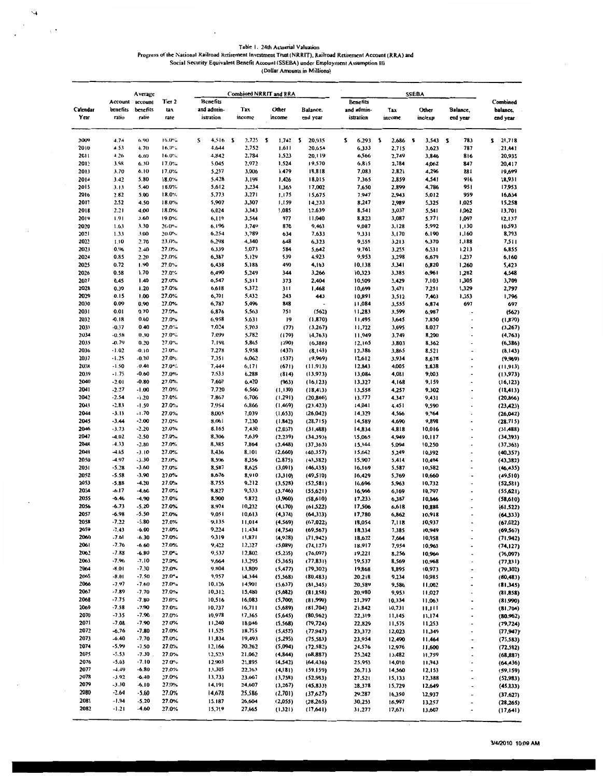$\cdot$ 

 $\tilde{\mathcal{A}}$  $\sim$   $\sim$ 

 $\ddot{\cdot}$ 

 $\bar{z}$ 

 $\sim$   $\sim$ 

# Table 1. 24th Actuarial Valuation<br>Progress of the National Railroad Retirement Investment Trust (NRRIT), Railroad Retirement Account (RRA) and<br>Social Security Equivalent Benefit Account (SSEBA) under Employment Assumption

| Benefits<br>Account<br>account<br>Tier <sub>2</sub><br><b>Benefits</b><br>Combined<br>benefits<br>benefits<br>and admin-<br>Tax<br>Calendar<br>tax<br>Other<br>Balance,<br>and admin-<br>Tax<br>Other<br>Balance,<br>balance.<br>Year<br>ratio<br>istration<br>income<br>ratio<br>rate<br>end year<br>income<br>istration<br>income<br>inc/exp<br>end year<br>end year<br>4.74<br>s<br>2009<br>6.90<br>16.0%<br>s<br>4,516<br>2,725<br>s<br>1,742<br>$\mathbf{S}$<br>20,935<br>\$<br>6,293<br>5<br>2,686<br>s<br>3,543<br>783<br>21,718<br>s<br>2<br>2010<br>4.53<br>16.0%<br>4,644<br>2,752<br>20,654<br>6,333<br>6.70<br>1,611<br>2,715<br>3,623<br>787<br>21,441<br>2011<br>4.26<br>4,842<br>2,784<br>1,523<br>6.60<br>16.0%<br>20,119<br>6,566<br>2,749<br>3,846<br>20,935<br>816<br>2012<br>3.98<br>5,045<br>2,972<br>6.30<br>17.0%<br>1,524<br>19,570<br>6,815<br>2,784<br>4,062<br>847<br>20,417<br>1,479<br>2013<br>3.70<br>6.10<br>17.0%<br>5,237<br>3,006<br>18,818<br>7,083<br>2,821<br>881<br>4,296<br>19,699<br>2014<br>3.42<br>5.80<br>18.0%<br>5,428<br>3,198<br>1,426<br>18,015<br>7,365<br>2,859<br>4,541<br>916<br>18,931<br>2015<br>3.13<br>5.40<br>18.0%<br>5,612<br>3,234<br>1,365<br>17,002<br>7,650<br>2,899<br>4,786<br>95 I<br>17,953<br>5,773<br>2016<br>2.82<br>5.00<br>18.0%<br>3,271<br>1,175<br>15,675<br>7,947<br>2,943<br>5,012<br>959<br>16,634<br>2017<br>2.52<br>4.50<br>5,907<br>3,307<br>18.0%<br>1,159<br>14,233<br>8,247<br>2,989<br>5,325<br>1,025<br>15,258<br>2018<br>6,024<br>2.21<br>4.00<br>18.0%<br>3,343<br>1,085<br>8,541<br>13,701<br>12,639<br>3,037<br>5,541<br>1,062<br>2019<br>1.91<br>977<br>3.60<br>19.0%<br>6,119<br>3,544<br>11,040<br>8,823<br>3,087<br>5,771<br>1,097<br>12,137<br>2020<br>3.30<br>6,196<br>3,749<br>870<br>1.63<br>$20.0\%$<br>9,463<br>9,087<br>3,128<br>5,992<br>1,130<br>10,593<br>2021<br>1.33<br>3.00<br>20.0%<br>6,254<br>3,789<br>7,633<br>634<br>9,331<br>3,170<br>6,190<br>1,160<br>8,793<br>2022<br>1.10<br>2.70<br>6,298<br>648<br>9,555<br>23.0%<br>4,340<br>6,323<br>3,213<br>1,188<br>7,511<br>6,370<br>2023<br>0.96<br>2.40<br>27.0%<br>6,339<br>5,073<br>584<br>5,642<br>9,761<br>3,255<br>6,531<br>1,213<br>6,855<br>2024<br>0.85<br>2.20<br>27.0%<br>6,387<br>5,129<br>539<br>4,923<br>9,953<br>3,298<br>1,237<br>6,679<br>6,160<br>2025<br>0.72<br>6,438<br>5,188<br>490<br>1.90<br>27.0%<br>4,163<br>10,138<br>3,341<br>6,820<br>1,260<br>5,423<br>2026<br>0.58<br>1.70<br>27.0%<br>6,490<br>5,249<br>344<br>3,266<br>10,323<br>3,385<br>6,961<br>1,282<br>4,548<br>2027<br>1.40<br>27.0%<br>6,547<br>5,311<br>0.45<br>373<br>2,404<br>10,509<br>3,429<br>7,103<br>1,305<br>3,709<br>2028<br>0.30<br>27.0%<br>5,372<br>311<br>1.20<br>6,618<br>1,468<br>10,699<br>3,471<br>7,251<br>1,329<br>2,797<br>2029<br>0.15<br>6,701<br>5,432<br>1.00<br>27.0%<br>243<br>443<br>10,891<br>1,353<br>3,512<br>7,403<br>1,796<br>2030<br>0.09<br>27.0%<br>6,787<br>5,496<br>0.90<br>848<br>11,084<br>3,555<br>6,874<br>697<br>697<br>2031<br>0.01<br>0.70<br>6,876<br>751<br>27.0%<br>5,563<br>(562)<br>11,283<br>3,599<br>6,987<br>(562)<br>٠<br>2032<br>$-0.18$<br>6.958<br>0.60<br>27.0%<br>5,631<br>19<br>(1, 870)<br>11,495<br>3,645<br>7,850<br>(1,870)<br>2033<br>7,024<br>$-0.37$<br>0.40<br>27.0%<br>5,703<br>(77)<br>(3,267)<br>11,722<br>3,695<br>8,027<br>(3,267)<br>٠<br>2034<br>$-0.58$<br>27.0%<br>7,099<br>5,782<br>0.30<br>(179)<br>(4,763)<br>11,949<br>3,749<br>8,200<br>(4,763)<br>$\ddot{\phantom{0}}$<br>2035<br>$-0.79$<br>0.20<br>27.0%<br>7.198<br>5,865<br>(290)<br>(6,386)<br>3,803<br>12,165<br>8,362<br>(6,386)<br>٠<br>2036<br>7.278<br>$-1.02$<br>$-0.10$<br>27.0%<br>5,958<br>(437)<br>12,386<br>(8, 143)<br>3,865<br>8,521<br>(8,143)<br>2037<br>$-1.25$<br>$-0.20$<br>27.0%<br>7,351<br>6,062<br>(537)<br>(9,969)<br>12,612<br>3,934<br>8,678<br>(9,969)<br>2038<br>$-1.50$<br>27.0%<br>$-0.40$<br>7,444<br>6,171<br>(671)<br>12,843<br>4,005<br>(11, 913)<br>8,838<br>(11, 913)<br>2039<br>$-1.75$<br>27.0%<br>7,533<br>$-0.60$<br>6,288<br>(814)<br>13,084<br>(13,973)<br>4,081<br>9,003<br>(13,973)<br>2040<br>$-2.01$<br>27.0%<br>7,607<br>$-0.80$<br>6,420<br>(963)<br>13,327<br>9,159<br>(16, 123)<br>4,168<br>(16, 123)<br>$\overline{a}$<br>2041<br>$-2.27$<br>27.0%<br>7,720<br>$-1.00$<br>6,560<br>(1, 130)<br>13,558<br>4,257<br>(18, 413)<br>9,302<br>(18, 413)<br>2042<br>$-2.54$<br>$-1.20$<br>27.0%<br>7,867<br>6,706<br>(1, 291)<br>13,777<br>(20, 866)<br>4,347<br>9,431<br>(20, 866)<br>2043<br>$-2.83$<br>7,954<br>$-1.50$<br>27.0%<br>6,866<br>(1,469)<br>(23, 423)<br>14,041<br>4,451<br>9,590<br>(23, 423)<br>$\overline{a}$<br>2044<br>$-3.13$<br>8,005<br>$-1.70$<br>27.0%<br>7,039<br>(1,653)<br>(26,042)<br>14,329<br>4,566<br>9,764<br>(26, 042)<br>٠<br>2045<br>$-3.44$<br>$-2.00$<br>27.0%<br>7,230<br>8,061<br>(1, 842)<br>(28,715)<br>14,589<br>9,898<br>4,690<br>(28, 715)<br>2046<br>$-3.73$<br>27.0%<br>8.165<br>7.430<br>$-2.20$<br>(2,037)<br>14,834<br>10,016<br>(31, 488)<br>4,818<br>(31, 488)<br>$\ddot{\phantom{0}}$<br>2047<br>$-4.02$<br>$-2.50$<br>27.0%<br>8,306<br>7,639<br>(2, 239)<br>(34.393)<br>15,065<br>4,949<br>10,117<br>(34,393)<br>٠<br>2048<br>$-4.33$<br>8,385<br>$-2.80$<br>27.0%<br>7,864<br>(2,448)<br>(37,363)<br>15,344<br>5,094<br>10,250<br>(37,363)<br>٠<br>2049<br>$-4.65$<br>$-3.10$<br>27.0%<br>8,436<br>8.101<br>(2,660)<br>10,392<br>(40, 357)<br>15,642<br>5,249<br>(40,357)<br>2050<br>$-4.97$<br>$-3.30$<br>27.0%<br>8,506<br>8,356<br>(2, 875)<br>(43,382)<br>15,907<br>5,414<br>10,494<br>(43,382)<br>٠<br>2051<br>$-5.28$<br>$-3.60$<br>27.0%<br>8,587<br>8,625<br>(3,091)<br>(46, 435)<br>16,169<br>5,587<br>10,582<br>(46, 435)<br>٠<br>2052<br>$-5.58$<br>$-3.90$<br>27.0%<br>8,676<br>8,910<br>(3,310)<br>(49,510)<br>16,429<br>5,769<br>10,660<br>(49,510)<br>2053<br>$-5.88$<br>$-4.20$<br>27.0%<br>8,755<br>9,212<br>(3,528)<br>16,696<br>(52, 581)<br>5,963<br>10,732<br>(52,581)<br>2054<br>$-6.17$<br>27.0%<br>8,827<br>9,533<br>$-4.60$<br>(3,746)<br>(55,621)<br>16,966<br>10,797<br>6,169<br>(55,621)<br>i.<br>2055<br>$-6.46$<br>$-4.90$<br>27.0%<br>8,900<br>9,872<br>(3,960)<br>(58,610)<br>17,233<br>6,387<br>10,846<br>(58,610)<br>٠<br>2056<br>$-6,73$<br>$-5.20$<br>27.0%<br>8,974<br>10,232<br>(4, 170)<br>(61, 522)<br>17,506<br>10,888<br>6,618<br>(61.522)<br>٠<br>2057<br>$-6.98$<br>-5.50<br>27.0%<br>9,051<br>10,613<br>(4,374)<br>(64,333)<br>17,780<br>6,862<br>10,918<br>(64,333)<br>2058<br>$-7.22$<br>27.0%<br>$-5.80$<br>9,135<br>11,014<br>(4, 569)<br>(67, 022)<br>18,054<br>7,118<br>10,937<br>(67, 022)<br>2059<br>$-7.43$<br>-6.00<br>27.0%<br>9,224<br>11,434<br>(4,754)<br>(69, 567)<br>18,334<br>10,949<br>7,385<br>(69, 567)<br>$\blacksquare$<br>2060<br>$-7.61$<br>27.0%<br>9,319<br>11,871<br>$-6.30$<br>(4,928)<br>(71, 942)<br>18,622<br>10,958<br>7,664<br>(71, 942)<br>$\overline{a}$<br>2061<br>$-7.76$<br>27.0%<br>9,422<br>$-6.60$<br>12,327<br>(5,089)<br>18,917<br>(74, 127)<br>7,954<br>10,963<br>(74, 127)<br>2062<br>$-7.88$<br>9,537<br>-6.80<br>27.0%<br>12,802<br>(5,235)<br>(76,097)<br>19,221<br>8,256<br>10,966<br>(76,097)<br>2063<br>$-7.96$<br>$-7.10$<br>27.0%<br>9,664<br>13,295<br>(5,365)<br>19,537<br>(77, 831)<br>8,569<br>10,968<br>(77, 831)<br>2064<br>$-8.01$<br>$-7.30$<br>27.0%<br>9,804<br>13,809<br>(5, 477)<br>19,868<br>(79,302)<br>8,895<br>10,973<br>(79,302)<br>2065<br>9,957<br>$-8.01$<br>-7.50<br>$27.0^{\circ}$ .<br>14.344<br>(5,568)<br>(80, 483)<br>20,218<br>9,234<br>10,985<br>(80, 483)<br>$\ddot{\phantom{0}}$<br>2066<br>$-7.97$<br>$-7.60$<br>27.0<br>10.126<br>14,901<br>(5,637)<br>20,589<br>(81,345)<br>9,586<br>11,002<br>(81,345)<br>Ĭ.<br>2067<br>$-7.89$<br>$-7.70$<br>27.0%<br>10,312<br>15,480<br>(5,682)<br>(81, 858)<br>20,980<br>9,953<br>11,027<br>(81, 858)<br>$\ddot{\phantom{0}}$<br>2068<br>$-7.75$<br>$-7.80$<br>27.0%<br>10,516<br>16,083<br>(5,700)<br>(81,990)<br>21,397<br>10,334<br>11,063<br>(81,990)<br>$\centering \label{eq:reduced}$<br>2069<br>$-7.58$<br>$-7.90$<br>27.0%<br>10,737<br>16,711<br>(5,689)<br>(81,704)<br>21,842<br>10,731<br>11,111<br>(81,704)<br>$\ddot{\phantom{0}}$<br>2070<br>$-7.35$<br>27.0%<br>10,978<br>$-7.90$<br>17,365<br>(5,645)<br>(80, 962)<br>22,319<br>11,145<br>11,174<br>(80, 962)<br>$\centering \label{eq:3}$<br>2071<br>$-7.08$<br>$-7.90$<br>27.0%<br>11,240<br>18,046<br>(5.568)<br>(79, 724)<br>22,829<br>11,575<br>11,253<br>(79, 724)<br>$\overline{\phantom{a}}$<br>2072<br>$-6.76$<br>$-7.80$<br>27.0%<br>11,525<br>18,755<br>(5, 452)<br>(77, 947)<br>23,372<br>12,023<br>11,349<br>(77, 947)<br>$\hat{\phantom{a}}$<br>2073<br>$-6.40$<br>$-7.70$<br>27.0%<br>11,834<br>19,493<br>(5,295)<br>(75, 583)<br>23,954<br>12,490<br>11,464<br>(75, 583)<br>$\qquad \qquad \blacksquare$<br>2074<br>$-5.99$<br>$-7.50$<br>27.0%<br>12,166<br>20,262<br>(5,094)<br>(72, 582)<br>24,576<br>12,976<br>11,600<br>(72, 582)<br>2075<br>$-5.53$<br>12,523<br>$-7.30$<br>27.0%<br>21,062<br>(4, 844)<br>(68, 887)<br>25,242<br>13,482<br>11,759<br>(68, 887)<br>٠<br>2076<br>$-5.03$<br>$-7.10$<br>27.0%<br>12,903<br>21,895<br>(4, 542)<br>(64, 436)<br>25,953<br>14,010<br>11,943<br>(64, 436)<br>$\hat{\phantom{a}}$<br>2077<br>$-4.49$<br>27.0%<br>13,305<br>22,763<br>$-6.80$<br>(4,181)<br>(59, 159)<br>26,713<br>14,560<br>12,153<br>(59, 159)<br>2078<br>$-3.92$<br>$-6.40$<br>27.0%<br>13,733<br>23,667<br>(3,758)<br>(52,983)<br>27.521<br>15,133<br>12,388<br>(52, 983)<br>$\overline{\phantom{a}}$<br>2079<br>$-3.30$<br>27.0%<br>-6.10<br>14,191<br>24,607<br>(3,267)<br>(45, 833)<br>28,378<br>15,729<br>12,649<br>(45, 833)<br>٠<br>2080<br>$-2.64$<br>27.0%<br>$-5.60$<br>14,678<br>25,586<br>(2,701)<br>(37,627)<br>29,287<br>16,350<br>12,937<br>(37, 627)<br>i.<br>2081<br>$-1.94$<br>$-5.20$<br>27.0%<br>15,187<br>26,604<br>(2,055)<br>(28, 265)<br>30,253<br>16,997<br>13,257<br>(28, 265)<br>$\overline{\phantom{a}}$<br>2082<br>$-1.21$<br>27.0%<br>$-4.60$<br>15,719<br>27,665<br>(1,321)<br>(17,641)<br>31,277<br>17,671<br>13,607<br>(17,641)<br>$\overline{\phantom{a}}$ |  | Average |  | Combined NRRIT and RRA |  | <b>SSEBA</b> |  |  |  |  |  |  |  |
|-------------------------------------------------------------------------------------------------------------------------------------------------------------------------------------------------------------------------------------------------------------------------------------------------------------------------------------------------------------------------------------------------------------------------------------------------------------------------------------------------------------------------------------------------------------------------------------------------------------------------------------------------------------------------------------------------------------------------------------------------------------------------------------------------------------------------------------------------------------------------------------------------------------------------------------------------------------------------------------------------------------------------------------------------------------------------------------------------------------------------------------------------------------------------------------------------------------------------------------------------------------------------------------------------------------------------------------------------------------------------------------------------------------------------------------------------------------------------------------------------------------------------------------------------------------------------------------------------------------------------------------------------------------------------------------------------------------------------------------------------------------------------------------------------------------------------------------------------------------------------------------------------------------------------------------------------------------------------------------------------------------------------------------------------------------------------------------------------------------------------------------------------------------------------------------------------------------------------------------------------------------------------------------------------------------------------------------------------------------------------------------------------------------------------------------------------------------------------------------------------------------------------------------------------------------------------------------------------------------------------------------------------------------------------------------------------------------------------------------------------------------------------------------------------------------------------------------------------------------------------------------------------------------------------------------------------------------------------------------------------------------------------------------------------------------------------------------------------------------------------------------------------------------------------------------------------------------------------------------------------------------------------------------------------------------------------------------------------------------------------------------------------------------------------------------------------------------------------------------------------------------------------------------------------------------------------------------------------------------------------------------------------------------------------------------------------------------------------------------------------------------------------------------------------------------------------------------------------------------------------------------------------------------------------------------------------------------------------------------------------------------------------------------------------------------------------------------------------------------------------------------------------------------------------------------------------------------------------------------------------------------------------------------------------------------------------------------------------------------------------------------------------------------------------------------------------------------------------------------------------------------------------------------------------------------------------------------------------------------------------------------------------------------------------------------------------------------------------------------------------------------------------------------------------------------------------------------------------------------------------------------------------------------------------------------------------------------------------------------------------------------------------------------------------------------------------------------------------------------------------------------------------------------------------------------------------------------------------------------------------------------------------------------------------------------------------------------------------------------------------------------------------------------------------------------------------------------------------------------------------------------------------------------------------------------------------------------------------------------------------------------------------------------------------------------------------------------------------------------------------------------------------------------------------------------------------------------------------------------------------------------------------------------------------------------------------------------------------------------------------------------------------------------------------------------------------------------------------------------------------------------------------------------------------------------------------------------------------------------------------------------------------------------------------------------------------------------------------------------------------------------------------------------------------------------------------------------------------------------------------------------------------------------------------------------------------------------------------------------------------------------------------------------------------------------------------------------------------------------------------------------------------------------------------------------------------------------------------------------------------------------------------------------------------------------------------------------------------------------------------------------------------------------------------------------------------------------------------------------------------------------------------------------------------------------------------------------------------------------------------------------------------------------------------------------------------------------------------------------------------------------------------------------------------------------------------------------------------------------------------------------------------------------------------------------------------------------------------------------------------------------------------------------------------------------------------------------------------------------------------------------------------------------------------------------------------------------------------------------------------------------------------------------------------------------------------------------------------------------------------------------------------------------------------------------------------------------------------------------------------------------------------------------------------------------------------------------------------------------------------------------------------------------------------------------------------------------------------------------------------------------------------------------------------------------------------------------------------------------------------------------------------------------------------------------------------------------------------------------------------------------------------------------------------------------------------------------------------------------------------------------------------------------------------------------------------------------------------------------------------------------------------------------------------------------------------------------------------------------------------------------------------------------------------------------------------------------------------------------------------------------------------------------------------------------------------------------------------------------------------------------------------------------------------------------------------------------------------------------------------------------------------------------------------------------------------------------------------------------------------------------------------------------------------------------------------------------------------------------------------------------------------------------------------------------------------------------------------------------------------------------------------------------------------------------------------------------------------------------------------------------------------------------------------------------------------------------------------------------------------------------------------------------------------------------------------------------------------------------------------------------------------------------------------|--|---------|--|------------------------|--|--------------|--|--|--|--|--|--|--|
|                                                                                                                                                                                                                                                                                                                                                                                                                                                                                                                                                                                                                                                                                                                                                                                                                                                                                                                                                                                                                                                                                                                                                                                                                                                                                                                                                                                                                                                                                                                                                                                                                                                                                                                                                                                                                                                                                                                                                                                                                                                                                                                                                                                                                                                                                                                                                                                                                                                                                                                                                                                                                                                                                                                                                                                                                                                                                                                                                                                                                                                                                                                                                                                                                                                                                                                                                                                                                                                                                                                                                                                                                                                                                                                                                                                                                                                                                                                                                                                                                                                                                                                                                                                                                                                                                                                                                                                                                                                                                                                                                                                                                                                                                                                                                                                                                                                                                                                                                                                                                                                                                                                                                                                                                                                                                                                                                                                                                                                                                                                                                                                                                                                                                                                                                                                                                                                                                                                                                                                                                                                                                                                                                                                                                                                                                                                                                                                                                                                                                                                                                                                                                                                                                                                                                                                                                                                                                                                                                                                                                                                                                                                                                                                                                                                                                                                                                                                                                                                                                                                                                                                                                                                                                                                                                                                                                                                                                                                                                                                                                                                                                                                                                                                                                                                                                                                                                                                                                                                                                                                                                                                                                                                                                                                                                                                                                                                                                                                                                                                                                                                                                                                                                                                                                                                                                                                                                                                                                                                                                                                                                                                                                                                                                                                                                                                                                                                                                                                                                                                                                                                                                                                                                                         |  |         |  |                        |  |              |  |  |  |  |  |  |  |
|                                                                                                                                                                                                                                                                                                                                                                                                                                                                                                                                                                                                                                                                                                                                                                                                                                                                                                                                                                                                                                                                                                                                                                                                                                                                                                                                                                                                                                                                                                                                                                                                                                                                                                                                                                                                                                                                                                                                                                                                                                                                                                                                                                                                                                                                                                                                                                                                                                                                                                                                                                                                                                                                                                                                                                                                                                                                                                                                                                                                                                                                                                                                                                                                                                                                                                                                                                                                                                                                                                                                                                                                                                                                                                                                                                                                                                                                                                                                                                                                                                                                                                                                                                                                                                                                                                                                                                                                                                                                                                                                                                                                                                                                                                                                                                                                                                                                                                                                                                                                                                                                                                                                                                                                                                                                                                                                                                                                                                                                                                                                                                                                                                                                                                                                                                                                                                                                                                                                                                                                                                                                                                                                                                                                                                                                                                                                                                                                                                                                                                                                                                                                                                                                                                                                                                                                                                                                                                                                                                                                                                                                                                                                                                                                                                                                                                                                                                                                                                                                                                                                                                                                                                                                                                                                                                                                                                                                                                                                                                                                                                                                                                                                                                                                                                                                                                                                                                                                                                                                                                                                                                                                                                                                                                                                                                                                                                                                                                                                                                                                                                                                                                                                                                                                                                                                                                                                                                                                                                                                                                                                                                                                                                                                                                                                                                                                                                                                                                                                                                                                                                                                                                                                                                         |  |         |  |                        |  |              |  |  |  |  |  |  |  |
|                                                                                                                                                                                                                                                                                                                                                                                                                                                                                                                                                                                                                                                                                                                                                                                                                                                                                                                                                                                                                                                                                                                                                                                                                                                                                                                                                                                                                                                                                                                                                                                                                                                                                                                                                                                                                                                                                                                                                                                                                                                                                                                                                                                                                                                                                                                                                                                                                                                                                                                                                                                                                                                                                                                                                                                                                                                                                                                                                                                                                                                                                                                                                                                                                                                                                                                                                                                                                                                                                                                                                                                                                                                                                                                                                                                                                                                                                                                                                                                                                                                                                                                                                                                                                                                                                                                                                                                                                                                                                                                                                                                                                                                                                                                                                                                                                                                                                                                                                                                                                                                                                                                                                                                                                                                                                                                                                                                                                                                                                                                                                                                                                                                                                                                                                                                                                                                                                                                                                                                                                                                                                                                                                                                                                                                                                                                                                                                                                                                                                                                                                                                                                                                                                                                                                                                                                                                                                                                                                                                                                                                                                                                                                                                                                                                                                                                                                                                                                                                                                                                                                                                                                                                                                                                                                                                                                                                                                                                                                                                                                                                                                                                                                                                                                                                                                                                                                                                                                                                                                                                                                                                                                                                                                                                                                                                                                                                                                                                                                                                                                                                                                                                                                                                                                                                                                                                                                                                                                                                                                                                                                                                                                                                                                                                                                                                                                                                                                                                                                                                                                                                                                                                                                                         |  |         |  |                        |  |              |  |  |  |  |  |  |  |
|                                                                                                                                                                                                                                                                                                                                                                                                                                                                                                                                                                                                                                                                                                                                                                                                                                                                                                                                                                                                                                                                                                                                                                                                                                                                                                                                                                                                                                                                                                                                                                                                                                                                                                                                                                                                                                                                                                                                                                                                                                                                                                                                                                                                                                                                                                                                                                                                                                                                                                                                                                                                                                                                                                                                                                                                                                                                                                                                                                                                                                                                                                                                                                                                                                                                                                                                                                                                                                                                                                                                                                                                                                                                                                                                                                                                                                                                                                                                                                                                                                                                                                                                                                                                                                                                                                                                                                                                                                                                                                                                                                                                                                                                                                                                                                                                                                                                                                                                                                                                                                                                                                                                                                                                                                                                                                                                                                                                                                                                                                                                                                                                                                                                                                                                                                                                                                                                                                                                                                                                                                                                                                                                                                                                                                                                                                                                                                                                                                                                                                                                                                                                                                                                                                                                                                                                                                                                                                                                                                                                                                                                                                                                                                                                                                                                                                                                                                                                                                                                                                                                                                                                                                                                                                                                                                                                                                                                                                                                                                                                                                                                                                                                                                                                                                                                                                                                                                                                                                                                                                                                                                                                                                                                                                                                                                                                                                                                                                                                                                                                                                                                                                                                                                                                                                                                                                                                                                                                                                                                                                                                                                                                                                                                                                                                                                                                                                                                                                                                                                                                                                                                                                                                                                         |  |         |  |                        |  |              |  |  |  |  |  |  |  |
|                                                                                                                                                                                                                                                                                                                                                                                                                                                                                                                                                                                                                                                                                                                                                                                                                                                                                                                                                                                                                                                                                                                                                                                                                                                                                                                                                                                                                                                                                                                                                                                                                                                                                                                                                                                                                                                                                                                                                                                                                                                                                                                                                                                                                                                                                                                                                                                                                                                                                                                                                                                                                                                                                                                                                                                                                                                                                                                                                                                                                                                                                                                                                                                                                                                                                                                                                                                                                                                                                                                                                                                                                                                                                                                                                                                                                                                                                                                                                                                                                                                                                                                                                                                                                                                                                                                                                                                                                                                                                                                                                                                                                                                                                                                                                                                                                                                                                                                                                                                                                                                                                                                                                                                                                                                                                                                                                                                                                                                                                                                                                                                                                                                                                                                                                                                                                                                                                                                                                                                                                                                                                                                                                                                                                                                                                                                                                                                                                                                                                                                                                                                                                                                                                                                                                                                                                                                                                                                                                                                                                                                                                                                                                                                                                                                                                                                                                                                                                                                                                                                                                                                                                                                                                                                                                                                                                                                                                                                                                                                                                                                                                                                                                                                                                                                                                                                                                                                                                                                                                                                                                                                                                                                                                                                                                                                                                                                                                                                                                                                                                                                                                                                                                                                                                                                                                                                                                                                                                                                                                                                                                                                                                                                                                                                                                                                                                                                                                                                                                                                                                                                                                                                                                                         |  |         |  |                        |  |              |  |  |  |  |  |  |  |
|                                                                                                                                                                                                                                                                                                                                                                                                                                                                                                                                                                                                                                                                                                                                                                                                                                                                                                                                                                                                                                                                                                                                                                                                                                                                                                                                                                                                                                                                                                                                                                                                                                                                                                                                                                                                                                                                                                                                                                                                                                                                                                                                                                                                                                                                                                                                                                                                                                                                                                                                                                                                                                                                                                                                                                                                                                                                                                                                                                                                                                                                                                                                                                                                                                                                                                                                                                                                                                                                                                                                                                                                                                                                                                                                                                                                                                                                                                                                                                                                                                                                                                                                                                                                                                                                                                                                                                                                                                                                                                                                                                                                                                                                                                                                                                                                                                                                                                                                                                                                                                                                                                                                                                                                                                                                                                                                                                                                                                                                                                                                                                                                                                                                                                                                                                                                                                                                                                                                                                                                                                                                                                                                                                                                                                                                                                                                                                                                                                                                                                                                                                                                                                                                                                                                                                                                                                                                                                                                                                                                                                                                                                                                                                                                                                                                                                                                                                                                                                                                                                                                                                                                                                                                                                                                                                                                                                                                                                                                                                                                                                                                                                                                                                                                                                                                                                                                                                                                                                                                                                                                                                                                                                                                                                                                                                                                                                                                                                                                                                                                                                                                                                                                                                                                                                                                                                                                                                                                                                                                                                                                                                                                                                                                                                                                                                                                                                                                                                                                                                                                                                                                                                                                                                         |  |         |  |                        |  |              |  |  |  |  |  |  |  |
|                                                                                                                                                                                                                                                                                                                                                                                                                                                                                                                                                                                                                                                                                                                                                                                                                                                                                                                                                                                                                                                                                                                                                                                                                                                                                                                                                                                                                                                                                                                                                                                                                                                                                                                                                                                                                                                                                                                                                                                                                                                                                                                                                                                                                                                                                                                                                                                                                                                                                                                                                                                                                                                                                                                                                                                                                                                                                                                                                                                                                                                                                                                                                                                                                                                                                                                                                                                                                                                                                                                                                                                                                                                                                                                                                                                                                                                                                                                                                                                                                                                                                                                                                                                                                                                                                                                                                                                                                                                                                                                                                                                                                                                                                                                                                                                                                                                                                                                                                                                                                                                                                                                                                                                                                                                                                                                                                                                                                                                                                                                                                                                                                                                                                                                                                                                                                                                                                                                                                                                                                                                                                                                                                                                                                                                                                                                                                                                                                                                                                                                                                                                                                                                                                                                                                                                                                                                                                                                                                                                                                                                                                                                                                                                                                                                                                                                                                                                                                                                                                                                                                                                                                                                                                                                                                                                                                                                                                                                                                                                                                                                                                                                                                                                                                                                                                                                                                                                                                                                                                                                                                                                                                                                                                                                                                                                                                                                                                                                                                                                                                                                                                                                                                                                                                                                                                                                                                                                                                                                                                                                                                                                                                                                                                                                                                                                                                                                                                                                                                                                                                                                                                                                                                                         |  |         |  |                        |  |              |  |  |  |  |  |  |  |
|                                                                                                                                                                                                                                                                                                                                                                                                                                                                                                                                                                                                                                                                                                                                                                                                                                                                                                                                                                                                                                                                                                                                                                                                                                                                                                                                                                                                                                                                                                                                                                                                                                                                                                                                                                                                                                                                                                                                                                                                                                                                                                                                                                                                                                                                                                                                                                                                                                                                                                                                                                                                                                                                                                                                                                                                                                                                                                                                                                                                                                                                                                                                                                                                                                                                                                                                                                                                                                                                                                                                                                                                                                                                                                                                                                                                                                                                                                                                                                                                                                                                                                                                                                                                                                                                                                                                                                                                                                                                                                                                                                                                                                                                                                                                                                                                                                                                                                                                                                                                                                                                                                                                                                                                                                                                                                                                                                                                                                                                                                                                                                                                                                                                                                                                                                                                                                                                                                                                                                                                                                                                                                                                                                                                                                                                                                                                                                                                                                                                                                                                                                                                                                                                                                                                                                                                                                                                                                                                                                                                                                                                                                                                                                                                                                                                                                                                                                                                                                                                                                                                                                                                                                                                                                                                                                                                                                                                                                                                                                                                                                                                                                                                                                                                                                                                                                                                                                                                                                                                                                                                                                                                                                                                                                                                                                                                                                                                                                                                                                                                                                                                                                                                                                                                                                                                                                                                                                                                                                                                                                                                                                                                                                                                                                                                                                                                                                                                                                                                                                                                                                                                                                                                                                         |  |         |  |                        |  |              |  |  |  |  |  |  |  |
|                                                                                                                                                                                                                                                                                                                                                                                                                                                                                                                                                                                                                                                                                                                                                                                                                                                                                                                                                                                                                                                                                                                                                                                                                                                                                                                                                                                                                                                                                                                                                                                                                                                                                                                                                                                                                                                                                                                                                                                                                                                                                                                                                                                                                                                                                                                                                                                                                                                                                                                                                                                                                                                                                                                                                                                                                                                                                                                                                                                                                                                                                                                                                                                                                                                                                                                                                                                                                                                                                                                                                                                                                                                                                                                                                                                                                                                                                                                                                                                                                                                                                                                                                                                                                                                                                                                                                                                                                                                                                                                                                                                                                                                                                                                                                                                                                                                                                                                                                                                                                                                                                                                                                                                                                                                                                                                                                                                                                                                                                                                                                                                                                                                                                                                                                                                                                                                                                                                                                                                                                                                                                                                                                                                                                                                                                                                                                                                                                                                                                                                                                                                                                                                                                                                                                                                                                                                                                                                                                                                                                                                                                                                                                                                                                                                                                                                                                                                                                                                                                                                                                                                                                                                                                                                                                                                                                                                                                                                                                                                                                                                                                                                                                                                                                                                                                                                                                                                                                                                                                                                                                                                                                                                                                                                                                                                                                                                                                                                                                                                                                                                                                                                                                                                                                                                                                                                                                                                                                                                                                                                                                                                                                                                                                                                                                                                                                                                                                                                                                                                                                                                                                                                                                                         |  |         |  |                        |  |              |  |  |  |  |  |  |  |
|                                                                                                                                                                                                                                                                                                                                                                                                                                                                                                                                                                                                                                                                                                                                                                                                                                                                                                                                                                                                                                                                                                                                                                                                                                                                                                                                                                                                                                                                                                                                                                                                                                                                                                                                                                                                                                                                                                                                                                                                                                                                                                                                                                                                                                                                                                                                                                                                                                                                                                                                                                                                                                                                                                                                                                                                                                                                                                                                                                                                                                                                                                                                                                                                                                                                                                                                                                                                                                                                                                                                                                                                                                                                                                                                                                                                                                                                                                                                                                                                                                                                                                                                                                                                                                                                                                                                                                                                                                                                                                                                                                                                                                                                                                                                                                                                                                                                                                                                                                                                                                                                                                                                                                                                                                                                                                                                                                                                                                                                                                                                                                                                                                                                                                                                                                                                                                                                                                                                                                                                                                                                                                                                                                                                                                                                                                                                                                                                                                                                                                                                                                                                                                                                                                                                                                                                                                                                                                                                                                                                                                                                                                                                                                                                                                                                                                                                                                                                                                                                                                                                                                                                                                                                                                                                                                                                                                                                                                                                                                                                                                                                                                                                                                                                                                                                                                                                                                                                                                                                                                                                                                                                                                                                                                                                                                                                                                                                                                                                                                                                                                                                                                                                                                                                                                                                                                                                                                                                                                                                                                                                                                                                                                                                                                                                                                                                                                                                                                                                                                                                                                                                                                                                                                         |  |         |  |                        |  |              |  |  |  |  |  |  |  |
|                                                                                                                                                                                                                                                                                                                                                                                                                                                                                                                                                                                                                                                                                                                                                                                                                                                                                                                                                                                                                                                                                                                                                                                                                                                                                                                                                                                                                                                                                                                                                                                                                                                                                                                                                                                                                                                                                                                                                                                                                                                                                                                                                                                                                                                                                                                                                                                                                                                                                                                                                                                                                                                                                                                                                                                                                                                                                                                                                                                                                                                                                                                                                                                                                                                                                                                                                                                                                                                                                                                                                                                                                                                                                                                                                                                                                                                                                                                                                                                                                                                                                                                                                                                                                                                                                                                                                                                                                                                                                                                                                                                                                                                                                                                                                                                                                                                                                                                                                                                                                                                                                                                                                                                                                                                                                                                                                                                                                                                                                                                                                                                                                                                                                                                                                                                                                                                                                                                                                                                                                                                                                                                                                                                                                                                                                                                                                                                                                                                                                                                                                                                                                                                                                                                                                                                                                                                                                                                                                                                                                                                                                                                                                                                                                                                                                                                                                                                                                                                                                                                                                                                                                                                                                                                                                                                                                                                                                                                                                                                                                                                                                                                                                                                                                                                                                                                                                                                                                                                                                                                                                                                                                                                                                                                                                                                                                                                                                                                                                                                                                                                                                                                                                                                                                                                                                                                                                                                                                                                                                                                                                                                                                                                                                                                                                                                                                                                                                                                                                                                                                                                                                                                                                                         |  |         |  |                        |  |              |  |  |  |  |  |  |  |
|                                                                                                                                                                                                                                                                                                                                                                                                                                                                                                                                                                                                                                                                                                                                                                                                                                                                                                                                                                                                                                                                                                                                                                                                                                                                                                                                                                                                                                                                                                                                                                                                                                                                                                                                                                                                                                                                                                                                                                                                                                                                                                                                                                                                                                                                                                                                                                                                                                                                                                                                                                                                                                                                                                                                                                                                                                                                                                                                                                                                                                                                                                                                                                                                                                                                                                                                                                                                                                                                                                                                                                                                                                                                                                                                                                                                                                                                                                                                                                                                                                                                                                                                                                                                                                                                                                                                                                                                                                                                                                                                                                                                                                                                                                                                                                                                                                                                                                                                                                                                                                                                                                                                                                                                                                                                                                                                                                                                                                                                                                                                                                                                                                                                                                                                                                                                                                                                                                                                                                                                                                                                                                                                                                                                                                                                                                                                                                                                                                                                                                                                                                                                                                                                                                                                                                                                                                                                                                                                                                                                                                                                                                                                                                                                                                                                                                                                                                                                                                                                                                                                                                                                                                                                                                                                                                                                                                                                                                                                                                                                                                                                                                                                                                                                                                                                                                                                                                                                                                                                                                                                                                                                                                                                                                                                                                                                                                                                                                                                                                                                                                                                                                                                                                                                                                                                                                                                                                                                                                                                                                                                                                                                                                                                                                                                                                                                                                                                                                                                                                                                                                                                                                                                                                         |  |         |  |                        |  |              |  |  |  |  |  |  |  |
|                                                                                                                                                                                                                                                                                                                                                                                                                                                                                                                                                                                                                                                                                                                                                                                                                                                                                                                                                                                                                                                                                                                                                                                                                                                                                                                                                                                                                                                                                                                                                                                                                                                                                                                                                                                                                                                                                                                                                                                                                                                                                                                                                                                                                                                                                                                                                                                                                                                                                                                                                                                                                                                                                                                                                                                                                                                                                                                                                                                                                                                                                                                                                                                                                                                                                                                                                                                                                                                                                                                                                                                                                                                                                                                                                                                                                                                                                                                                                                                                                                                                                                                                                                                                                                                                                                                                                                                                                                                                                                                                                                                                                                                                                                                                                                                                                                                                                                                                                                                                                                                                                                                                                                                                                                                                                                                                                                                                                                                                                                                                                                                                                                                                                                                                                                                                                                                                                                                                                                                                                                                                                                                                                                                                                                                                                                                                                                                                                                                                                                                                                                                                                                                                                                                                                                                                                                                                                                                                                                                                                                                                                                                                                                                                                                                                                                                                                                                                                                                                                                                                                                                                                                                                                                                                                                                                                                                                                                                                                                                                                                                                                                                                                                                                                                                                                                                                                                                                                                                                                                                                                                                                                                                                                                                                                                                                                                                                                                                                                                                                                                                                                                                                                                                                                                                                                                                                                                                                                                                                                                                                                                                                                                                                                                                                                                                                                                                                                                                                                                                                                                                                                                                                                                         |  |         |  |                        |  |              |  |  |  |  |  |  |  |
|                                                                                                                                                                                                                                                                                                                                                                                                                                                                                                                                                                                                                                                                                                                                                                                                                                                                                                                                                                                                                                                                                                                                                                                                                                                                                                                                                                                                                                                                                                                                                                                                                                                                                                                                                                                                                                                                                                                                                                                                                                                                                                                                                                                                                                                                                                                                                                                                                                                                                                                                                                                                                                                                                                                                                                                                                                                                                                                                                                                                                                                                                                                                                                                                                                                                                                                                                                                                                                                                                                                                                                                                                                                                                                                                                                                                                                                                                                                                                                                                                                                                                                                                                                                                                                                                                                                                                                                                                                                                                                                                                                                                                                                                                                                                                                                                                                                                                                                                                                                                                                                                                                                                                                                                                                                                                                                                                                                                                                                                                                                                                                                                                                                                                                                                                                                                                                                                                                                                                                                                                                                                                                                                                                                                                                                                                                                                                                                                                                                                                                                                                                                                                                                                                                                                                                                                                                                                                                                                                                                                                                                                                                                                                                                                                                                                                                                                                                                                                                                                                                                                                                                                                                                                                                                                                                                                                                                                                                                                                                                                                                                                                                                                                                                                                                                                                                                                                                                                                                                                                                                                                                                                                                                                                                                                                                                                                                                                                                                                                                                                                                                                                                                                                                                                                                                                                                                                                                                                                                                                                                                                                                                                                                                                                                                                                                                                                                                                                                                                                                                                                                                                                                                                                                         |  |         |  |                        |  |              |  |  |  |  |  |  |  |
|                                                                                                                                                                                                                                                                                                                                                                                                                                                                                                                                                                                                                                                                                                                                                                                                                                                                                                                                                                                                                                                                                                                                                                                                                                                                                                                                                                                                                                                                                                                                                                                                                                                                                                                                                                                                                                                                                                                                                                                                                                                                                                                                                                                                                                                                                                                                                                                                                                                                                                                                                                                                                                                                                                                                                                                                                                                                                                                                                                                                                                                                                                                                                                                                                                                                                                                                                                                                                                                                                                                                                                                                                                                                                                                                                                                                                                                                                                                                                                                                                                                                                                                                                                                                                                                                                                                                                                                                                                                                                                                                                                                                                                                                                                                                                                                                                                                                                                                                                                                                                                                                                                                                                                                                                                                                                                                                                                                                                                                                                                                                                                                                                                                                                                                                                                                                                                                                                                                                                                                                                                                                                                                                                                                                                                                                                                                                                                                                                                                                                                                                                                                                                                                                                                                                                                                                                                                                                                                                                                                                                                                                                                                                                                                                                                                                                                                                                                                                                                                                                                                                                                                                                                                                                                                                                                                                                                                                                                                                                                                                                                                                                                                                                                                                                                                                                                                                                                                                                                                                                                                                                                                                                                                                                                                                                                                                                                                                                                                                                                                                                                                                                                                                                                                                                                                                                                                                                                                                                                                                                                                                                                                                                                                                                                                                                                                                                                                                                                                                                                                                                                                                                                                                                                         |  |         |  |                        |  |              |  |  |  |  |  |  |  |
|                                                                                                                                                                                                                                                                                                                                                                                                                                                                                                                                                                                                                                                                                                                                                                                                                                                                                                                                                                                                                                                                                                                                                                                                                                                                                                                                                                                                                                                                                                                                                                                                                                                                                                                                                                                                                                                                                                                                                                                                                                                                                                                                                                                                                                                                                                                                                                                                                                                                                                                                                                                                                                                                                                                                                                                                                                                                                                                                                                                                                                                                                                                                                                                                                                                                                                                                                                                                                                                                                                                                                                                                                                                                                                                                                                                                                                                                                                                                                                                                                                                                                                                                                                                                                                                                                                                                                                                                                                                                                                                                                                                                                                                                                                                                                                                                                                                                                                                                                                                                                                                                                                                                                                                                                                                                                                                                                                                                                                                                                                                                                                                                                                                                                                                                                                                                                                                                                                                                                                                                                                                                                                                                                                                                                                                                                                                                                                                                                                                                                                                                                                                                                                                                                                                                                                                                                                                                                                                                                                                                                                                                                                                                                                                                                                                                                                                                                                                                                                                                                                                                                                                                                                                                                                                                                                                                                                                                                                                                                                                                                                                                                                                                                                                                                                                                                                                                                                                                                                                                                                                                                                                                                                                                                                                                                                                                                                                                                                                                                                                                                                                                                                                                                                                                                                                                                                                                                                                                                                                                                                                                                                                                                                                                                                                                                                                                                                                                                                                                                                                                                                                                                                                                                                         |  |         |  |                        |  |              |  |  |  |  |  |  |  |
|                                                                                                                                                                                                                                                                                                                                                                                                                                                                                                                                                                                                                                                                                                                                                                                                                                                                                                                                                                                                                                                                                                                                                                                                                                                                                                                                                                                                                                                                                                                                                                                                                                                                                                                                                                                                                                                                                                                                                                                                                                                                                                                                                                                                                                                                                                                                                                                                                                                                                                                                                                                                                                                                                                                                                                                                                                                                                                                                                                                                                                                                                                                                                                                                                                                                                                                                                                                                                                                                                                                                                                                                                                                                                                                                                                                                                                                                                                                                                                                                                                                                                                                                                                                                                                                                                                                                                                                                                                                                                                                                                                                                                                                                                                                                                                                                                                                                                                                                                                                                                                                                                                                                                                                                                                                                                                                                                                                                                                                                                                                                                                                                                                                                                                                                                                                                                                                                                                                                                                                                                                                                                                                                                                                                                                                                                                                                                                                                                                                                                                                                                                                                                                                                                                                                                                                                                                                                                                                                                                                                                                                                                                                                                                                                                                                                                                                                                                                                                                                                                                                                                                                                                                                                                                                                                                                                                                                                                                                                                                                                                                                                                                                                                                                                                                                                                                                                                                                                                                                                                                                                                                                                                                                                                                                                                                                                                                                                                                                                                                                                                                                                                                                                                                                                                                                                                                                                                                                                                                                                                                                                                                                                                                                                                                                                                                                                                                                                                                                                                                                                                                                                                                                                                                         |  |         |  |                        |  |              |  |  |  |  |  |  |  |
|                                                                                                                                                                                                                                                                                                                                                                                                                                                                                                                                                                                                                                                                                                                                                                                                                                                                                                                                                                                                                                                                                                                                                                                                                                                                                                                                                                                                                                                                                                                                                                                                                                                                                                                                                                                                                                                                                                                                                                                                                                                                                                                                                                                                                                                                                                                                                                                                                                                                                                                                                                                                                                                                                                                                                                                                                                                                                                                                                                                                                                                                                                                                                                                                                                                                                                                                                                                                                                                                                                                                                                                                                                                                                                                                                                                                                                                                                                                                                                                                                                                                                                                                                                                                                                                                                                                                                                                                                                                                                                                                                                                                                                                                                                                                                                                                                                                                                                                                                                                                                                                                                                                                                                                                                                                                                                                                                                                                                                                                                                                                                                                                                                                                                                                                                                                                                                                                                                                                                                                                                                                                                                                                                                                                                                                                                                                                                                                                                                                                                                                                                                                                                                                                                                                                                                                                                                                                                                                                                                                                                                                                                                                                                                                                                                                                                                                                                                                                                                                                                                                                                                                                                                                                                                                                                                                                                                                                                                                                                                                                                                                                                                                                                                                                                                                                                                                                                                                                                                                                                                                                                                                                                                                                                                                                                                                                                                                                                                                                                                                                                                                                                                                                                                                                                                                                                                                                                                                                                                                                                                                                                                                                                                                                                                                                                                                                                                                                                                                                                                                                                                                                                                                                                                         |  |         |  |                        |  |              |  |  |  |  |  |  |  |
|                                                                                                                                                                                                                                                                                                                                                                                                                                                                                                                                                                                                                                                                                                                                                                                                                                                                                                                                                                                                                                                                                                                                                                                                                                                                                                                                                                                                                                                                                                                                                                                                                                                                                                                                                                                                                                                                                                                                                                                                                                                                                                                                                                                                                                                                                                                                                                                                                                                                                                                                                                                                                                                                                                                                                                                                                                                                                                                                                                                                                                                                                                                                                                                                                                                                                                                                                                                                                                                                                                                                                                                                                                                                                                                                                                                                                                                                                                                                                                                                                                                                                                                                                                                                                                                                                                                                                                                                                                                                                                                                                                                                                                                                                                                                                                                                                                                                                                                                                                                                                                                                                                                                                                                                                                                                                                                                                                                                                                                                                                                                                                                                                                                                                                                                                                                                                                                                                                                                                                                                                                                                                                                                                                                                                                                                                                                                                                                                                                                                                                                                                                                                                                                                                                                                                                                                                                                                                                                                                                                                                                                                                                                                                                                                                                                                                                                                                                                                                                                                                                                                                                                                                                                                                                                                                                                                                                                                                                                                                                                                                                                                                                                                                                                                                                                                                                                                                                                                                                                                                                                                                                                                                                                                                                                                                                                                                                                                                                                                                                                                                                                                                                                                                                                                                                                                                                                                                                                                                                                                                                                                                                                                                                                                                                                                                                                                                                                                                                                                                                                                                                                                                                                                                                         |  |         |  |                        |  |              |  |  |  |  |  |  |  |
|                                                                                                                                                                                                                                                                                                                                                                                                                                                                                                                                                                                                                                                                                                                                                                                                                                                                                                                                                                                                                                                                                                                                                                                                                                                                                                                                                                                                                                                                                                                                                                                                                                                                                                                                                                                                                                                                                                                                                                                                                                                                                                                                                                                                                                                                                                                                                                                                                                                                                                                                                                                                                                                                                                                                                                                                                                                                                                                                                                                                                                                                                                                                                                                                                                                                                                                                                                                                                                                                                                                                                                                                                                                                                                                                                                                                                                                                                                                                                                                                                                                                                                                                                                                                                                                                                                                                                                                                                                                                                                                                                                                                                                                                                                                                                                                                                                                                                                                                                                                                                                                                                                                                                                                                                                                                                                                                                                                                                                                                                                                                                                                                                                                                                                                                                                                                                                                                                                                                                                                                                                                                                                                                                                                                                                                                                                                                                                                                                                                                                                                                                                                                                                                                                                                                                                                                                                                                                                                                                                                                                                                                                                                                                                                                                                                                                                                                                                                                                                                                                                                                                                                                                                                                                                                                                                                                                                                                                                                                                                                                                                                                                                                                                                                                                                                                                                                                                                                                                                                                                                                                                                                                                                                                                                                                                                                                                                                                                                                                                                                                                                                                                                                                                                                                                                                                                                                                                                                                                                                                                                                                                                                                                                                                                                                                                                                                                                                                                                                                                                                                                                                                                                                                                                         |  |         |  |                        |  |              |  |  |  |  |  |  |  |
|                                                                                                                                                                                                                                                                                                                                                                                                                                                                                                                                                                                                                                                                                                                                                                                                                                                                                                                                                                                                                                                                                                                                                                                                                                                                                                                                                                                                                                                                                                                                                                                                                                                                                                                                                                                                                                                                                                                                                                                                                                                                                                                                                                                                                                                                                                                                                                                                                                                                                                                                                                                                                                                                                                                                                                                                                                                                                                                                                                                                                                                                                                                                                                                                                                                                                                                                                                                                                                                                                                                                                                                                                                                                                                                                                                                                                                                                                                                                                                                                                                                                                                                                                                                                                                                                                                                                                                                                                                                                                                                                                                                                                                                                                                                                                                                                                                                                                                                                                                                                                                                                                                                                                                                                                                                                                                                                                                                                                                                                                                                                                                                                                                                                                                                                                                                                                                                                                                                                                                                                                                                                                                                                                                                                                                                                                                                                                                                                                                                                                                                                                                                                                                                                                                                                                                                                                                                                                                                                                                                                                                                                                                                                                                                                                                                                                                                                                                                                                                                                                                                                                                                                                                                                                                                                                                                                                                                                                                                                                                                                                                                                                                                                                                                                                                                                                                                                                                                                                                                                                                                                                                                                                                                                                                                                                                                                                                                                                                                                                                                                                                                                                                                                                                                                                                                                                                                                                                                                                                                                                                                                                                                                                                                                                                                                                                                                                                                                                                                                                                                                                                                                                                                                                                         |  |         |  |                        |  |              |  |  |  |  |  |  |  |
|                                                                                                                                                                                                                                                                                                                                                                                                                                                                                                                                                                                                                                                                                                                                                                                                                                                                                                                                                                                                                                                                                                                                                                                                                                                                                                                                                                                                                                                                                                                                                                                                                                                                                                                                                                                                                                                                                                                                                                                                                                                                                                                                                                                                                                                                                                                                                                                                                                                                                                                                                                                                                                                                                                                                                                                                                                                                                                                                                                                                                                                                                                                                                                                                                                                                                                                                                                                                                                                                                                                                                                                                                                                                                                                                                                                                                                                                                                                                                                                                                                                                                                                                                                                                                                                                                                                                                                                                                                                                                                                                                                                                                                                                                                                                                                                                                                                                                                                                                                                                                                                                                                                                                                                                                                                                                                                                                                                                                                                                                                                                                                                                                                                                                                                                                                                                                                                                                                                                                                                                                                                                                                                                                                                                                                                                                                                                                                                                                                                                                                                                                                                                                                                                                                                                                                                                                                                                                                                                                                                                                                                                                                                                                                                                                                                                                                                                                                                                                                                                                                                                                                                                                                                                                                                                                                                                                                                                                                                                                                                                                                                                                                                                                                                                                                                                                                                                                                                                                                                                                                                                                                                                                                                                                                                                                                                                                                                                                                                                                                                                                                                                                                                                                                                                                                                                                                                                                                                                                                                                                                                                                                                                                                                                                                                                                                                                                                                                                                                                                                                                                                                                                                                                                                         |  |         |  |                        |  |              |  |  |  |  |  |  |  |
|                                                                                                                                                                                                                                                                                                                                                                                                                                                                                                                                                                                                                                                                                                                                                                                                                                                                                                                                                                                                                                                                                                                                                                                                                                                                                                                                                                                                                                                                                                                                                                                                                                                                                                                                                                                                                                                                                                                                                                                                                                                                                                                                                                                                                                                                                                                                                                                                                                                                                                                                                                                                                                                                                                                                                                                                                                                                                                                                                                                                                                                                                                                                                                                                                                                                                                                                                                                                                                                                                                                                                                                                                                                                                                                                                                                                                                                                                                                                                                                                                                                                                                                                                                                                                                                                                                                                                                                                                                                                                                                                                                                                                                                                                                                                                                                                                                                                                                                                                                                                                                                                                                                                                                                                                                                                                                                                                                                                                                                                                                                                                                                                                                                                                                                                                                                                                                                                                                                                                                                                                                                                                                                                                                                                                                                                                                                                                                                                                                                                                                                                                                                                                                                                                                                                                                                                                                                                                                                                                                                                                                                                                                                                                                                                                                                                                                                                                                                                                                                                                                                                                                                                                                                                                                                                                                                                                                                                                                                                                                                                                                                                                                                                                                                                                                                                                                                                                                                                                                                                                                                                                                                                                                                                                                                                                                                                                                                                                                                                                                                                                                                                                                                                                                                                                                                                                                                                                                                                                                                                                                                                                                                                                                                                                                                                                                                                                                                                                                                                                                                                                                                                                                                                                                         |  |         |  |                        |  |              |  |  |  |  |  |  |  |
|                                                                                                                                                                                                                                                                                                                                                                                                                                                                                                                                                                                                                                                                                                                                                                                                                                                                                                                                                                                                                                                                                                                                                                                                                                                                                                                                                                                                                                                                                                                                                                                                                                                                                                                                                                                                                                                                                                                                                                                                                                                                                                                                                                                                                                                                                                                                                                                                                                                                                                                                                                                                                                                                                                                                                                                                                                                                                                                                                                                                                                                                                                                                                                                                                                                                                                                                                                                                                                                                                                                                                                                                                                                                                                                                                                                                                                                                                                                                                                                                                                                                                                                                                                                                                                                                                                                                                                                                                                                                                                                                                                                                                                                                                                                                                                                                                                                                                                                                                                                                                                                                                                                                                                                                                                                                                                                                                                                                                                                                                                                                                                                                                                                                                                                                                                                                                                                                                                                                                                                                                                                                                                                                                                                                                                                                                                                                                                                                                                                                                                                                                                                                                                                                                                                                                                                                                                                                                                                                                                                                                                                                                                                                                                                                                                                                                                                                                                                                                                                                                                                                                                                                                                                                                                                                                                                                                                                                                                                                                                                                                                                                                                                                                                                                                                                                                                                                                                                                                                                                                                                                                                                                                                                                                                                                                                                                                                                                                                                                                                                                                                                                                                                                                                                                                                                                                                                                                                                                                                                                                                                                                                                                                                                                                                                                                                                                                                                                                                                                                                                                                                                                                                                                                                         |  |         |  |                        |  |              |  |  |  |  |  |  |  |
|                                                                                                                                                                                                                                                                                                                                                                                                                                                                                                                                                                                                                                                                                                                                                                                                                                                                                                                                                                                                                                                                                                                                                                                                                                                                                                                                                                                                                                                                                                                                                                                                                                                                                                                                                                                                                                                                                                                                                                                                                                                                                                                                                                                                                                                                                                                                                                                                                                                                                                                                                                                                                                                                                                                                                                                                                                                                                                                                                                                                                                                                                                                                                                                                                                                                                                                                                                                                                                                                                                                                                                                                                                                                                                                                                                                                                                                                                                                                                                                                                                                                                                                                                                                                                                                                                                                                                                                                                                                                                                                                                                                                                                                                                                                                                                                                                                                                                                                                                                                                                                                                                                                                                                                                                                                                                                                                                                                                                                                                                                                                                                                                                                                                                                                                                                                                                                                                                                                                                                                                                                                                                                                                                                                                                                                                                                                                                                                                                                                                                                                                                                                                                                                                                                                                                                                                                                                                                                                                                                                                                                                                                                                                                                                                                                                                                                                                                                                                                                                                                                                                                                                                                                                                                                                                                                                                                                                                                                                                                                                                                                                                                                                                                                                                                                                                                                                                                                                                                                                                                                                                                                                                                                                                                                                                                                                                                                                                                                                                                                                                                                                                                                                                                                                                                                                                                                                                                                                                                                                                                                                                                                                                                                                                                                                                                                                                                                                                                                                                                                                                                                                                                                                                                                         |  |         |  |                        |  |              |  |  |  |  |  |  |  |
|                                                                                                                                                                                                                                                                                                                                                                                                                                                                                                                                                                                                                                                                                                                                                                                                                                                                                                                                                                                                                                                                                                                                                                                                                                                                                                                                                                                                                                                                                                                                                                                                                                                                                                                                                                                                                                                                                                                                                                                                                                                                                                                                                                                                                                                                                                                                                                                                                                                                                                                                                                                                                                                                                                                                                                                                                                                                                                                                                                                                                                                                                                                                                                                                                                                                                                                                                                                                                                                                                                                                                                                                                                                                                                                                                                                                                                                                                                                                                                                                                                                                                                                                                                                                                                                                                                                                                                                                                                                                                                                                                                                                                                                                                                                                                                                                                                                                                                                                                                                                                                                                                                                                                                                                                                                                                                                                                                                                                                                                                                                                                                                                                                                                                                                                                                                                                                                                                                                                                                                                                                                                                                                                                                                                                                                                                                                                                                                                                                                                                                                                                                                                                                                                                                                                                                                                                                                                                                                                                                                                                                                                                                                                                                                                                                                                                                                                                                                                                                                                                                                                                                                                                                                                                                                                                                                                                                                                                                                                                                                                                                                                                                                                                                                                                                                                                                                                                                                                                                                                                                                                                                                                                                                                                                                                                                                                                                                                                                                                                                                                                                                                                                                                                                                                                                                                                                                                                                                                                                                                                                                                                                                                                                                                                                                                                                                                                                                                                                                                                                                                                                                                                                                                                                         |  |         |  |                        |  |              |  |  |  |  |  |  |  |
|                                                                                                                                                                                                                                                                                                                                                                                                                                                                                                                                                                                                                                                                                                                                                                                                                                                                                                                                                                                                                                                                                                                                                                                                                                                                                                                                                                                                                                                                                                                                                                                                                                                                                                                                                                                                                                                                                                                                                                                                                                                                                                                                                                                                                                                                                                                                                                                                                                                                                                                                                                                                                                                                                                                                                                                                                                                                                                                                                                                                                                                                                                                                                                                                                                                                                                                                                                                                                                                                                                                                                                                                                                                                                                                                                                                                                                                                                                                                                                                                                                                                                                                                                                                                                                                                                                                                                                                                                                                                                                                                                                                                                                                                                                                                                                                                                                                                                                                                                                                                                                                                                                                                                                                                                                                                                                                                                                                                                                                                                                                                                                                                                                                                                                                                                                                                                                                                                                                                                                                                                                                                                                                                                                                                                                                                                                                                                                                                                                                                                                                                                                                                                                                                                                                                                                                                                                                                                                                                                                                                                                                                                                                                                                                                                                                                                                                                                                                                                                                                                                                                                                                                                                                                                                                                                                                                                                                                                                                                                                                                                                                                                                                                                                                                                                                                                                                                                                                                                                                                                                                                                                                                                                                                                                                                                                                                                                                                                                                                                                                                                                                                                                                                                                                                                                                                                                                                                                                                                                                                                                                                                                                                                                                                                                                                                                                                                                                                                                                                                                                                                                                                                                                                                                         |  |         |  |                        |  |              |  |  |  |  |  |  |  |
|                                                                                                                                                                                                                                                                                                                                                                                                                                                                                                                                                                                                                                                                                                                                                                                                                                                                                                                                                                                                                                                                                                                                                                                                                                                                                                                                                                                                                                                                                                                                                                                                                                                                                                                                                                                                                                                                                                                                                                                                                                                                                                                                                                                                                                                                                                                                                                                                                                                                                                                                                                                                                                                                                                                                                                                                                                                                                                                                                                                                                                                                                                                                                                                                                                                                                                                                                                                                                                                                                                                                                                                                                                                                                                                                                                                                                                                                                                                                                                                                                                                                                                                                                                                                                                                                                                                                                                                                                                                                                                                                                                                                                                                                                                                                                                                                                                                                                                                                                                                                                                                                                                                                                                                                                                                                                                                                                                                                                                                                                                                                                                                                                                                                                                                                                                                                                                                                                                                                                                                                                                                                                                                                                                                                                                                                                                                                                                                                                                                                                                                                                                                                                                                                                                                                                                                                                                                                                                                                                                                                                                                                                                                                                                                                                                                                                                                                                                                                                                                                                                                                                                                                                                                                                                                                                                                                                                                                                                                                                                                                                                                                                                                                                                                                                                                                                                                                                                                                                                                                                                                                                                                                                                                                                                                                                                                                                                                                                                                                                                                                                                                                                                                                                                                                                                                                                                                                                                                                                                                                                                                                                                                                                                                                                                                                                                                                                                                                                                                                                                                                                                                                                                                                                                         |  |         |  |                        |  |              |  |  |  |  |  |  |  |
|                                                                                                                                                                                                                                                                                                                                                                                                                                                                                                                                                                                                                                                                                                                                                                                                                                                                                                                                                                                                                                                                                                                                                                                                                                                                                                                                                                                                                                                                                                                                                                                                                                                                                                                                                                                                                                                                                                                                                                                                                                                                                                                                                                                                                                                                                                                                                                                                                                                                                                                                                                                                                                                                                                                                                                                                                                                                                                                                                                                                                                                                                                                                                                                                                                                                                                                                                                                                                                                                                                                                                                                                                                                                                                                                                                                                                                                                                                                                                                                                                                                                                                                                                                                                                                                                                                                                                                                                                                                                                                                                                                                                                                                                                                                                                                                                                                                                                                                                                                                                                                                                                                                                                                                                                                                                                                                                                                                                                                                                                                                                                                                                                                                                                                                                                                                                                                                                                                                                                                                                                                                                                                                                                                                                                                                                                                                                                                                                                                                                                                                                                                                                                                                                                                                                                                                                                                                                                                                                                                                                                                                                                                                                                                                                                                                                                                                                                                                                                                                                                                                                                                                                                                                                                                                                                                                                                                                                                                                                                                                                                                                                                                                                                                                                                                                                                                                                                                                                                                                                                                                                                                                                                                                                                                                                                                                                                                                                                                                                                                                                                                                                                                                                                                                                                                                                                                                                                                                                                                                                                                                                                                                                                                                                                                                                                                                                                                                                                                                                                                                                                                                                                                                                                                         |  |         |  |                        |  |              |  |  |  |  |  |  |  |
|                                                                                                                                                                                                                                                                                                                                                                                                                                                                                                                                                                                                                                                                                                                                                                                                                                                                                                                                                                                                                                                                                                                                                                                                                                                                                                                                                                                                                                                                                                                                                                                                                                                                                                                                                                                                                                                                                                                                                                                                                                                                                                                                                                                                                                                                                                                                                                                                                                                                                                                                                                                                                                                                                                                                                                                                                                                                                                                                                                                                                                                                                                                                                                                                                                                                                                                                                                                                                                                                                                                                                                                                                                                                                                                                                                                                                                                                                                                                                                                                                                                                                                                                                                                                                                                                                                                                                                                                                                                                                                                                                                                                                                                                                                                                                                                                                                                                                                                                                                                                                                                                                                                                                                                                                                                                                                                                                                                                                                                                                                                                                                                                                                                                                                                                                                                                                                                                                                                                                                                                                                                                                                                                                                                                                                                                                                                                                                                                                                                                                                                                                                                                                                                                                                                                                                                                                                                                                                                                                                                                                                                                                                                                                                                                                                                                                                                                                                                                                                                                                                                                                                                                                                                                                                                                                                                                                                                                                                                                                                                                                                                                                                                                                                                                                                                                                                                                                                                                                                                                                                                                                                                                                                                                                                                                                                                                                                                                                                                                                                                                                                                                                                                                                                                                                                                                                                                                                                                                                                                                                                                                                                                                                                                                                                                                                                                                                                                                                                                                                                                                                                                                                                                                                                         |  |         |  |                        |  |              |  |  |  |  |  |  |  |
|                                                                                                                                                                                                                                                                                                                                                                                                                                                                                                                                                                                                                                                                                                                                                                                                                                                                                                                                                                                                                                                                                                                                                                                                                                                                                                                                                                                                                                                                                                                                                                                                                                                                                                                                                                                                                                                                                                                                                                                                                                                                                                                                                                                                                                                                                                                                                                                                                                                                                                                                                                                                                                                                                                                                                                                                                                                                                                                                                                                                                                                                                                                                                                                                                                                                                                                                                                                                                                                                                                                                                                                                                                                                                                                                                                                                                                                                                                                                                                                                                                                                                                                                                                                                                                                                                                                                                                                                                                                                                                                                                                                                                                                                                                                                                                                                                                                                                                                                                                                                                                                                                                                                                                                                                                                                                                                                                                                                                                                                                                                                                                                                                                                                                                                                                                                                                                                                                                                                                                                                                                                                                                                                                                                                                                                                                                                                                                                                                                                                                                                                                                                                                                                                                                                                                                                                                                                                                                                                                                                                                                                                                                                                                                                                                                                                                                                                                                                                                                                                                                                                                                                                                                                                                                                                                                                                                                                                                                                                                                                                                                                                                                                                                                                                                                                                                                                                                                                                                                                                                                                                                                                                                                                                                                                                                                                                                                                                                                                                                                                                                                                                                                                                                                                                                                                                                                                                                                                                                                                                                                                                                                                                                                                                                                                                                                                                                                                                                                                                                                                                                                                                                                                                                                         |  |         |  |                        |  |              |  |  |  |  |  |  |  |
|                                                                                                                                                                                                                                                                                                                                                                                                                                                                                                                                                                                                                                                                                                                                                                                                                                                                                                                                                                                                                                                                                                                                                                                                                                                                                                                                                                                                                                                                                                                                                                                                                                                                                                                                                                                                                                                                                                                                                                                                                                                                                                                                                                                                                                                                                                                                                                                                                                                                                                                                                                                                                                                                                                                                                                                                                                                                                                                                                                                                                                                                                                                                                                                                                                                                                                                                                                                                                                                                                                                                                                                                                                                                                                                                                                                                                                                                                                                                                                                                                                                                                                                                                                                                                                                                                                                                                                                                                                                                                                                                                                                                                                                                                                                                                                                                                                                                                                                                                                                                                                                                                                                                                                                                                                                                                                                                                                                                                                                                                                                                                                                                                                                                                                                                                                                                                                                                                                                                                                                                                                                                                                                                                                                                                                                                                                                                                                                                                                                                                                                                                                                                                                                                                                                                                                                                                                                                                                                                                                                                                                                                                                                                                                                                                                                                                                                                                                                                                                                                                                                                                                                                                                                                                                                                                                                                                                                                                                                                                                                                                                                                                                                                                                                                                                                                                                                                                                                                                                                                                                                                                                                                                                                                                                                                                                                                                                                                                                                                                                                                                                                                                                                                                                                                                                                                                                                                                                                                                                                                                                                                                                                                                                                                                                                                                                                                                                                                                                                                                                                                                                                                                                                                                                         |  |         |  |                        |  |              |  |  |  |  |  |  |  |
|                                                                                                                                                                                                                                                                                                                                                                                                                                                                                                                                                                                                                                                                                                                                                                                                                                                                                                                                                                                                                                                                                                                                                                                                                                                                                                                                                                                                                                                                                                                                                                                                                                                                                                                                                                                                                                                                                                                                                                                                                                                                                                                                                                                                                                                                                                                                                                                                                                                                                                                                                                                                                                                                                                                                                                                                                                                                                                                                                                                                                                                                                                                                                                                                                                                                                                                                                                                                                                                                                                                                                                                                                                                                                                                                                                                                                                                                                                                                                                                                                                                                                                                                                                                                                                                                                                                                                                                                                                                                                                                                                                                                                                                                                                                                                                                                                                                                                                                                                                                                                                                                                                                                                                                                                                                                                                                                                                                                                                                                                                                                                                                                                                                                                                                                                                                                                                                                                                                                                                                                                                                                                                                                                                                                                                                                                                                                                                                                                                                                                                                                                                                                                                                                                                                                                                                                                                                                                                                                                                                                                                                                                                                                                                                                                                                                                                                                                                                                                                                                                                                                                                                                                                                                                                                                                                                                                                                                                                                                                                                                                                                                                                                                                                                                                                                                                                                                                                                                                                                                                                                                                                                                                                                                                                                                                                                                                                                                                                                                                                                                                                                                                                                                                                                                                                                                                                                                                                                                                                                                                                                                                                                                                                                                                                                                                                                                                                                                                                                                                                                                                                                                                                                                                                         |  |         |  |                        |  |              |  |  |  |  |  |  |  |
|                                                                                                                                                                                                                                                                                                                                                                                                                                                                                                                                                                                                                                                                                                                                                                                                                                                                                                                                                                                                                                                                                                                                                                                                                                                                                                                                                                                                                                                                                                                                                                                                                                                                                                                                                                                                                                                                                                                                                                                                                                                                                                                                                                                                                                                                                                                                                                                                                                                                                                                                                                                                                                                                                                                                                                                                                                                                                                                                                                                                                                                                                                                                                                                                                                                                                                                                                                                                                                                                                                                                                                                                                                                                                                                                                                                                                                                                                                                                                                                                                                                                                                                                                                                                                                                                                                                                                                                                                                                                                                                                                                                                                                                                                                                                                                                                                                                                                                                                                                                                                                                                                                                                                                                                                                                                                                                                                                                                                                                                                                                                                                                                                                                                                                                                                                                                                                                                                                                                                                                                                                                                                                                                                                                                                                                                                                                                                                                                                                                                                                                                                                                                                                                                                                                                                                                                                                                                                                                                                                                                                                                                                                                                                                                                                                                                                                                                                                                                                                                                                                                                                                                                                                                                                                                                                                                                                                                                                                                                                                                                                                                                                                                                                                                                                                                                                                                                                                                                                                                                                                                                                                                                                                                                                                                                                                                                                                                                                                                                                                                                                                                                                                                                                                                                                                                                                                                                                                                                                                                                                                                                                                                                                                                                                                                                                                                                                                                                                                                                                                                                                                                                                                                                                                         |  |         |  |                        |  |              |  |  |  |  |  |  |  |
|                                                                                                                                                                                                                                                                                                                                                                                                                                                                                                                                                                                                                                                                                                                                                                                                                                                                                                                                                                                                                                                                                                                                                                                                                                                                                                                                                                                                                                                                                                                                                                                                                                                                                                                                                                                                                                                                                                                                                                                                                                                                                                                                                                                                                                                                                                                                                                                                                                                                                                                                                                                                                                                                                                                                                                                                                                                                                                                                                                                                                                                                                                                                                                                                                                                                                                                                                                                                                                                                                                                                                                                                                                                                                                                                                                                                                                                                                                                                                                                                                                                                                                                                                                                                                                                                                                                                                                                                                                                                                                                                                                                                                                                                                                                                                                                                                                                                                                                                                                                                                                                                                                                                                                                                                                                                                                                                                                                                                                                                                                                                                                                                                                                                                                                                                                                                                                                                                                                                                                                                                                                                                                                                                                                                                                                                                                                                                                                                                                                                                                                                                                                                                                                                                                                                                                                                                                                                                                                                                                                                                                                                                                                                                                                                                                                                                                                                                                                                                                                                                                                                                                                                                                                                                                                                                                                                                                                                                                                                                                                                                                                                                                                                                                                                                                                                                                                                                                                                                                                                                                                                                                                                                                                                                                                                                                                                                                                                                                                                                                                                                                                                                                                                                                                                                                                                                                                                                                                                                                                                                                                                                                                                                                                                                                                                                                                                                                                                                                                                                                                                                                                                                                                                                                         |  |         |  |                        |  |              |  |  |  |  |  |  |  |
|                                                                                                                                                                                                                                                                                                                                                                                                                                                                                                                                                                                                                                                                                                                                                                                                                                                                                                                                                                                                                                                                                                                                                                                                                                                                                                                                                                                                                                                                                                                                                                                                                                                                                                                                                                                                                                                                                                                                                                                                                                                                                                                                                                                                                                                                                                                                                                                                                                                                                                                                                                                                                                                                                                                                                                                                                                                                                                                                                                                                                                                                                                                                                                                                                                                                                                                                                                                                                                                                                                                                                                                                                                                                                                                                                                                                                                                                                                                                                                                                                                                                                                                                                                                                                                                                                                                                                                                                                                                                                                                                                                                                                                                                                                                                                                                                                                                                                                                                                                                                                                                                                                                                                                                                                                                                                                                                                                                                                                                                                                                                                                                                                                                                                                                                                                                                                                                                                                                                                                                                                                                                                                                                                                                                                                                                                                                                                                                                                                                                                                                                                                                                                                                                                                                                                                                                                                                                                                                                                                                                                                                                                                                                                                                                                                                                                                                                                                                                                                                                                                                                                                                                                                                                                                                                                                                                                                                                                                                                                                                                                                                                                                                                                                                                                                                                                                                                                                                                                                                                                                                                                                                                                                                                                                                                                                                                                                                                                                                                                                                                                                                                                                                                                                                                                                                                                                                                                                                                                                                                                                                                                                                                                                                                                                                                                                                                                                                                                                                                                                                                                                                                                                                                                                         |  |         |  |                        |  |              |  |  |  |  |  |  |  |
|                                                                                                                                                                                                                                                                                                                                                                                                                                                                                                                                                                                                                                                                                                                                                                                                                                                                                                                                                                                                                                                                                                                                                                                                                                                                                                                                                                                                                                                                                                                                                                                                                                                                                                                                                                                                                                                                                                                                                                                                                                                                                                                                                                                                                                                                                                                                                                                                                                                                                                                                                                                                                                                                                                                                                                                                                                                                                                                                                                                                                                                                                                                                                                                                                                                                                                                                                                                                                                                                                                                                                                                                                                                                                                                                                                                                                                                                                                                                                                                                                                                                                                                                                                                                                                                                                                                                                                                                                                                                                                                                                                                                                                                                                                                                                                                                                                                                                                                                                                                                                                                                                                                                                                                                                                                                                                                                                                                                                                                                                                                                                                                                                                                                                                                                                                                                                                                                                                                                                                                                                                                                                                                                                                                                                                                                                                                                                                                                                                                                                                                                                                                                                                                                                                                                                                                                                                                                                                                                                                                                                                                                                                                                                                                                                                                                                                                                                                                                                                                                                                                                                                                                                                                                                                                                                                                                                                                                                                                                                                                                                                                                                                                                                                                                                                                                                                                                                                                                                                                                                                                                                                                                                                                                                                                                                                                                                                                                                                                                                                                                                                                                                                                                                                                                                                                                                                                                                                                                                                                                                                                                                                                                                                                                                                                                                                                                                                                                                                                                                                                                                                                                                                                                                                         |  |         |  |                        |  |              |  |  |  |  |  |  |  |
|                                                                                                                                                                                                                                                                                                                                                                                                                                                                                                                                                                                                                                                                                                                                                                                                                                                                                                                                                                                                                                                                                                                                                                                                                                                                                                                                                                                                                                                                                                                                                                                                                                                                                                                                                                                                                                                                                                                                                                                                                                                                                                                                                                                                                                                                                                                                                                                                                                                                                                                                                                                                                                                                                                                                                                                                                                                                                                                                                                                                                                                                                                                                                                                                                                                                                                                                                                                                                                                                                                                                                                                                                                                                                                                                                                                                                                                                                                                                                                                                                                                                                                                                                                                                                                                                                                                                                                                                                                                                                                                                                                                                                                                                                                                                                                                                                                                                                                                                                                                                                                                                                                                                                                                                                                                                                                                                                                                                                                                                                                                                                                                                                                                                                                                                                                                                                                                                                                                                                                                                                                                                                                                                                                                                                                                                                                                                                                                                                                                                                                                                                                                                                                                                                                                                                                                                                                                                                                                                                                                                                                                                                                                                                                                                                                                                                                                                                                                                                                                                                                                                                                                                                                                                                                                                                                                                                                                                                                                                                                                                                                                                                                                                                                                                                                                                                                                                                                                                                                                                                                                                                                                                                                                                                                                                                                                                                                                                                                                                                                                                                                                                                                                                                                                                                                                                                                                                                                                                                                                                                                                                                                                                                                                                                                                                                                                                                                                                                                                                                                                                                                                                                                                                                                         |  |         |  |                        |  |              |  |  |  |  |  |  |  |
|                                                                                                                                                                                                                                                                                                                                                                                                                                                                                                                                                                                                                                                                                                                                                                                                                                                                                                                                                                                                                                                                                                                                                                                                                                                                                                                                                                                                                                                                                                                                                                                                                                                                                                                                                                                                                                                                                                                                                                                                                                                                                                                                                                                                                                                                                                                                                                                                                                                                                                                                                                                                                                                                                                                                                                                                                                                                                                                                                                                                                                                                                                                                                                                                                                                                                                                                                                                                                                                                                                                                                                                                                                                                                                                                                                                                                                                                                                                                                                                                                                                                                                                                                                                                                                                                                                                                                                                                                                                                                                                                                                                                                                                                                                                                                                                                                                                                                                                                                                                                                                                                                                                                                                                                                                                                                                                                                                                                                                                                                                                                                                                                                                                                                                                                                                                                                                                                                                                                                                                                                                                                                                                                                                                                                                                                                                                                                                                                                                                                                                                                                                                                                                                                                                                                                                                                                                                                                                                                                                                                                                                                                                                                                                                                                                                                                                                                                                                                                                                                                                                                                                                                                                                                                                                                                                                                                                                                                                                                                                                                                                                                                                                                                                                                                                                                                                                                                                                                                                                                                                                                                                                                                                                                                                                                                                                                                                                                                                                                                                                                                                                                                                                                                                                                                                                                                                                                                                                                                                                                                                                                                                                                                                                                                                                                                                                                                                                                                                                                                                                                                                                                                                                                                                         |  |         |  |                        |  |              |  |  |  |  |  |  |  |
|                                                                                                                                                                                                                                                                                                                                                                                                                                                                                                                                                                                                                                                                                                                                                                                                                                                                                                                                                                                                                                                                                                                                                                                                                                                                                                                                                                                                                                                                                                                                                                                                                                                                                                                                                                                                                                                                                                                                                                                                                                                                                                                                                                                                                                                                                                                                                                                                                                                                                                                                                                                                                                                                                                                                                                                                                                                                                                                                                                                                                                                                                                                                                                                                                                                                                                                                                                                                                                                                                                                                                                                                                                                                                                                                                                                                                                                                                                                                                                                                                                                                                                                                                                                                                                                                                                                                                                                                                                                                                                                                                                                                                                                                                                                                                                                                                                                                                                                                                                                                                                                                                                                                                                                                                                                                                                                                                                                                                                                                                                                                                                                                                                                                                                                                                                                                                                                                                                                                                                                                                                                                                                                                                                                                                                                                                                                                                                                                                                                                                                                                                                                                                                                                                                                                                                                                                                                                                                                                                                                                                                                                                                                                                                                                                                                                                                                                                                                                                                                                                                                                                                                                                                                                                                                                                                                                                                                                                                                                                                                                                                                                                                                                                                                                                                                                                                                                                                                                                                                                                                                                                                                                                                                                                                                                                                                                                                                                                                                                                                                                                                                                                                                                                                                                                                                                                                                                                                                                                                                                                                                                                                                                                                                                                                                                                                                                                                                                                                                                                                                                                                                                                                                                                                         |  |         |  |                        |  |              |  |  |  |  |  |  |  |
|                                                                                                                                                                                                                                                                                                                                                                                                                                                                                                                                                                                                                                                                                                                                                                                                                                                                                                                                                                                                                                                                                                                                                                                                                                                                                                                                                                                                                                                                                                                                                                                                                                                                                                                                                                                                                                                                                                                                                                                                                                                                                                                                                                                                                                                                                                                                                                                                                                                                                                                                                                                                                                                                                                                                                                                                                                                                                                                                                                                                                                                                                                                                                                                                                                                                                                                                                                                                                                                                                                                                                                                                                                                                                                                                                                                                                                                                                                                                                                                                                                                                                                                                                                                                                                                                                                                                                                                                                                                                                                                                                                                                                                                                                                                                                                                                                                                                                                                                                                                                                                                                                                                                                                                                                                                                                                                                                                                                                                                                                                                                                                                                                                                                                                                                                                                                                                                                                                                                                                                                                                                                                                                                                                                                                                                                                                                                                                                                                                                                                                                                                                                                                                                                                                                                                                                                                                                                                                                                                                                                                                                                                                                                                                                                                                                                                                                                                                                                                                                                                                                                                                                                                                                                                                                                                                                                                                                                                                                                                                                                                                                                                                                                                                                                                                                                                                                                                                                                                                                                                                                                                                                                                                                                                                                                                                                                                                                                                                                                                                                                                                                                                                                                                                                                                                                                                                                                                                                                                                                                                                                                                                                                                                                                                                                                                                                                                                                                                                                                                                                                                                                                                                                                                                         |  |         |  |                        |  |              |  |  |  |  |  |  |  |
|                                                                                                                                                                                                                                                                                                                                                                                                                                                                                                                                                                                                                                                                                                                                                                                                                                                                                                                                                                                                                                                                                                                                                                                                                                                                                                                                                                                                                                                                                                                                                                                                                                                                                                                                                                                                                                                                                                                                                                                                                                                                                                                                                                                                                                                                                                                                                                                                                                                                                                                                                                                                                                                                                                                                                                                                                                                                                                                                                                                                                                                                                                                                                                                                                                                                                                                                                                                                                                                                                                                                                                                                                                                                                                                                                                                                                                                                                                                                                                                                                                                                                                                                                                                                                                                                                                                                                                                                                                                                                                                                                                                                                                                                                                                                                                                                                                                                                                                                                                                                                                                                                                                                                                                                                                                                                                                                                                                                                                                                                                                                                                                                                                                                                                                                                                                                                                                                                                                                                                                                                                                                                                                                                                                                                                                                                                                                                                                                                                                                                                                                                                                                                                                                                                                                                                                                                                                                                                                                                                                                                                                                                                                                                                                                                                                                                                                                                                                                                                                                                                                                                                                                                                                                                                                                                                                                                                                                                                                                                                                                                                                                                                                                                                                                                                                                                                                                                                                                                                                                                                                                                                                                                                                                                                                                                                                                                                                                                                                                                                                                                                                                                                                                                                                                                                                                                                                                                                                                                                                                                                                                                                                                                                                                                                                                                                                                                                                                                                                                                                                                                                                                                                                                                                         |  |         |  |                        |  |              |  |  |  |  |  |  |  |
|                                                                                                                                                                                                                                                                                                                                                                                                                                                                                                                                                                                                                                                                                                                                                                                                                                                                                                                                                                                                                                                                                                                                                                                                                                                                                                                                                                                                                                                                                                                                                                                                                                                                                                                                                                                                                                                                                                                                                                                                                                                                                                                                                                                                                                                                                                                                                                                                                                                                                                                                                                                                                                                                                                                                                                                                                                                                                                                                                                                                                                                                                                                                                                                                                                                                                                                                                                                                                                                                                                                                                                                                                                                                                                                                                                                                                                                                                                                                                                                                                                                                                                                                                                                                                                                                                                                                                                                                                                                                                                                                                                                                                                                                                                                                                                                                                                                                                                                                                                                                                                                                                                                                                                                                                                                                                                                                                                                                                                                                                                                                                                                                                                                                                                                                                                                                                                                                                                                                                                                                                                                                                                                                                                                                                                                                                                                                                                                                                                                                                                                                                                                                                                                                                                                                                                                                                                                                                                                                                                                                                                                                                                                                                                                                                                                                                                                                                                                                                                                                                                                                                                                                                                                                                                                                                                                                                                                                                                                                                                                                                                                                                                                                                                                                                                                                                                                                                                                                                                                                                                                                                                                                                                                                                                                                                                                                                                                                                                                                                                                                                                                                                                                                                                                                                                                                                                                                                                                                                                                                                                                                                                                                                                                                                                                                                                                                                                                                                                                                                                                                                                                                                                                                                                         |  |         |  |                        |  |              |  |  |  |  |  |  |  |
|                                                                                                                                                                                                                                                                                                                                                                                                                                                                                                                                                                                                                                                                                                                                                                                                                                                                                                                                                                                                                                                                                                                                                                                                                                                                                                                                                                                                                                                                                                                                                                                                                                                                                                                                                                                                                                                                                                                                                                                                                                                                                                                                                                                                                                                                                                                                                                                                                                                                                                                                                                                                                                                                                                                                                                                                                                                                                                                                                                                                                                                                                                                                                                                                                                                                                                                                                                                                                                                                                                                                                                                                                                                                                                                                                                                                                                                                                                                                                                                                                                                                                                                                                                                                                                                                                                                                                                                                                                                                                                                                                                                                                                                                                                                                                                                                                                                                                                                                                                                                                                                                                                                                                                                                                                                                                                                                                                                                                                                                                                                                                                                                                                                                                                                                                                                                                                                                                                                                                                                                                                                                                                                                                                                                                                                                                                                                                                                                                                                                                                                                                                                                                                                                                                                                                                                                                                                                                                                                                                                                                                                                                                                                                                                                                                                                                                                                                                                                                                                                                                                                                                                                                                                                                                                                                                                                                                                                                                                                                                                                                                                                                                                                                                                                                                                                                                                                                                                                                                                                                                                                                                                                                                                                                                                                                                                                                                                                                                                                                                                                                                                                                                                                                                                                                                                                                                                                                                                                                                                                                                                                                                                                                                                                                                                                                                                                                                                                                                                                                                                                                                                                                                                                                                         |  |         |  |                        |  |              |  |  |  |  |  |  |  |
|                                                                                                                                                                                                                                                                                                                                                                                                                                                                                                                                                                                                                                                                                                                                                                                                                                                                                                                                                                                                                                                                                                                                                                                                                                                                                                                                                                                                                                                                                                                                                                                                                                                                                                                                                                                                                                                                                                                                                                                                                                                                                                                                                                                                                                                                                                                                                                                                                                                                                                                                                                                                                                                                                                                                                                                                                                                                                                                                                                                                                                                                                                                                                                                                                                                                                                                                                                                                                                                                                                                                                                                                                                                                                                                                                                                                                                                                                                                                                                                                                                                                                                                                                                                                                                                                                                                                                                                                                                                                                                                                                                                                                                                                                                                                                                                                                                                                                                                                                                                                                                                                                                                                                                                                                                                                                                                                                                                                                                                                                                                                                                                                                                                                                                                                                                                                                                                                                                                                                                                                                                                                                                                                                                                                                                                                                                                                                                                                                                                                                                                                                                                                                                                                                                                                                                                                                                                                                                                                                                                                                                                                                                                                                                                                                                                                                                                                                                                                                                                                                                                                                                                                                                                                                                                                                                                                                                                                                                                                                                                                                                                                                                                                                                                                                                                                                                                                                                                                                                                                                                                                                                                                                                                                                                                                                                                                                                                                                                                                                                                                                                                                                                                                                                                                                                                                                                                                                                                                                                                                                                                                                                                                                                                                                                                                                                                                                                                                                                                                                                                                                                                                                                                                                                         |  |         |  |                        |  |              |  |  |  |  |  |  |  |
|                                                                                                                                                                                                                                                                                                                                                                                                                                                                                                                                                                                                                                                                                                                                                                                                                                                                                                                                                                                                                                                                                                                                                                                                                                                                                                                                                                                                                                                                                                                                                                                                                                                                                                                                                                                                                                                                                                                                                                                                                                                                                                                                                                                                                                                                                                                                                                                                                                                                                                                                                                                                                                                                                                                                                                                                                                                                                                                                                                                                                                                                                                                                                                                                                                                                                                                                                                                                                                                                                                                                                                                                                                                                                                                                                                                                                                                                                                                                                                                                                                                                                                                                                                                                                                                                                                                                                                                                                                                                                                                                                                                                                                                                                                                                                                                                                                                                                                                                                                                                                                                                                                                                                                                                                                                                                                                                                                                                                                                                                                                                                                                                                                                                                                                                                                                                                                                                                                                                                                                                                                                                                                                                                                                                                                                                                                                                                                                                                                                                                                                                                                                                                                                                                                                                                                                                                                                                                                                                                                                                                                                                                                                                                                                                                                                                                                                                                                                                                                                                                                                                                                                                                                                                                                                                                                                                                                                                                                                                                                                                                                                                                                                                                                                                                                                                                                                                                                                                                                                                                                                                                                                                                                                                                                                                                                                                                                                                                                                                                                                                                                                                                                                                                                                                                                                                                                                                                                                                                                                                                                                                                                                                                                                                                                                                                                                                                                                                                                                                                                                                                                                                                                                                                                         |  |         |  |                        |  |              |  |  |  |  |  |  |  |
|                                                                                                                                                                                                                                                                                                                                                                                                                                                                                                                                                                                                                                                                                                                                                                                                                                                                                                                                                                                                                                                                                                                                                                                                                                                                                                                                                                                                                                                                                                                                                                                                                                                                                                                                                                                                                                                                                                                                                                                                                                                                                                                                                                                                                                                                                                                                                                                                                                                                                                                                                                                                                                                                                                                                                                                                                                                                                                                                                                                                                                                                                                                                                                                                                                                                                                                                                                                                                                                                                                                                                                                                                                                                                                                                                                                                                                                                                                                                                                                                                                                                                                                                                                                                                                                                                                                                                                                                                                                                                                                                                                                                                                                                                                                                                                                                                                                                                                                                                                                                                                                                                                                                                                                                                                                                                                                                                                                                                                                                                                                                                                                                                                                                                                                                                                                                                                                                                                                                                                                                                                                                                                                                                                                                                                                                                                                                                                                                                                                                                                                                                                                                                                                                                                                                                                                                                                                                                                                                                                                                                                                                                                                                                                                                                                                                                                                                                                                                                                                                                                                                                                                                                                                                                                                                                                                                                                                                                                                                                                                                                                                                                                                                                                                                                                                                                                                                                                                                                                                                                                                                                                                                                                                                                                                                                                                                                                                                                                                                                                                                                                                                                                                                                                                                                                                                                                                                                                                                                                                                                                                                                                                                                                                                                                                                                                                                                                                                                                                                                                                                                                                                                                                                                                         |  |         |  |                        |  |              |  |  |  |  |  |  |  |
|                                                                                                                                                                                                                                                                                                                                                                                                                                                                                                                                                                                                                                                                                                                                                                                                                                                                                                                                                                                                                                                                                                                                                                                                                                                                                                                                                                                                                                                                                                                                                                                                                                                                                                                                                                                                                                                                                                                                                                                                                                                                                                                                                                                                                                                                                                                                                                                                                                                                                                                                                                                                                                                                                                                                                                                                                                                                                                                                                                                                                                                                                                                                                                                                                                                                                                                                                                                                                                                                                                                                                                                                                                                                                                                                                                                                                                                                                                                                                                                                                                                                                                                                                                                                                                                                                                                                                                                                                                                                                                                                                                                                                                                                                                                                                                                                                                                                                                                                                                                                                                                                                                                                                                                                                                                                                                                                                                                                                                                                                                                                                                                                                                                                                                                                                                                                                                                                                                                                                                                                                                                                                                                                                                                                                                                                                                                                                                                                                                                                                                                                                                                                                                                                                                                                                                                                                                                                                                                                                                                                                                                                                                                                                                                                                                                                                                                                                                                                                                                                                                                                                                                                                                                                                                                                                                                                                                                                                                                                                                                                                                                                                                                                                                                                                                                                                                                                                                                                                                                                                                                                                                                                                                                                                                                                                                                                                                                                                                                                                                                                                                                                                                                                                                                                                                                                                                                                                                                                                                                                                                                                                                                                                                                                                                                                                                                                                                                                                                                                                                                                                                                                                                                                                                         |  |         |  |                        |  |              |  |  |  |  |  |  |  |
|                                                                                                                                                                                                                                                                                                                                                                                                                                                                                                                                                                                                                                                                                                                                                                                                                                                                                                                                                                                                                                                                                                                                                                                                                                                                                                                                                                                                                                                                                                                                                                                                                                                                                                                                                                                                                                                                                                                                                                                                                                                                                                                                                                                                                                                                                                                                                                                                                                                                                                                                                                                                                                                                                                                                                                                                                                                                                                                                                                                                                                                                                                                                                                                                                                                                                                                                                                                                                                                                                                                                                                                                                                                                                                                                                                                                                                                                                                                                                                                                                                                                                                                                                                                                                                                                                                                                                                                                                                                                                                                                                                                                                                                                                                                                                                                                                                                                                                                                                                                                                                                                                                                                                                                                                                                                                                                                                                                                                                                                                                                                                                                                                                                                                                                                                                                                                                                                                                                                                                                                                                                                                                                                                                                                                                                                                                                                                                                                                                                                                                                                                                                                                                                                                                                                                                                                                                                                                                                                                                                                                                                                                                                                                                                                                                                                                                                                                                                                                                                                                                                                                                                                                                                                                                                                                                                                                                                                                                                                                                                                                                                                                                                                                                                                                                                                                                                                                                                                                                                                                                                                                                                                                                                                                                                                                                                                                                                                                                                                                                                                                                                                                                                                                                                                                                                                                                                                                                                                                                                                                                                                                                                                                                                                                                                                                                                                                                                                                                                                                                                                                                                                                                                                                                         |  |         |  |                        |  |              |  |  |  |  |  |  |  |
|                                                                                                                                                                                                                                                                                                                                                                                                                                                                                                                                                                                                                                                                                                                                                                                                                                                                                                                                                                                                                                                                                                                                                                                                                                                                                                                                                                                                                                                                                                                                                                                                                                                                                                                                                                                                                                                                                                                                                                                                                                                                                                                                                                                                                                                                                                                                                                                                                                                                                                                                                                                                                                                                                                                                                                                                                                                                                                                                                                                                                                                                                                                                                                                                                                                                                                                                                                                                                                                                                                                                                                                                                                                                                                                                                                                                                                                                                                                                                                                                                                                                                                                                                                                                                                                                                                                                                                                                                                                                                                                                                                                                                                                                                                                                                                                                                                                                                                                                                                                                                                                                                                                                                                                                                                                                                                                                                                                                                                                                                                                                                                                                                                                                                                                                                                                                                                                                                                                                                                                                                                                                                                                                                                                                                                                                                                                                                                                                                                                                                                                                                                                                                                                                                                                                                                                                                                                                                                                                                                                                                                                                                                                                                                                                                                                                                                                                                                                                                                                                                                                                                                                                                                                                                                                                                                                                                                                                                                                                                                                                                                                                                                                                                                                                                                                                                                                                                                                                                                                                                                                                                                                                                                                                                                                                                                                                                                                                                                                                                                                                                                                                                                                                                                                                                                                                                                                                                                                                                                                                                                                                                                                                                                                                                                                                                                                                                                                                                                                                                                                                                                                                                                                                                                         |  |         |  |                        |  |              |  |  |  |  |  |  |  |
|                                                                                                                                                                                                                                                                                                                                                                                                                                                                                                                                                                                                                                                                                                                                                                                                                                                                                                                                                                                                                                                                                                                                                                                                                                                                                                                                                                                                                                                                                                                                                                                                                                                                                                                                                                                                                                                                                                                                                                                                                                                                                                                                                                                                                                                                                                                                                                                                                                                                                                                                                                                                                                                                                                                                                                                                                                                                                                                                                                                                                                                                                                                                                                                                                                                                                                                                                                                                                                                                                                                                                                                                                                                                                                                                                                                                                                                                                                                                                                                                                                                                                                                                                                                                                                                                                                                                                                                                                                                                                                                                                                                                                                                                                                                                                                                                                                                                                                                                                                                                                                                                                                                                                                                                                                                                                                                                                                                                                                                                                                                                                                                                                                                                                                                                                                                                                                                                                                                                                                                                                                                                                                                                                                                                                                                                                                                                                                                                                                                                                                                                                                                                                                                                                                                                                                                                                                                                                                                                                                                                                                                                                                                                                                                                                                                                                                                                                                                                                                                                                                                                                                                                                                                                                                                                                                                                                                                                                                                                                                                                                                                                                                                                                                                                                                                                                                                                                                                                                                                                                                                                                                                                                                                                                                                                                                                                                                                                                                                                                                                                                                                                                                                                                                                                                                                                                                                                                                                                                                                                                                                                                                                                                                                                                                                                                                                                                                                                                                                                                                                                                                                                                                                                                                         |  |         |  |                        |  |              |  |  |  |  |  |  |  |
|                                                                                                                                                                                                                                                                                                                                                                                                                                                                                                                                                                                                                                                                                                                                                                                                                                                                                                                                                                                                                                                                                                                                                                                                                                                                                                                                                                                                                                                                                                                                                                                                                                                                                                                                                                                                                                                                                                                                                                                                                                                                                                                                                                                                                                                                                                                                                                                                                                                                                                                                                                                                                                                                                                                                                                                                                                                                                                                                                                                                                                                                                                                                                                                                                                                                                                                                                                                                                                                                                                                                                                                                                                                                                                                                                                                                                                                                                                                                                                                                                                                                                                                                                                                                                                                                                                                                                                                                                                                                                                                                                                                                                                                                                                                                                                                                                                                                                                                                                                                                                                                                                                                                                                                                                                                                                                                                                                                                                                                                                                                                                                                                                                                                                                                                                                                                                                                                                                                                                                                                                                                                                                                                                                                                                                                                                                                                                                                                                                                                                                                                                                                                                                                                                                                                                                                                                                                                                                                                                                                                                                                                                                                                                                                                                                                                                                                                                                                                                                                                                                                                                                                                                                                                                                                                                                                                                                                                                                                                                                                                                                                                                                                                                                                                                                                                                                                                                                                                                                                                                                                                                                                                                                                                                                                                                                                                                                                                                                                                                                                                                                                                                                                                                                                                                                                                                                                                                                                                                                                                                                                                                                                                                                                                                                                                                                                                                                                                                                                                                                                                                                                                                                                                                                         |  |         |  |                        |  |              |  |  |  |  |  |  |  |
|                                                                                                                                                                                                                                                                                                                                                                                                                                                                                                                                                                                                                                                                                                                                                                                                                                                                                                                                                                                                                                                                                                                                                                                                                                                                                                                                                                                                                                                                                                                                                                                                                                                                                                                                                                                                                                                                                                                                                                                                                                                                                                                                                                                                                                                                                                                                                                                                                                                                                                                                                                                                                                                                                                                                                                                                                                                                                                                                                                                                                                                                                                                                                                                                                                                                                                                                                                                                                                                                                                                                                                                                                                                                                                                                                                                                                                                                                                                                                                                                                                                                                                                                                                                                                                                                                                                                                                                                                                                                                                                                                                                                                                                                                                                                                                                                                                                                                                                                                                                                                                                                                                                                                                                                                                                                                                                                                                                                                                                                                                                                                                                                                                                                                                                                                                                                                                                                                                                                                                                                                                                                                                                                                                                                                                                                                                                                                                                                                                                                                                                                                                                                                                                                                                                                                                                                                                                                                                                                                                                                                                                                                                                                                                                                                                                                                                                                                                                                                                                                                                                                                                                                                                                                                                                                                                                                                                                                                                                                                                                                                                                                                                                                                                                                                                                                                                                                                                                                                                                                                                                                                                                                                                                                                                                                                                                                                                                                                                                                                                                                                                                                                                                                                                                                                                                                                                                                                                                                                                                                                                                                                                                                                                                                                                                                                                                                                                                                                                                                                                                                                                                                                                                                                                         |  |         |  |                        |  |              |  |  |  |  |  |  |  |
|                                                                                                                                                                                                                                                                                                                                                                                                                                                                                                                                                                                                                                                                                                                                                                                                                                                                                                                                                                                                                                                                                                                                                                                                                                                                                                                                                                                                                                                                                                                                                                                                                                                                                                                                                                                                                                                                                                                                                                                                                                                                                                                                                                                                                                                                                                                                                                                                                                                                                                                                                                                                                                                                                                                                                                                                                                                                                                                                                                                                                                                                                                                                                                                                                                                                                                                                                                                                                                                                                                                                                                                                                                                                                                                                                                                                                                                                                                                                                                                                                                                                                                                                                                                                                                                                                                                                                                                                                                                                                                                                                                                                                                                                                                                                                                                                                                                                                                                                                                                                                                                                                                                                                                                                                                                                                                                                                                                                                                                                                                                                                                                                                                                                                                                                                                                                                                                                                                                                                                                                                                                                                                                                                                                                                                                                                                                                                                                                                                                                                                                                                                                                                                                                                                                                                                                                                                                                                                                                                                                                                                                                                                                                                                                                                                                                                                                                                                                                                                                                                                                                                                                                                                                                                                                                                                                                                                                                                                                                                                                                                                                                                                                                                                                                                                                                                                                                                                                                                                                                                                                                                                                                                                                                                                                                                                                                                                                                                                                                                                                                                                                                                                                                                                                                                                                                                                                                                                                                                                                                                                                                                                                                                                                                                                                                                                                                                                                                                                                                                                                                                                                                                                                                                                         |  |         |  |                        |  |              |  |  |  |  |  |  |  |
|                                                                                                                                                                                                                                                                                                                                                                                                                                                                                                                                                                                                                                                                                                                                                                                                                                                                                                                                                                                                                                                                                                                                                                                                                                                                                                                                                                                                                                                                                                                                                                                                                                                                                                                                                                                                                                                                                                                                                                                                                                                                                                                                                                                                                                                                                                                                                                                                                                                                                                                                                                                                                                                                                                                                                                                                                                                                                                                                                                                                                                                                                                                                                                                                                                                                                                                                                                                                                                                                                                                                                                                                                                                                                                                                                                                                                                                                                                                                                                                                                                                                                                                                                                                                                                                                                                                                                                                                                                                                                                                                                                                                                                                                                                                                                                                                                                                                                                                                                                                                                                                                                                                                                                                                                                                                                                                                                                                                                                                                                                                                                                                                                                                                                                                                                                                                                                                                                                                                                                                                                                                                                                                                                                                                                                                                                                                                                                                                                                                                                                                                                                                                                                                                                                                                                                                                                                                                                                                                                                                                                                                                                                                                                                                                                                                                                                                                                                                                                                                                                                                                                                                                                                                                                                                                                                                                                                                                                                                                                                                                                                                                                                                                                                                                                                                                                                                                                                                                                                                                                                                                                                                                                                                                                                                                                                                                                                                                                                                                                                                                                                                                                                                                                                                                                                                                                                                                                                                                                                                                                                                                                                                                                                                                                                                                                                                                                                                                                                                                                                                                                                                                                                                                                                         |  |         |  |                        |  |              |  |  |  |  |  |  |  |
|                                                                                                                                                                                                                                                                                                                                                                                                                                                                                                                                                                                                                                                                                                                                                                                                                                                                                                                                                                                                                                                                                                                                                                                                                                                                                                                                                                                                                                                                                                                                                                                                                                                                                                                                                                                                                                                                                                                                                                                                                                                                                                                                                                                                                                                                                                                                                                                                                                                                                                                                                                                                                                                                                                                                                                                                                                                                                                                                                                                                                                                                                                                                                                                                                                                                                                                                                                                                                                                                                                                                                                                                                                                                                                                                                                                                                                                                                                                                                                                                                                                                                                                                                                                                                                                                                                                                                                                                                                                                                                                                                                                                                                                                                                                                                                                                                                                                                                                                                                                                                                                                                                                                                                                                                                                                                                                                                                                                                                                                                                                                                                                                                                                                                                                                                                                                                                                                                                                                                                                                                                                                                                                                                                                                                                                                                                                                                                                                                                                                                                                                                                                                                                                                                                                                                                                                                                                                                                                                                                                                                                                                                                                                                                                                                                                                                                                                                                                                                                                                                                                                                                                                                                                                                                                                                                                                                                                                                                                                                                                                                                                                                                                                                                                                                                                                                                                                                                                                                                                                                                                                                                                                                                                                                                                                                                                                                                                                                                                                                                                                                                                                                                                                                                                                                                                                                                                                                                                                                                                                                                                                                                                                                                                                                                                                                                                                                                                                                                                                                                                                                                                                                                                                                                         |  |         |  |                        |  |              |  |  |  |  |  |  |  |
|                                                                                                                                                                                                                                                                                                                                                                                                                                                                                                                                                                                                                                                                                                                                                                                                                                                                                                                                                                                                                                                                                                                                                                                                                                                                                                                                                                                                                                                                                                                                                                                                                                                                                                                                                                                                                                                                                                                                                                                                                                                                                                                                                                                                                                                                                                                                                                                                                                                                                                                                                                                                                                                                                                                                                                                                                                                                                                                                                                                                                                                                                                                                                                                                                                                                                                                                                                                                                                                                                                                                                                                                                                                                                                                                                                                                                                                                                                                                                                                                                                                                                                                                                                                                                                                                                                                                                                                                                                                                                                                                                                                                                                                                                                                                                                                                                                                                                                                                                                                                                                                                                                                                                                                                                                                                                                                                                                                                                                                                                                                                                                                                                                                                                                                                                                                                                                                                                                                                                                                                                                                                                                                                                                                                                                                                                                                                                                                                                                                                                                                                                                                                                                                                                                                                                                                                                                                                                                                                                                                                                                                                                                                                                                                                                                                                                                                                                                                                                                                                                                                                                                                                                                                                                                                                                                                                                                                                                                                                                                                                                                                                                                                                                                                                                                                                                                                                                                                                                                                                                                                                                                                                                                                                                                                                                                                                                                                                                                                                                                                                                                                                                                                                                                                                                                                                                                                                                                                                                                                                                                                                                                                                                                                                                                                                                                                                                                                                                                                                                                                                                                                                                                                                                                         |  |         |  |                        |  |              |  |  |  |  |  |  |  |
|                                                                                                                                                                                                                                                                                                                                                                                                                                                                                                                                                                                                                                                                                                                                                                                                                                                                                                                                                                                                                                                                                                                                                                                                                                                                                                                                                                                                                                                                                                                                                                                                                                                                                                                                                                                                                                                                                                                                                                                                                                                                                                                                                                                                                                                                                                                                                                                                                                                                                                                                                                                                                                                                                                                                                                                                                                                                                                                                                                                                                                                                                                                                                                                                                                                                                                                                                                                                                                                                                                                                                                                                                                                                                                                                                                                                                                                                                                                                                                                                                                                                                                                                                                                                                                                                                                                                                                                                                                                                                                                                                                                                                                                                                                                                                                                                                                                                                                                                                                                                                                                                                                                                                                                                                                                                                                                                                                                                                                                                                                                                                                                                                                                                                                                                                                                                                                                                                                                                                                                                                                                                                                                                                                                                                                                                                                                                                                                                                                                                                                                                                                                                                                                                                                                                                                                                                                                                                                                                                                                                                                                                                                                                                                                                                                                                                                                                                                                                                                                                                                                                                                                                                                                                                                                                                                                                                                                                                                                                                                                                                                                                                                                                                                                                                                                                                                                                                                                                                                                                                                                                                                                                                                                                                                                                                                                                                                                                                                                                                                                                                                                                                                                                                                                                                                                                                                                                                                                                                                                                                                                                                                                                                                                                                                                                                                                                                                                                                                                                                                                                                                                                                                                                                                         |  |         |  |                        |  |              |  |  |  |  |  |  |  |
|                                                                                                                                                                                                                                                                                                                                                                                                                                                                                                                                                                                                                                                                                                                                                                                                                                                                                                                                                                                                                                                                                                                                                                                                                                                                                                                                                                                                                                                                                                                                                                                                                                                                                                                                                                                                                                                                                                                                                                                                                                                                                                                                                                                                                                                                                                                                                                                                                                                                                                                                                                                                                                                                                                                                                                                                                                                                                                                                                                                                                                                                                                                                                                                                                                                                                                                                                                                                                                                                                                                                                                                                                                                                                                                                                                                                                                                                                                                                                                                                                                                                                                                                                                                                                                                                                                                                                                                                                                                                                                                                                                                                                                                                                                                                                                                                                                                                                                                                                                                                                                                                                                                                                                                                                                                                                                                                                                                                                                                                                                                                                                                                                                                                                                                                                                                                                                                                                                                                                                                                                                                                                                                                                                                                                                                                                                                                                                                                                                                                                                                                                                                                                                                                                                                                                                                                                                                                                                                                                                                                                                                                                                                                                                                                                                                                                                                                                                                                                                                                                                                                                                                                                                                                                                                                                                                                                                                                                                                                                                                                                                                                                                                                                                                                                                                                                                                                                                                                                                                                                                                                                                                                                                                                                                                                                                                                                                                                                                                                                                                                                                                                                                                                                                                                                                                                                                                                                                                                                                                                                                                                                                                                                                                                                                                                                                                                                                                                                                                                                                                                                                                                                                                                                                         |  |         |  |                        |  |              |  |  |  |  |  |  |  |
|                                                                                                                                                                                                                                                                                                                                                                                                                                                                                                                                                                                                                                                                                                                                                                                                                                                                                                                                                                                                                                                                                                                                                                                                                                                                                                                                                                                                                                                                                                                                                                                                                                                                                                                                                                                                                                                                                                                                                                                                                                                                                                                                                                                                                                                                                                                                                                                                                                                                                                                                                                                                                                                                                                                                                                                                                                                                                                                                                                                                                                                                                                                                                                                                                                                                                                                                                                                                                                                                                                                                                                                                                                                                                                                                                                                                                                                                                                                                                                                                                                                                                                                                                                                                                                                                                                                                                                                                                                                                                                                                                                                                                                                                                                                                                                                                                                                                                                                                                                                                                                                                                                                                                                                                                                                                                                                                                                                                                                                                                                                                                                                                                                                                                                                                                                                                                                                                                                                                                                                                                                                                                                                                                                                                                                                                                                                                                                                                                                                                                                                                                                                                                                                                                                                                                                                                                                                                                                                                                                                                                                                                                                                                                                                                                                                                                                                                                                                                                                                                                                                                                                                                                                                                                                                                                                                                                                                                                                                                                                                                                                                                                                                                                                                                                                                                                                                                                                                                                                                                                                                                                                                                                                                                                                                                                                                                                                                                                                                                                                                                                                                                                                                                                                                                                                                                                                                                                                                                                                                                                                                                                                                                                                                                                                                                                                                                                                                                                                                                                                                                                                                                                                                                                                         |  |         |  |                        |  |              |  |  |  |  |  |  |  |
|                                                                                                                                                                                                                                                                                                                                                                                                                                                                                                                                                                                                                                                                                                                                                                                                                                                                                                                                                                                                                                                                                                                                                                                                                                                                                                                                                                                                                                                                                                                                                                                                                                                                                                                                                                                                                                                                                                                                                                                                                                                                                                                                                                                                                                                                                                                                                                                                                                                                                                                                                                                                                                                                                                                                                                                                                                                                                                                                                                                                                                                                                                                                                                                                                                                                                                                                                                                                                                                                                                                                                                                                                                                                                                                                                                                                                                                                                                                                                                                                                                                                                                                                                                                                                                                                                                                                                                                                                                                                                                                                                                                                                                                                                                                                                                                                                                                                                                                                                                                                                                                                                                                                                                                                                                                                                                                                                                                                                                                                                                                                                                                                                                                                                                                                                                                                                                                                                                                                                                                                                                                                                                                                                                                                                                                                                                                                                                                                                                                                                                                                                                                                                                                                                                                                                                                                                                                                                                                                                                                                                                                                                                                                                                                                                                                                                                                                                                                                                                                                                                                                                                                                                                                                                                                                                                                                                                                                                                                                                                                                                                                                                                                                                                                                                                                                                                                                                                                                                                                                                                                                                                                                                                                                                                                                                                                                                                                                                                                                                                                                                                                                                                                                                                                                                                                                                                                                                                                                                                                                                                                                                                                                                                                                                                                                                                                                                                                                                                                                                                                                                                                                                                                                                                         |  |         |  |                        |  |              |  |  |  |  |  |  |  |
|                                                                                                                                                                                                                                                                                                                                                                                                                                                                                                                                                                                                                                                                                                                                                                                                                                                                                                                                                                                                                                                                                                                                                                                                                                                                                                                                                                                                                                                                                                                                                                                                                                                                                                                                                                                                                                                                                                                                                                                                                                                                                                                                                                                                                                                                                                                                                                                                                                                                                                                                                                                                                                                                                                                                                                                                                                                                                                                                                                                                                                                                                                                                                                                                                                                                                                                                                                                                                                                                                                                                                                                                                                                                                                                                                                                                                                                                                                                                                                                                                                                                                                                                                                                                                                                                                                                                                                                                                                                                                                                                                                                                                                                                                                                                                                                                                                                                                                                                                                                                                                                                                                                                                                                                                                                                                                                                                                                                                                                                                                                                                                                                                                                                                                                                                                                                                                                                                                                                                                                                                                                                                                                                                                                                                                                                                                                                                                                                                                                                                                                                                                                                                                                                                                                                                                                                                                                                                                                                                                                                                                                                                                                                                                                                                                                                                                                                                                                                                                                                                                                                                                                                                                                                                                                                                                                                                                                                                                                                                                                                                                                                                                                                                                                                                                                                                                                                                                                                                                                                                                                                                                                                                                                                                                                                                                                                                                                                                                                                                                                                                                                                                                                                                                                                                                                                                                                                                                                                                                                                                                                                                                                                                                                                                                                                                                                                                                                                                                                                                                                                                                                                                                                                                                         |  |         |  |                        |  |              |  |  |  |  |  |  |  |
|                                                                                                                                                                                                                                                                                                                                                                                                                                                                                                                                                                                                                                                                                                                                                                                                                                                                                                                                                                                                                                                                                                                                                                                                                                                                                                                                                                                                                                                                                                                                                                                                                                                                                                                                                                                                                                                                                                                                                                                                                                                                                                                                                                                                                                                                                                                                                                                                                                                                                                                                                                                                                                                                                                                                                                                                                                                                                                                                                                                                                                                                                                                                                                                                                                                                                                                                                                                                                                                                                                                                                                                                                                                                                                                                                                                                                                                                                                                                                                                                                                                                                                                                                                                                                                                                                                                                                                                                                                                                                                                                                                                                                                                                                                                                                                                                                                                                                                                                                                                                                                                                                                                                                                                                                                                                                                                                                                                                                                                                                                                                                                                                                                                                                                                                                                                                                                                                                                                                                                                                                                                                                                                                                                                                                                                                                                                                                                                                                                                                                                                                                                                                                                                                                                                                                                                                                                                                                                                                                                                                                                                                                                                                                                                                                                                                                                                                                                                                                                                                                                                                                                                                                                                                                                                                                                                                                                                                                                                                                                                                                                                                                                                                                                                                                                                                                                                                                                                                                                                                                                                                                                                                                                                                                                                                                                                                                                                                                                                                                                                                                                                                                                                                                                                                                                                                                                                                                                                                                                                                                                                                                                                                                                                                                                                                                                                                                                                                                                                                                                                                                                                                                                                                                                         |  |         |  |                        |  |              |  |  |  |  |  |  |  |
|                                                                                                                                                                                                                                                                                                                                                                                                                                                                                                                                                                                                                                                                                                                                                                                                                                                                                                                                                                                                                                                                                                                                                                                                                                                                                                                                                                                                                                                                                                                                                                                                                                                                                                                                                                                                                                                                                                                                                                                                                                                                                                                                                                                                                                                                                                                                                                                                                                                                                                                                                                                                                                                                                                                                                                                                                                                                                                                                                                                                                                                                                                                                                                                                                                                                                                                                                                                                                                                                                                                                                                                                                                                                                                                                                                                                                                                                                                                                                                                                                                                                                                                                                                                                                                                                                                                                                                                                                                                                                                                                                                                                                                                                                                                                                                                                                                                                                                                                                                                                                                                                                                                                                                                                                                                                                                                                                                                                                                                                                                                                                                                                                                                                                                                                                                                                                                                                                                                                                                                                                                                                                                                                                                                                                                                                                                                                                                                                                                                                                                                                                                                                                                                                                                                                                                                                                                                                                                                                                                                                                                                                                                                                                                                                                                                                                                                                                                                                                                                                                                                                                                                                                                                                                                                                                                                                                                                                                                                                                                                                                                                                                                                                                                                                                                                                                                                                                                                                                                                                                                                                                                                                                                                                                                                                                                                                                                                                                                                                                                                                                                                                                                                                                                                                                                                                                                                                                                                                                                                                                                                                                                                                                                                                                                                                                                                                                                                                                                                                                                                                                                                                                                                                                                         |  |         |  |                        |  |              |  |  |  |  |  |  |  |
|                                                                                                                                                                                                                                                                                                                                                                                                                                                                                                                                                                                                                                                                                                                                                                                                                                                                                                                                                                                                                                                                                                                                                                                                                                                                                                                                                                                                                                                                                                                                                                                                                                                                                                                                                                                                                                                                                                                                                                                                                                                                                                                                                                                                                                                                                                                                                                                                                                                                                                                                                                                                                                                                                                                                                                                                                                                                                                                                                                                                                                                                                                                                                                                                                                                                                                                                                                                                                                                                                                                                                                                                                                                                                                                                                                                                                                                                                                                                                                                                                                                                                                                                                                                                                                                                                                                                                                                                                                                                                                                                                                                                                                                                                                                                                                                                                                                                                                                                                                                                                                                                                                                                                                                                                                                                                                                                                                                                                                                                                                                                                                                                                                                                                                                                                                                                                                                                                                                                                                                                                                                                                                                                                                                                                                                                                                                                                                                                                                                                                                                                                                                                                                                                                                                                                                                                                                                                                                                                                                                                                                                                                                                                                                                                                                                                                                                                                                                                                                                                                                                                                                                                                                                                                                                                                                                                                                                                                                                                                                                                                                                                                                                                                                                                                                                                                                                                                                                                                                                                                                                                                                                                                                                                                                                                                                                                                                                                                                                                                                                                                                                                                                                                                                                                                                                                                                                                                                                                                                                                                                                                                                                                                                                                                                                                                                                                                                                                                                                                                                                                                                                                                                                                                                         |  |         |  |                        |  |              |  |  |  |  |  |  |  |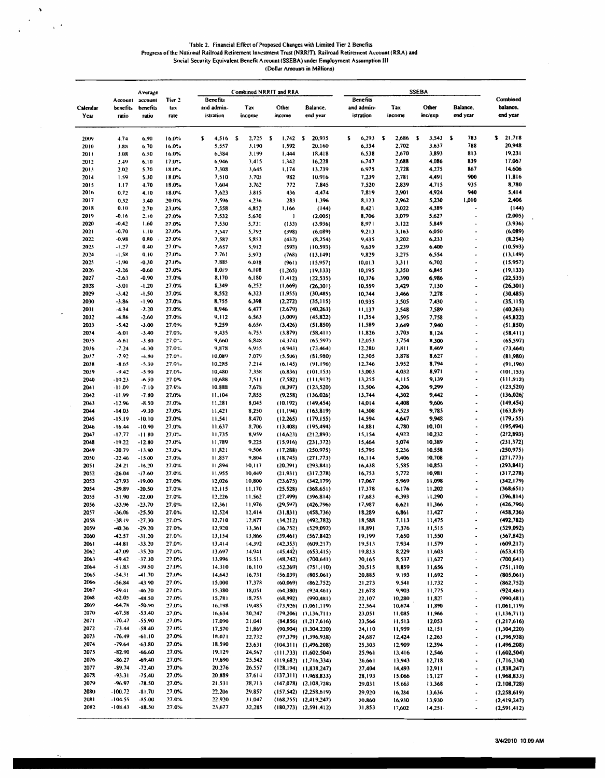$\boldsymbol{\lambda}$ 

 $\chi$   $\rightarrow$ 

# Table 2. Financial Effect of Proposed Changes with Limited Tier 2 Benefits<br>Progress of the National Railroad Retirement Investment Trust (NRRIT), Railroad Retirement Account (RRA) and<br>Social Security Equivalent Benefit Acc

|                  |                      | Average             |                |   | Combined NRRIT and RRA  |          |                      |    |                                                        |    |                                                      |   |                         |          |                  |   |                  |   |                                        |                            |
|------------------|----------------------|---------------------|----------------|---|-------------------------|----------|----------------------|----|--------------------------------------------------------|----|------------------------------------------------------|---|-------------------------|----------|------------------|---|------------------|---|----------------------------------------|----------------------------|
|                  | Account              | account             | Tier 2         |   | Benefits                |          |                      |    |                                                        |    |                                                      |   | Benefits                |          |                  |   |                  |   |                                        | Combined                   |
| Calendar<br>Year | benefits<br>ratio    | benefits<br>ratio   | tax<br>rate    |   | and admin-<br>istration |          | <b>Tax</b><br>income |    | Other<br>income                                        |    | Balance.<br>end year                                 |   | and admin-<br>istration |          | Tax<br>income    |   | Other<br>inc/exp |   | <b>Balance</b> ,<br>end year           | balance.<br>end year       |
|                  | 4.74                 | 6.90                | 16.0%          | s | 4,516                   | <b>S</b> | 2,725                | Z. | 1,742                                                  | s. | 20,935                                               | ı | 6,293                   | <b>s</b> | 2,686            | S | 3,543            | ı | 783                                    | 21,718<br>s.               |
| 2009<br>2010     | 3.88                 | 6.70                | 16.0%          |   | 5,557                   |          | 3,190                |    | 1,592                                                  |    | 20,160                                               |   | 6,334                   |          | 2,702            |   | 3,637            |   | 788                                    | 20,948                     |
| 2011             | 3.08                 | 6.50                | 16.0%          |   | 6,384                   |          | 3,199                |    | 1,444                                                  |    | 18,418                                               |   | 6.538                   |          | 2,670            |   | 3,893            |   | 813                                    | 19,231                     |
| 2012             | 2.49                 | 6.10                | 17.0%          |   | 6,946                   |          | 3,415                |    | 1,342                                                  |    | 16,228                                               |   | 6,747                   |          | 2,688            |   | 4,086            |   | 839                                    | 17,067                     |
| 2013             | 2.02                 | 5.70                | 18.0%          |   | 7.308                   |          | 3,645                |    | 1,174                                                  |    | 13,739                                               |   | 6,975                   |          | 2,728            |   | 4,275            |   | 867                                    | 14,606                     |
| 2014             | 1.59                 | 5.30                | 18.0%          |   | 7,510                   |          | 3.705                |    | 982                                                    |    | 10,916                                               |   | 7.239                   |          | 2,781            |   | 4,491<br>4,715   |   | 900                                    | 11,816<br>8,780            |
| 2015<br>2016     | 1.17<br>0.72         | 4.70<br>4.10        | 18.0%<br>18.0% |   | 7,604<br>7,623          |          | 3,762<br>3,815       |    | 772<br>436                                             |    | 7,845<br>4,474                                       |   | 7,520<br>7,819          |          | 2,839<br>2,901   |   | 4,924            |   | 935<br>940                             | 5,414                      |
| 2017             | 0.32                 | 3.40                | 20.0%          |   | 7,596                   |          | 4,236                |    | 283                                                    |    | 1,396                                                |   | 8,123                   |          | 2,962            |   | 5,230            |   | 1,010                                  | 2,406                      |
| 2018             | 0.10                 | 2.70                | 23.0%          |   | 7,558                   |          | 4,852                |    | 1,166                                                  |    | (144)                                                |   | 8,421                   |          | 3,022            |   | 4,389            |   |                                        | (144)                      |
| 2019             | -0.16                | 2.10                | 27.0%          |   | 7,532                   |          | 5,670                |    | J                                                      |    | (2,005)                                              |   | 8,706                   |          | 3,079            |   | 5,627            |   | ٠                                      | (2,005)                    |
| 2020             | $-0.42$              | 1.60                | 27.0%          |   | 7,530                   |          | 5,731                |    | (133)                                                  |    | (3,936)                                              |   | 8,971                   |          | 3,122            |   | 5,849            |   | ٠                                      | (3,936)                    |
| 2021<br>2022     | $-0.70$<br>$-0.98$   | 1.10<br>0.80        | 27.0%<br>27.0% |   | 7,547<br>7,587          |          | 5,792<br>5,853       |    | (398)<br>(432)                                         |    | (6,089)<br>(8, 254)                                  |   | 9,213<br>9,435          |          | 3,163<br>3,202   |   | 6,050<br>6,233   |   | i.                                     | (6,089)<br>(8,254)         |
| 2023             | $-1.27$              | 0.40                | 27.0%          |   | 7,657                   |          | 5,912                |    | (593)                                                  |    | (10, 593)                                            |   | 9,639                   |          | 3,239            |   | 6,400            |   | ٠                                      | (10, 593)                  |
| 2024             | $-1.58$              | 0.10                | 27.0%          |   | 7.761                   |          | 5.973                |    | (768)                                                  |    | (13, 149)                                            |   | 9,829                   |          | 3,275            |   | 6,554            |   | ۰                                      | (13, 149)                  |
| 2025             | $-1.90$              | $-0.30$             | 27.0%          |   | 7.885                   |          | 6,038                |    | (961)                                                  |    | (15.957)                                             |   | 10,013                  |          | 3,311            |   | 6,702            |   |                                        | (15,957)                   |
| 2026             | $-2.26$              | $-0.60$             | 27.0%          |   | 8,019                   |          | 6,108                |    | (1.265)                                                |    | (19, 133)                                            |   | 10,195                  |          | 3,350            |   | 6,845            |   | $\bullet$                              | (19, 133)                  |
| 2027             | $-2.63$              | $-0.90$             | 27.0%          |   | 8,170                   |          | 6,180                |    | (1, 412)                                               |    | (22, 535)                                            |   | 10,376                  |          | 3,390            |   | 6,986            |   | ٠                                      | (22, 535)                  |
| 2028<br>2029     | $-3.01$<br>$-3.42$   | $-1.20$<br>-1.50    | 27.0%<br>27.0% |   | 8,349<br>8,552          |          | 6,252<br>6,323       |    | (1,669)<br>(1,955)                                     |    | (26,301)<br>(30, 485)                                |   | 10,559<br>10,744        |          | 3,429<br>3,466   |   | 7,130<br>7,278   |   | ٠                                      | (26,301)<br>(30, 485)      |
| 2030             | $-3.86$              | $-1.90$             | 27.0%          |   | 8,755                   |          | 6,398                |    | (2, 272)                                               |    | (35, 115)                                            |   | 10,935                  |          | 3,505            |   | 7,430            |   |                                        | (35, 115)                  |
| 2031             | $-4.34$              | $-2.20$             | 27.0%          |   | 8,946                   |          | 6,477                |    | (2,679)                                                |    | (40,263)                                             |   | 11,137                  |          | 3,548            |   | 7,589            |   | ٠                                      | (40, 263)                  |
| 2032             | $-4.86$              | $-2.60$             | 27.0%          |   | 9,112                   |          | 6,563                |    | (3,009)                                                |    | (45,822)                                             |   | 11,354                  |          | 3,595            |   | 7,758            |   | ٠                                      | (45, 822)                  |
| 2033             | $-5.42$              | $-3.00$             | 27.0%          |   | 9,259                   |          | 6,656                |    | (3, 426)                                               |    | (51.850)                                             |   | 11,589                  |          | 3,649            |   | 7,940            |   | ۰                                      | (51, 850)                  |
| 2034             | $-6.01$              | $-3.40$             | 27.0%          |   | 9,435                   |          | 6,753                |    | (3,879)                                                |    | (58, 411)                                            |   | 11,826                  |          | 3,703            |   | 8,124            |   | ٠                                      | (58, 411)                  |
| 2035             | -6.61                | $-3.80$             | 27.0"          |   | 9,660                   |          | 6,848                |    | (4,374)                                                |    | (65.597)                                             |   | 12,053                  |          | 3,754            |   | 8,300            |   | $\blacksquare$<br>$\ddot{\phantom{0}}$ | (65, 597)                  |
| 2036<br>2037     | $-7.24$<br>$-7.92$   | $-4.30$<br>$-4.80$  | 27.0%<br>27.0% |   | 9,878<br>10.089         |          | 6,955<br>7.079       |    | (4,943)<br>(5,506)                                     |    | (73, 464)<br>(81,980)                                |   | 12,280<br>12,505        |          | 3,811<br>3,878   |   | 8,469<br>8,627   |   | ٠                                      | (73, 464)<br>(81,980)      |
| 2038             | $-8.65$              | $-5.30$             | 27.0%          |   | 10.285                  |          | 7.214                |    | (6, 145)                                               |    | (91, 196)                                            |   | 12,746                  |          | 3,952            |   | 8,794            |   | ٠                                      | (91, 196)                  |
| 2039             | $-9.42$              | $-5.90$             | 27.0%          |   | 10,480                  |          | 7,358                |    | (6, 836)                                               |    | (101.153)                                            |   | 13,003                  |          | 4,032            |   | 8,971            |   | ٠                                      | (101, 153)                 |
| 2040             | $-10.23$             | $-6.50$             | 27.0%          |   | 10,688                  |          | 7,511                |    | (7, 582)                                               |    | (111, 912)                                           |   | 13,255                  |          | 4,115            |   | 9,139            |   | ٠                                      | (111, 912)                 |
| 2041             | $-11.09$             | $-7.10$             | 27.0%          |   | 10.888                  |          | 7,678                |    | (8,397)                                                |    | (123, 520)                                           |   | 13,506                  |          | 4,206            |   | 9,299            |   | $\overline{\phantom{a}}$               | (123, 520)                 |
| 2042             | $-11.99$             | $-7.80$             | 27.0%          |   | 11,104                  |          | 7,855                |    | (9, 258)                                               |    | (136, 026)                                           |   | 13,744                  |          | 4,302            |   | 9,442            |   |                                        | (136,026)                  |
| 2043             | $-12.96$             | $-8.50$             | 27.0%          |   | 11,281                  |          | 8,045                |    | (10.192)                                               |    | (149, 454)                                           |   | 14,014                  |          | 4,408            |   | 9,606<br>9,785   |   | ٠                                      | (149, 454)                 |
| 2044<br>2045     | $-14.03$<br>$-15.19$ | $-9.30$<br>$-10.10$ | 27.0%<br>27.0% |   | 11,421<br>11.541        |          | 8,250<br>8,470       |    | (11, 194)<br>(12.265)                                  |    | (163, 819)<br>(179, 155)                             |   | 14,308<br>14,594        |          | 4,523<br>4.647   |   | 9,948            |   |                                        | (163, 819)<br>(179, 155)   |
| 2046             | $-16.44$             | $-10.90$            | 27.0%          |   | 11.637                  |          | 8,706                |    | (13,408)                                               |    | (195, 494)                                           |   | 14,881                  |          | 4,780            |   | 10,101           |   | ٠                                      | (195, 494)                 |
| 2047             | $-17.77$             | -11.80              | 27.0%          |   | 11,735                  |          | 8,959                |    | (14,623)                                               |    | (212,893)                                            |   | 15,154                  |          | 4,922            |   | 10,232           |   | ٠                                      | (212,893)                  |
| 2048             | $-19.22$             | $-12.80$            | 27.0%          |   | 11,789                  |          | 9.225                |    | (15,916)                                               |    | (231.372)                                            |   | 15,464                  |          | 5,074            |   | 10,389           |   | ٠                                      | (231, 372)                 |
| 2049             | $-20.79$             | $-13.90$            | 27.0%          |   | 11,821                  |          | 9,506                |    | (17, 288)                                              |    | (250, 975)                                           |   | 15,795                  |          | 5,236            |   | 10,558           |   | ٠                                      | (250, 975)                 |
| 2050             | $-22.46$             | $-15.00$            | 27.0%<br>27.0% |   | 11,857<br>11,894        |          | 9,804                |    | (18, 745)                                              |    | (271.773)                                            |   | 16,114<br>16,438        |          | 5,406            |   | 10,708<br>10,853 |   | ÷<br>٠                                 | (271, 773)<br>(293, 841)   |
| 2051<br>2052     | $-24.21$<br>$-26.04$ | -16.20<br>$-17.60$  | 27.0%          |   | 11.955                  |          | 10, 117<br>10,449    |    | (20.291)<br>(21, 931)                                  |    | (293, 841)<br>(317, 278)                             |   | 16,753                  |          | 5,585<br>5,772   |   | 10,981           |   | ٠                                      | (317,278)                  |
| 2053             | $-27.93$             | -19.00              | 27.0%          |   | 12,026                  |          | 10,800               |    | (23,675)                                               |    | (342, 179)                                           |   | 17,067                  |          | 5,969            |   | 11,098           |   | $\ddot{\phantom{0}}$                   | (342, 179)                 |
| 2054             | -29.89               | -20.50              | 27.0%          |   | 12,115                  |          | 11,170               |    | (25, 528)                                              |    | (368, 651)                                           |   | 17,378                  |          | 6,176            |   | 11,202           |   | $\ddot{\phantom{0}}$                   | (368, 651)                 |
| 2055             | $-31.90$             | $-22.00$            | 27.0%          |   | 12,226                  |          | 11.562               |    | (27, 499)                                              |    | (396.814)                                            |   | 17,683                  |          | 6,393            |   | 11,290           |   | ٠                                      | (396, 814)                 |
| 2056             | $-33.96$             | $-23.70$            | 27.0%          |   | 12,361                  |          | 11,976               |    | (29, 597)                                              |    | (426,796)                                            |   | 17,987                  |          | 6,621            |   | 11,366           |   | ٠                                      | (426, 796)                 |
| 2057<br>2058     | $-36.06$<br>$-38.19$ | -25.50<br>$-27.30$  | 27.0%<br>27.0% |   | 12.524<br>12,710        |          | 12,414<br>12.877     |    | (31, 831)<br>(34,212)                                  |    | (458, 736)<br>(492, 782)                             |   | 18,289<br>18,588        |          | 6,861<br>7,113   |   | 11,427<br>11,475 |   | ٠                                      | (458, 736)<br>(492, 782)   |
| 2059             | $-40.36$             | $-29.20$            | 27.0%          |   | 12,920                  |          | 13,361               |    | (36, 752)                                              |    | (529,092)                                            |   | 18,891                  |          | 7,376            |   | 11,515           |   |                                        | (529,092)                  |
| 2060             | $-42.57$             | $-31.20$            | 27.0%          |   | 13,154                  |          | 13,866               |    | (39, 461)                                              |    | (567,842)                                            |   | 19,199                  |          | 7,650            |   | 11,550           |   | ٠                                      | (567, 842)                 |
| 2061             | -44.81               | -33.20              | 27.0%          |   | 13,414                  |          | 14,392               |    | (42, 353)                                              |    | (609, 217)                                           |   | 19,513                  |          | 7,934            |   | 11,579           |   |                                        | (609, 217)                 |
| 2062             | -47.09               | -35.20              | 27.0%          |   | 13,697                  |          | 14,941               |    | (45.442)                                               |    | (653, 415)                                           |   | 19,833                  |          | 8,229            |   | 11,603           |   | ٠                                      | (653, 415)                 |
| 2063             | $-49.42$             | $-37.30$            | 27.0%          |   | 13,996                  |          | 15.513               |    | (48, 742)                                              |    | (700, 641)                                           |   | 20,165                  |          | 8,537            |   | 11,627           |   | $\hat{\phantom{a}}$                    | (700, 641)                 |
| 2064<br>2065     | -51.83<br>-54.31     | -39.50<br>-41.70    | 27.0%<br>27.0% |   | 14,310<br>14,643        |          | 16,110<br>16,731     |    | (52,269)<br>(56, 039)                                  |    | (751, 110)<br>(805,061)                              |   | 20,515<br>20,885        |          | 8,859<br>9,193   |   | 11,656<br>11,692 |   | ×,<br>٠                                | (751, 110)<br>(805,061)    |
| 2066             | -56.84               | $-43.90$            | 27.0%          |   | 15,000                  |          | 17,378               |    | (60,069)                                               |    | (862,752)                                            |   | 21,273                  |          | 9,541            |   | 11,732           |   |                                        | (862, 752)                 |
| 2067             | -59.41               | $-46.20$            | 27.0%          |   | 15,380                  |          | 18,051               |    | (64, 380)                                              |    | (924, 461)                                           |   | 21,678                  |          | 9,903            |   | 11,775           |   | $\ddot{\phantom{0}}$                   | (924, 461)                 |
| 2068             | $-62.05$             | $-48.50$            | 27.0%          |   | 15,781                  |          | 18,753               |    | (68,992)                                               |    | (990, 481)                                           |   | 22,107                  |          | 10,280           |   | 11,827           |   | ۰                                      | (990, 481)                 |
| 2069             | $-64.7k$             | -50.90              | 27.0%          |   | 16,198                  |          | 19,485               |    |                                                        |    | $(73,926)$ $(1,061,119)$                             |   | 22,564                  |          | 10,674           |   | 11,890           |   | $\bullet$                              | (1,061,119)                |
| 2070             | $-67.58$             | $-53,40$            | 27.0%          |   | 16,634                  |          | 20,247               |    |                                                        |    | $(79,206)$ $(1,136,711)$                             |   | 23,051                  |          | 11,085           |   | 11,966           |   | $\ddot{\phantom{0}}$                   | (1, 136, 711)              |
| 2071<br>2072     | $-70.47$<br>$-73.44$ | $-55.90$<br>-58.40  | 27.0%<br>27.0% |   | 17,090<br>17,570        |          | 21,041<br>21,869     |    |                                                        |    | $(84,856)$ $(1,217,616)$<br>$(90,904)$ $(1,304,220)$ |   | 23,566<br>24,110        |          | 11,513<br>11,959 |   | 12,053<br>12,151 |   | $\blacksquare$<br>٠                    | (1,217,616)<br>(1,304,220) |
| 2073             | $-76.49$             | $-61.10$            | 27.0%          |   | 18.071                  |          | 22,732               |    |                                                        |    | $(97,379)$ $(1,396,938)$                             |   | 24,687                  |          | 12,424           |   | 12,263           |   | ٠                                      | (1,396,938)                |
| 2074             | $-79.64$             | $-63.80$            | 27.0%          |   | 18,590                  |          | 23,631               |    | $(104,311)$ $(1,496,208)$                              |    |                                                      |   | 25,303                  |          | 12,909           |   | 12,394           |   | ٠                                      | (1, 496, 208)              |
| 2075             | $-82.90$             | $-66.60$            | 27.0%          |   | 19,129                  |          | 24,567               |    | $(111,733)$ $(1,602,504)$                              |    |                                                      |   | 25,961                  |          | 13,416           |   | 12,546           |   | $\overline{\phantom{a}}$               | (1,602,504)                |
| 2076             | $-86.27$             | -69.40              | 27.0%          |   | 19,690                  |          | 25,542               |    | $(119,682)$ $(1,716,334)$                              |    |                                                      |   | 26,661                  |          | 13,943           |   | 12,718           |   | ٠                                      | (1, 716, 334)              |
| 2077             | $-89.74$             | $-72.40$            | 27.0%          |   | 20.276                  |          | 26,557               |    | $(128, 194)$ $(1, 838, 247)$                           |    |                                                      |   | 27,404                  |          | 14,493           |   | 12,911           |   | $\bullet$                              | (1, 838, 247)              |
| 2078<br>2079     | $-93.31$<br>$-96.97$ | -75.40<br>-78.50    | 27.0%<br>27.0% |   | 20,889<br>21,531        |          | 27.614<br>28,713     |    | $(137,311)$ $(1,968,833)$<br>$(147,078)$ $(2.108,728)$ |    |                                                      |   | 28,193<br>29,031        |          | 15,066<br>15,663 |   | 13,127<br>13.368 |   | ٠<br>$\ddot{\phantom{0}}$              | (1,968,833)<br>(2,108,728) |
| 2080             | $-100.72$            | $-81.70$            | 27.0%          |   | 22,206                  |          | 29,857               |    | $(157,542)$ $(2,258,619)$                              |    |                                                      |   | 29,920                  |          | 16,284           |   | 13,636           |   | ٠                                      | (2,258,619)                |
| 2081             | $-104.55$            | $-85.00$            | 27.0%          |   | 22,920                  |          | 31,047               |    | $(168,755)$ $(2,419,247)$                              |    |                                                      |   | 30,860                  |          | 16,930           |   | 13,930           |   | $\overline{\phantom{a}}$               | (2,419,247)                |
| 2082             | $-108.43$            | $-88.50$            | 27.0%          |   | 23,677                  |          | 32,285               |    | $(180,773)$ $(2,591,412)$                              |    |                                                      |   | 31,853                  |          | 17,602           |   | 14,251           |   |                                        | (2,591,412)                |